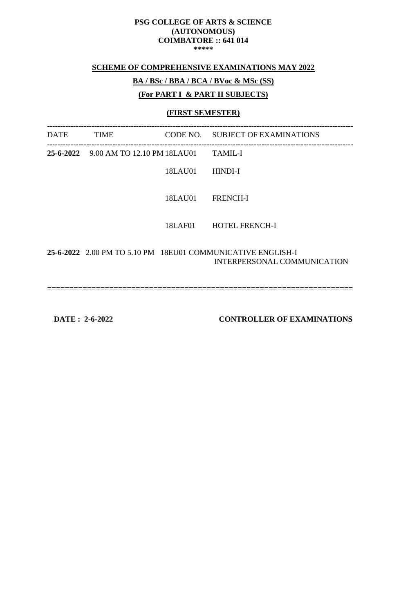#### **SCHEME OF COMPREHENSIVE EXAMINATIONS MAY 2022**

# **BA / BSc / BBA / BCA / BVoc & MSc (SS)**

#### **(For PART I & PART II SUBJECTS)**

## **(FIRST SEMESTER)**

| <b>DATE</b> | <b>TIME</b>                           |         | CODE NO. SUBJECT OF EXAMINATIONS                                                           |
|-------------|---------------------------------------|---------|--------------------------------------------------------------------------------------------|
|             | 25-6-2022 9.00 AM TO 12.10 PM 18LAU01 |         | <b>TAMIL-I</b>                                                                             |
|             |                                       | 18LAU01 | HINDI-I                                                                                    |
|             |                                       | 18LAU01 | <b>FRENCH-I</b>                                                                            |
|             |                                       | 18LAF01 | <b>HOTEL FRENCH-I</b>                                                                      |
|             |                                       |         | 25-6-2022 2.00 PM TO 5.10 PM 18EU01 COMMUNICATIVE ENGLISH-I<br>INTERPERSONAL COMMUNICATION |

=====================================================================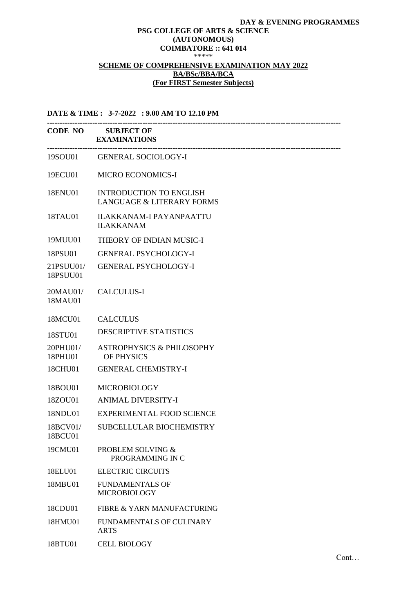#### **DAY & EVENING PROGRAMMES**

#### **PSG COLLEGE OF ARTS & SCIENCE (AUTONOMOUS) COIMBATORE :: 641 014**

\*\*\*\*\*

#### **SCHEME OF COMPREHENSIVE EXAMINATION MAY 2022 BA/BSc/BBA/BCA (For FIRST Semester Subjects)**

**DATE & TIME : 3-7-2022 : 9.00 AM TO 12.10 PM --------------------------------------------------------------------------------------------------------------------- CODE NO SUBJECT OF EXAMINATIONS ---------------------------------------------------------------------------------------------------------------------** 19SOU01 GENERAL SOCIOLOGY-I 19ECU01 MICRO ECONOMICS-I 18ENU01 INTRODUCTION TO ENGLISH LANGUAGE & LITERARY FORMS 18TAU01 ILAKKANAM-I PAYANPAATTU ILAKKANAM 19MUU01 THEORY OF INDIAN MUSIC-I 18PSU01 GENERAL PSYCHOLOGY-I 21PSUU01/ 18PSUU01 GENERAL PSYCHOLOGY-I 20MAU01/ 18MAU01 CALCULUS-I 18MCU01 CALCULUS 18STU01 DESCRIPTIVE STATISTICS 20PHU01/ 18PHU01 ASTROPHYSICS & PHILOSOPHY OF PHYSICS 18CHU01 GENERAL CHEMISTRY-I 18BOU01 MICROBIOLOGY 18ZOU01 ANIMAL DIVERSITY-I 18NDU01 EXPERIMENTAL FOOD SCIENCE 18BCV01/ 18BCU01 SUBCELLULAR BIOCHEMISTRY 19CMU01 PROBLEM SOLVING & PROGRAMMING IN C 18ELU01 ELECTRIC CIRCUITS 18MBU01 FUNDAMENTALS OF MICROBIOLOGY 18CDU01 FIBRE & YARN MANUFACTURING 18HMU01 FUNDAMENTALS OF CULINARY ARTS

18BTU01 CELL BIOLOGY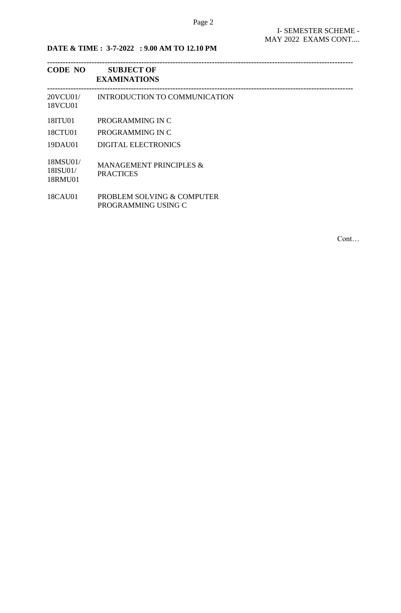**DATE & TIME : 3-7-2022 : 9.00 AM TO 12.10 PM**

| <b>CODE NO</b>                  | <b>SUBJECT OF</b><br><b>EXAMINATIONS</b>               |
|---------------------------------|--------------------------------------------------------|
| 20VCU01/<br>18VCU01             | INTRODUCTION TO COMMUNICATION                          |
| 18ITU01<br>18CTU01              | PROGRAMMING IN C<br>PROGRAMMING IN C                   |
| 19DAU01                         | <b>DIGITAL ELECTRONICS</b>                             |
| 18MSU01/<br>18ISU01/<br>18RMU01 | <b>MANAGEMENT PRINCIPLES &amp;</b><br><b>PRACTICES</b> |
| 18CAU01                         | PROBLEM SOLVING & COMPUTER                             |

PROGRAMMING USING C

Cont…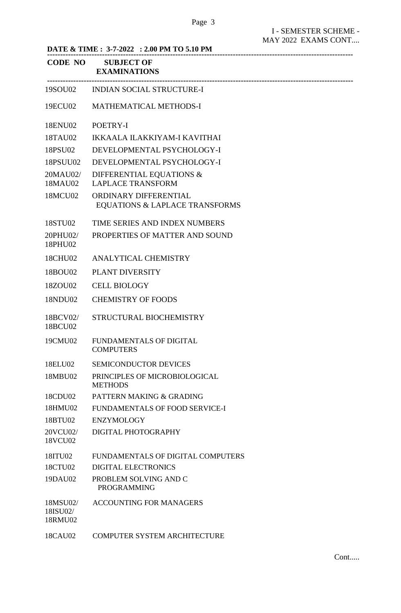| DATE & TIME : 3-7-2022 : 2.00 PM TO 5.10 PM |                                                         |  |
|---------------------------------------------|---------------------------------------------------------|--|
| CODE NO                                     | <b>SUBJECT OF</b><br><b>EXAMINATIONS</b>                |  |
|                                             | 19SOU02 INDIAN SOCIAL STRUCTURE-I                       |  |
| 19ECU02                                     | <b>MATHEMATICAL METHODS-I</b>                           |  |
| 18ENU02                                     | POETRY-I                                                |  |
| 18TAU02                                     | <b>IKKAALA ILAKKIYAM-I KAVITHAI</b>                     |  |
| 18PSU02                                     | DEVELOPMENTAL PSYCHOLOGY-I                              |  |
| 18PSUU02                                    | DEVELOPMENTAL PSYCHOLOGY-I                              |  |
| 20MAU02/<br>18MAU02                         | DIFFERENTIAL EQUATIONS &<br><b>LAPLACE TRANSFORM</b>    |  |
| 18MCU02                                     | ORDINARY DIFFERENTIAL<br>EQUATIONS & LAPLACE TRANSFORMS |  |
| 18STU02                                     | TIME SERIES AND INDEX NUMBERS                           |  |
| 20PHU02/<br>18PHU02                         | PROPERTIES OF MATTER AND SOUND                          |  |
| 18CHU02                                     | ANALYTICAL CHEMISTRY                                    |  |
| 18BOU02                                     | PLANT DIVERSITY                                         |  |
| 18ZOU02                                     | <b>CELL BIOLOGY</b>                                     |  |
| 18NDU02                                     | <b>CHEMISTRY OF FOODS</b>                               |  |
| 18BCV02/<br>18BCU02                         | STRUCTURAL BIOCHEMISTRY                                 |  |
| 19CMU02                                     | FUNDAMENTALS OF DIGITAL<br><b>COMPUTERS</b>             |  |
| 18ELU02                                     | <b>SEMICONDUCTOR DEVICES</b>                            |  |
| 18MBU02                                     | PRINCIPLES OF MICROBIOLOGICAL<br><b>METHODS</b>         |  |
| 18CDU02                                     | PATTERN MAKING & GRADING                                |  |
| 18HMU02                                     | FUNDAMENTALS OF FOOD SERVICE-I                          |  |
| 18BTU02                                     | <b>ENZYMOLOGY</b>                                       |  |
| 20VCU02/<br>18VCU02                         | DIGITAL PHOTOGRAPHY                                     |  |
| 18ITU02                                     | FUNDAMENTALS OF DIGITAL COMPUTERS                       |  |
| 18CTU02                                     | <b>DIGITAL ELECTRONICS</b>                              |  |
| 19DAU02                                     | PROBLEM SOLVING AND C<br><b>PROGRAMMING</b>             |  |
| 18MSU02/<br>18ISU02/<br>18RMU02             | <b>ACCOUNTING FOR MANAGERS</b>                          |  |
| 18CAU02                                     | <b>COMPUTER SYSTEM ARCHITECTURE</b>                     |  |

Cont.....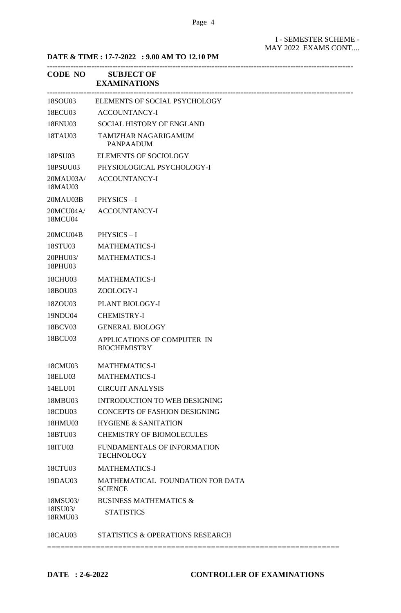**DATE & TIME : 17-7-2022 : 9.00 AM TO 12.10 PM**

| <b>CODE NO</b>       | <b>SUBJECT OF</b><br><b>EXAMINATIONS</b>           |
|----------------------|----------------------------------------------------|
| 18SOU03              | ELEMENTS OF SOCIAL PSYCHOLOGY                      |
| 18ECU03              | <b>ACCOUNTANCY-I</b>                               |
| 18ENU03              | SOCIAL HISTORY OF ENGLAND                          |
| 18TAU03              | TAMIZHAR NAGARIGAMUM<br><b>PANPAADUM</b>           |
| 18PSU03              | <b>ELEMENTS OF SOCIOLOGY</b>                       |
| 18PSUU03             | PHYSIOLOGICAL PSYCHOLOGY-I                         |
| 20MAU03A/<br>18MAU03 | <b>ACCOUNTANCY-I</b>                               |
| 20MAU03B             | $PHYSICS - I$                                      |
| 20MCU04A/<br>18MCU04 | <b>ACCOUNTANCY-I</b>                               |
| 20MCU04B             | $PHYSICS - I$                                      |
| 18STU03              | <b>MATHEMATICS-I</b>                               |
| 20PHU03/<br>18PHU03  | <b>MATHEMATICS-I</b>                               |
| 18CHU03              | <b>MATHEMATICS-I</b>                               |
| 18BOU03              | ZOOLOGY-I                                          |
| 18ZOU03              | PLANT BIOLOGY-I                                    |
| 19NDU04              | <b>CHEMISTRY-I</b>                                 |
| 18BCV03              | <b>GENERAL BIOLOGY</b>                             |
| 18BCU03              | APPLICATIONS OF COMPUTER IN<br><b>BIOCHEMISTRY</b> |
| 18CMU03              | <b>MATHEMATICS-I</b>                               |
| 18ELU03              | <b>MATHEMATICS-I</b>                               |
| 14ELU01              | <b>CIRCUIT ANALYSIS</b>                            |
| 18MBU03              | <b>INTRODUCTION TO WEB DESIGNING</b>               |
| 18CDU03              | <b>CONCEPTS OF FASHION DESIGNING</b>               |
| 18HMU03              | <b>HYGIENE &amp; SANITATION</b>                    |
| 18BTU03              | <b>CHEMISTRY OF BIOMOLECULES</b>                   |
| 18ITU03              | FUNDAMENTALS OF INFORMATION<br><b>TECHNOLOGY</b>   |
| 18CTU03              | <b>MATHEMATICS-I</b>                               |
| 19DAU03              | MATHEMATICAL FOUNDATION FOR DATA<br><b>SCIENCE</b> |
| 18MSU03/             | <b>BUSINESS MATHEMATICS &amp;</b>                  |
| 18ISU03/<br>18RMU03  | <b>STATISTICS</b>                                  |
| 18CAU03              | STATISTICS & OPERATIONS RESEARCH                   |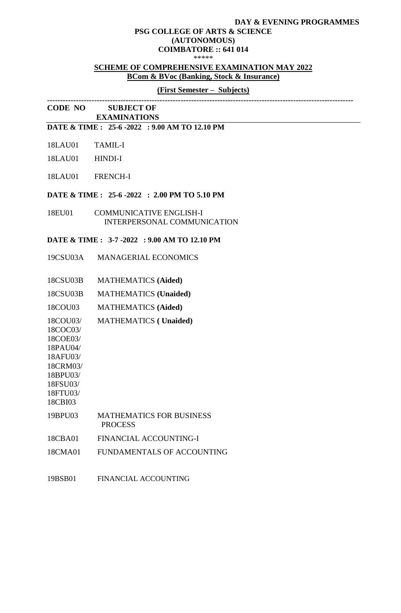#### **DAY & EVENING PROGRAMMES PSG COLLEGE OF ARTS & SCIENCE (AUTONOMOUS) COIMBATORE :: 641 014**

\*\*\*\*\*

#### **SCHEME OF COMPREHENSIVE EXAMINATION MAY 2022 BCom & BVoc (Banking, Stock & Insurance)**

## **(First Semester – Subjects)**

**CODE NO SUBJECT OF EXAMINATIONS** 

## **DATE & TIME : 25-6 -2022 : 9.00 AM TO 12.10 PM**

- 18LAU01 TAMIL-I
- 18LAU01 HINDI-I
- 18LAU01 FRENCH-I

#### **DATE & TIME : 25-6 -2022 : 2.00 PM TO 5.10 PM**

18EU01 COMMUNICATIVE ENGLISH-I INTERPERSONAL COMMUNICATION

#### **DATE & TIME : 3-7 -2022 : 9.00 AM TO 12.10 PM**

- 19CSU03A MANAGERIAL ECONOMICS
- 18CSU03B MATHEMATICS **(Aided)**
- 18CSU03B MATHEMATICS **(Unaided)**
- 18COU03 MATHEMATICS **(Aided)**
- 18COU03/ MATHEMATICS **( Unaided)**
- 18COC03/ 18COE03/
- 18PAU04/
- 18AFU03/
- 18CRM03/
- 18BPU03/
- 18FSU03/ 18FTU03/
- 18CBI03
- 19BPU03 MATHEMATICS FOR BUSINESS PROCESS
- 18CBA01 FINANCIAL ACCOUNTING-I
- 18CMA01 FUNDAMENTALS OF ACCOUNTING
- 19BSB01 FINANCIAL ACCOUNTING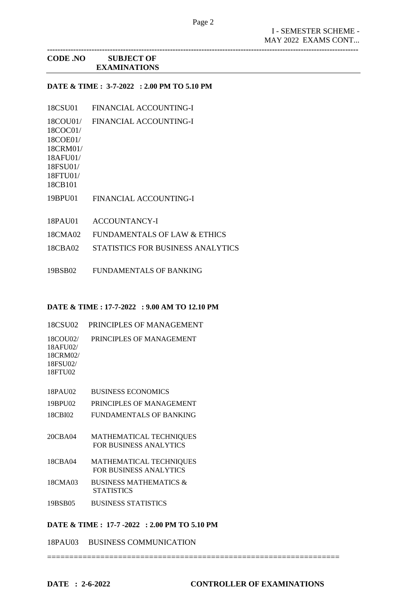**-----------------------------------------------------------------------------------------------------------------------**

# **CODE .NO SUBJECT OF EXAMINATIONS**

## **DATE & TIME : 3-7-2022 : 2.00 PM TO 5.10 PM**

- 18CSU01 FINANCIAL ACCOUNTING-I
- 18COU01/ FINANCIAL ACCOUNTING-I
- 18COC01/ 18COE01/
- 18CRM01/
- 18AFU01/
- 18FSU01/

18FTU01/ 18CB101

- 19BPU01 FINANCIAL ACCOUNTING-I
- 18PAU01 ACCOUNTANCY-I
- 18CMA02 FUNDAMENTALS OF LAW & ETHICS
- 18CBA02 STATISTICS FOR BUSINESS ANALYTICS
- 19BSB02 FUNDAMENTALS OF BANKING

## **DATE & TIME : 17-7-2022 : 9.00 AM TO 12.10 PM**

- 18CSU02 PRINCIPLES OF MANAGEMENT
- 18COU02/ PRINCIPLES OF MANAGEMENT
- 18AFU02/ 18CRM02/ 18FSU02/ 18FTU02
- 18PAU02 BUSINESS ECONOMICS
- 19BPU02 PRINCIPLES OF MANAGEMENT
- 18CBI02 FUNDAMENTALS OF BANKING
- 20CBA04 MATHEMATICAL TECHNIQUES FOR BUSINESS ANALYTICS
- 18CBA04 MATHEMATICAL TECHNIQUES FOR BUSINESS ANALYTICS
- 18CMA03 BUSINESS MATHEMATICS & **STATISTICS**
- 19BSB05 BUSINESS STATISTICS

## **DATE & TIME : 17-7 -2022 : 2.00 PM TO 5.10 PM**

18PAU03 BUSINESS COMMUNICATION

==================================================================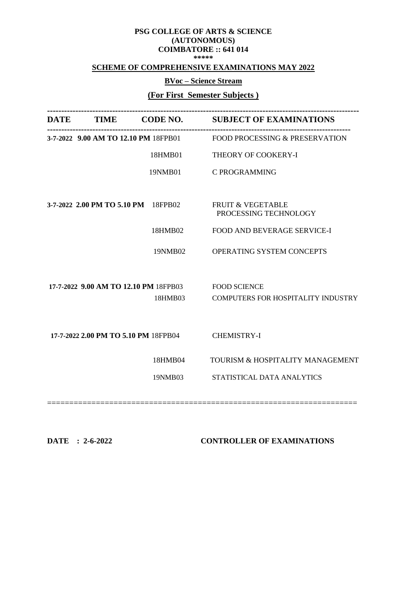#### **SCHEME OF COMPREHENSIVE EXAMINATIONS MAY 2022**

# **BVoc – Science Stream**

# **(For First Semester Subjects )**

| <b>DATE</b> |                                       |         | TIME CODE NO. SUBJECT OF EXAMINATIONS                 |
|-------------|---------------------------------------|---------|-------------------------------------------------------|
|             | 3-7-2022 9.00 AM TO 12.10 PM 18FPB01  |         | <b>FOOD PROCESSING &amp; PRESERVATION</b>             |
|             |                                       | 18HMB01 | THEORY OF COOKERY-I                                   |
|             |                                       | 19NMB01 | <b>C PROGRAMMING</b>                                  |
|             |                                       |         |                                                       |
|             | 3-7-2022 2.00 PM TO 5.10 PM 18FPB02   |         | <b>FRUIT &amp; VEGETABLE</b><br>PROCESSING TECHNOLOGY |
|             |                                       | 18HMB02 | FOOD AND BEVERAGE SERVICE-I                           |
|             |                                       | 19NMB02 | OPERATING SYSTEM CONCEPTS                             |
|             | 17-7-2022 9.00 AM TO 12.10 PM 18FPB03 |         | <b>FOOD SCIENCE</b>                                   |
|             |                                       | 18HMB03 | COMPUTERS FOR HOSPITALITY INDUSTRY                    |
|             |                                       |         |                                                       |
|             | 17-7-2022 2.00 PM TO 5.10 PM 18FPB04  |         | <b>CHEMISTRY-I</b>                                    |
|             |                                       | 18HMB04 | TOURISM & HOSPITALITY MANAGEMENT                      |
|             |                                       | 19NMB03 | STATISTICAL DATA ANALYTICS                            |
|             |                                       |         |                                                       |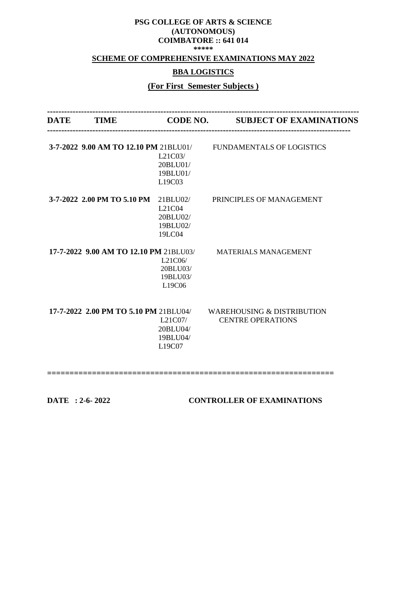## **SCHEME OF COMPREHENSIVE EXAMINATIONS MAY 2022**

# **BBA LOGISTICS**

# **(For First Semester Subjects )**

|                                           | DATE TIME CODE NO. SUBJECT OF EXAMINATIONS                                                                                                                                                 |
|-------------------------------------------|--------------------------------------------------------------------------------------------------------------------------------------------------------------------------------------------|
| L21C03/<br>20BLU01/<br>19BLU01/<br>L19C03 |                                                                                                                                                                                            |
| L21C04<br>20BLU02/<br>19BLU02/<br>19LC04  | PRINCIPLES OF MANAGEMENT                                                                                                                                                                   |
| L21C06/<br>20BLU03/<br>19BLU03/<br>L19C06 | <b>MATERIALS MANAGEMENT</b>                                                                                                                                                                |
| L21C07/<br>20BLU04/<br>19BLU04/<br>L19C07 | <b>WAREHOUSING &amp; DISTRIBUTION</b><br><b>CENTRE OPERATIONS</b>                                                                                                                          |
|                                           | 3-7-2022 9.00 AM TO 12.10 PM 21BLU01/ FUNDAMENTALS OF LOGISTICS<br>3-7-2022 2.00 PM TO 5.10 PM 21BLU02/<br>17-7-2022 9.00 AM TO 12.10 PM 21BLU03/<br>17-7-2022 2.00 PM TO 5.10 PM 21BLU04/ |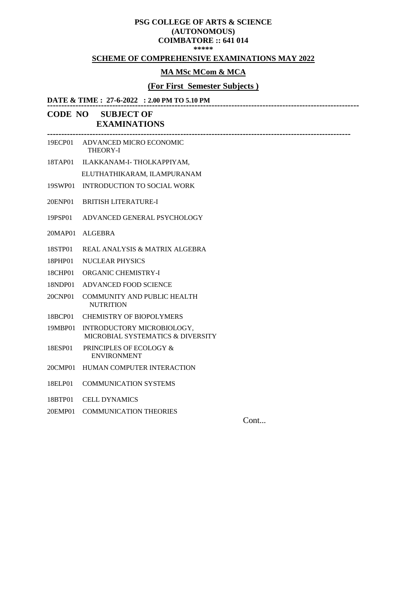## **SCHEME OF COMPREHENSIVE EXAMINATIONS MAY 2022**

#### **MA MSc MCom & MCA**

# **(For First Semester Subjects )**

**-----------------------------------------------------------------------------------------------------------**

#### **DATE & TIME : 27-6-2022 : 2.00 PM TO 5.10 PM --------------------------------------------------------------------------------------------------------------**

# **CODE NO SUBJECT OF EXAMINATIONS**

| 19ECP01 | ADVANCED MICRO ECONOMIC<br><b>THEORY-I</b>                      |
|---------|-----------------------------------------------------------------|
| 18TAP01 | ILAKKANAM-I-THOLKAPPIYAM,                                       |
|         | ELUTHATHIKARAM, ILAMPURANAM                                     |
| 19SWP01 | <b>INTRODUCTION TO SOCIAL WORK</b>                              |
| 20ENP01 | <b>BRITISH LITERATURE-I</b>                                     |
| 19PSP01 | ADVANCED GENERAL PSYCHOLOGY                                     |
| 20MAP01 | <b>ALGEBRA</b>                                                  |
| 18STP01 | REAL ANALYSIS & MATRIX ALGEBRA                                  |
| 18PHP01 | NUCLEAR PHYSICS                                                 |
| 18CHP01 | <b>ORGANIC CHEMISTRY-I</b>                                      |
| 18NDP01 | <b>ADVANCED FOOD SCIENCE</b>                                    |
| 20CNP01 | <b>COMMUNITY AND PUBLIC HEALTH</b><br><b>NUTRITION</b>          |
| 18BCP01 | <b>CHEMISTRY OF BIOPOLYMERS</b>                                 |
| 19MBP01 | INTRODUCTORY MICROBIOLOGY,<br>MICROBIAL SYSTEMATICS & DIVERSITY |
| 18ESP01 | PRINCIPLES OF ECOLOGY &<br><b>ENVIRONMENT</b>                   |
| 20CMP01 | HUMAN COMPUTER INTERACTION                                      |
| 18ELP01 | <b>COMMUNICATION SYSTEMS</b>                                    |

- 18BTP01 CELL DYNAMICS
- 20EMP01 COMMUNICATION THEORIES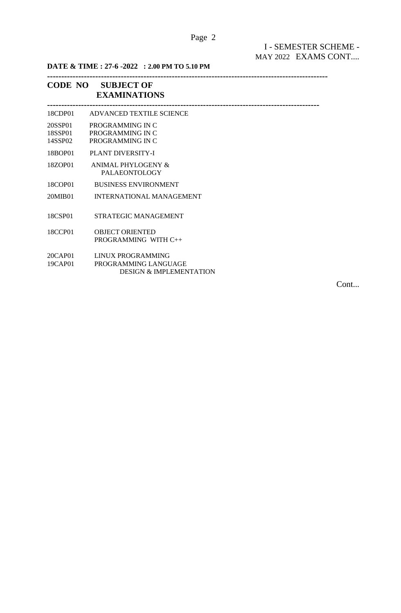# Page 2

# I - SEMESTER SCHEME - MAY 2022 EXAMS CONT....

**DATE & TIME : 27-6 -2022 : 2.00 PM TO 5.10 PM**

#### **---------------------------------------------------------------------------------------------------**

# **CODE NO SUBJECT OF EXAMINATIONS**

| 18CDP01                       | ADVANCED TEXTILE SCIENCE                                                        |  |
|-------------------------------|---------------------------------------------------------------------------------|--|
| 20SSP01<br>18SSP01<br>14SSP02 | PROGRAMMING IN C<br>PROGRAMMING IN C<br>PROGRAMMING IN C                        |  |
| 18BOP01                       | <b>PLANT DIVERSITY-I</b>                                                        |  |
| 18ZOP01                       | ANIMAL PHYLOGENY &<br><b>PALAEONTOLOGY</b>                                      |  |
| 18COP01                       | <b>BUSINESS ENVIRONMENT</b>                                                     |  |
| 20MIB01                       | INTERNATIONAL MANAGEMENT                                                        |  |
| 18CSP01                       | STRATEGIC MANAGEMENT                                                            |  |
| 18CCP01                       | <b>OBJECT ORIENTED</b><br>PROGRAMMING WITH C++                                  |  |
| 20CAP01<br>19CAP01            | LINUX PROGRAMMING<br>PROGRAMMING LANGUAGE<br><b>DESIGN &amp; IMPLEMENTATION</b> |  |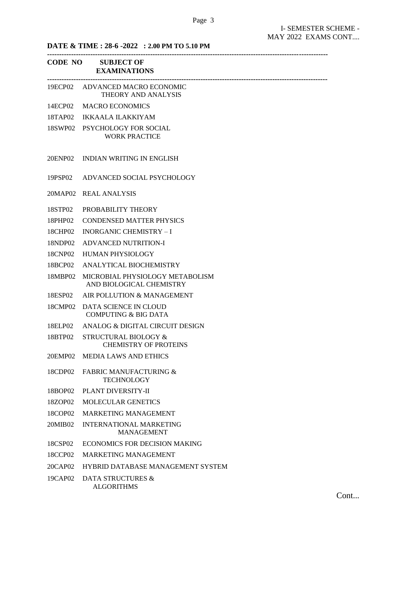## **DATE & TIME : 28-6 -2022 : 2.00 PM TO 5.10 PM**

|         | CODE NO SUBJECT OF<br><b>EXAMINATIONS</b>                   |
|---------|-------------------------------------------------------------|
|         | 19ECP02 ADVANCED MACRO ECONOMIC<br>THEORY AND ANALYSIS      |
| 14ECP02 | <b>MACRO ECONOMICS</b>                                      |
| 18TAP02 | <b>IKKAALA ILAKKIYAM</b>                                    |
| 18SWP02 | PSYCHOLOGY FOR SOCIAL<br><b>WORK PRACTICE</b>               |
| 20ENP02 | INDIAN WRITING IN ENGLISH                                   |
| 19PSP02 | ADVANCED SOCIAL PSYCHOLOGY                                  |
| 20MAP02 | <b>REAL ANALYSIS</b>                                        |
| 18STP02 | PROBABILITY THEORY                                          |
| 18PHP02 | <b>CONDENSED MATTER PHYSICS</b>                             |
| 18CHP02 | <b>INORGANIC CHEMISTRY - I</b>                              |
| 18NDP02 | <b>ADVANCED NUTRITION-I</b>                                 |
| 18CNP02 | <b>HUMAN PHYSIOLOGY</b>                                     |
| 18BCP02 | ANALYTICAL BIOCHEMISTRY                                     |
| 18MBP02 | MICROBIAL PHYSIOLOGY METABOLISM<br>AND BIOLOGICAL CHEMISTRY |
| 18ESP02 | AIR POLLUTION & MANAGEMENT                                  |
| 18CMP02 | DATA SCIENCE IN CLOUD<br><b>COMPUTING &amp; BIG DATA</b>    |
| 18ELP02 | ANALOG & DIGITAL CIRCUIT DESIGN                             |
| 18BTP02 | STRUCTURAL BIOLOGY &<br><b>CHEMISTRY OF PROTEINS</b>        |
| 20EMP02 | <b>MEDIA LAWS AND ETHICS</b>                                |
| 18CDP02 | <b>FABRIC MANUFACTURING &amp;</b><br><b>TECHNOLOGY</b>      |
| 18BOP02 | PLANT DIVERSITY-II                                          |
| 18ZOP02 | <b>MOLECULAR GENETICS</b>                                   |
| 18COP02 | <b>MARKETING MANAGEMENT</b>                                 |
| 20MIB02 | <b>INTERNATIONAL MARKETING</b><br><b>MANAGEMENT</b>         |
| 18CSP02 | <b>ECONOMICS FOR DECISION MAKING</b>                        |
| 18CCP02 | <b>MARKETING MANAGEMENT</b>                                 |
| 20CAP02 | HYBRID DATABASE MANAGEMENT SYSTEM                           |
| 19CAP02 | DATA STRUCTURES &<br><b>ALGORITHMS</b>                      |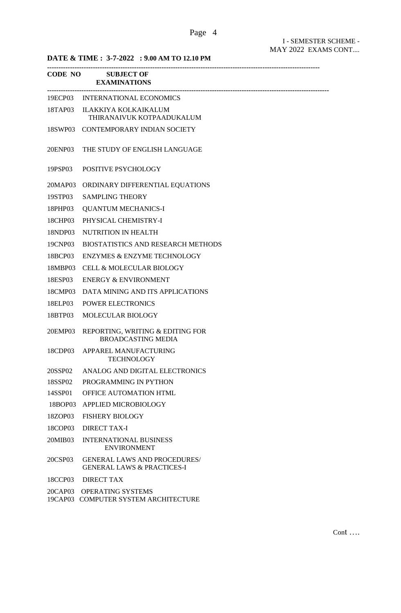**DATE & TIME : 3-7-2022 : 9.00 AM TO 12.10 PM**

|         | CODE NO SUBJECT OF<br><b>EXAMINATIONS</b>                                    |
|---------|------------------------------------------------------------------------------|
|         | 19ECP03 INTERNATIONAL ECONOMICS                                              |
| 18TAP03 | <b>ILAKKIYA KOLKAIKALUM</b><br>THIRANAIVUK KOTPAADUKALUM                     |
| 18SWP03 | CONTEMPORARY INDIAN SOCIETY                                                  |
| 20ENP03 | THE STUDY OF ENGLISH LANGUAGE                                                |
| 19PSP03 | POSITIVE PSYCHOLOGY                                                          |
| 20MAP03 | ORDINARY DIFFERENTIAL EQUATIONS                                              |
| 19STP03 | <b>SAMPLING THEORY</b>                                                       |
| 18PHP03 | <b>QUANTUM MECHANICS-I</b>                                                   |
| 18CHP03 | PHYSICAL CHEMISTRY-I                                                         |
| 18NDP03 | NUTRITION IN HEALTH                                                          |
| 19CNP03 | <b>BIOSTATISTICS AND RESEARCH METHODS</b>                                    |
| 18BCP03 | <b>ENZYMES &amp; ENZYME TECHNOLOGY</b>                                       |
| 18MBP03 | <b>CELL &amp; MOLECULAR BIOLOGY</b>                                          |
| 18ESP03 | <b>ENERGY &amp; ENVIRONMENT</b>                                              |
| 18CMP03 | DATA MINING AND ITS APPLICATIONS                                             |
| 18ELP03 | <b>POWER ELECTRONICS</b>                                                     |
| 18BTP03 | <b>MOLECULAR BIOLOGY</b>                                                     |
| 20EMP03 | REPORTING, WRITING & EDITING FOR<br><b>BROADCASTING MEDIA</b>                |
| 18CDP03 | APPAREL MANUFACTURING<br><b>TECHNOLOGY</b>                                   |
| 20SSP02 | ANALOG AND DIGITAL ELECTRONICS                                               |
| 18SSP02 | PROGRAMMING IN PYTHON                                                        |
| 14SSP01 | OFFICE AUTOMATION HTML                                                       |
| 18BOP03 | APPLIED MICROBIOLOGY                                                         |
| 18ZOP03 | <b>FISHERY BIOLOGY</b>                                                       |
| 18COP03 | DIRECT TAX-I                                                                 |
| 20MIB03 | <b>INTERNATIONAL BUSINESS</b><br><b>ENVIRONMENT</b>                          |
| 20CSP03 | <b>GENERAL LAWS AND PROCEDURES/</b><br><b>GENERAL LAWS &amp; PRACTICES-I</b> |
| 18CCP03 | <b>DIRECT TAX</b>                                                            |
| 20CAP03 | <b>OPERATING SYSTEMS</b><br>19CAP03 COMPUTER SYSTEM ARCHITECTURE             |

Page 4

Cont ….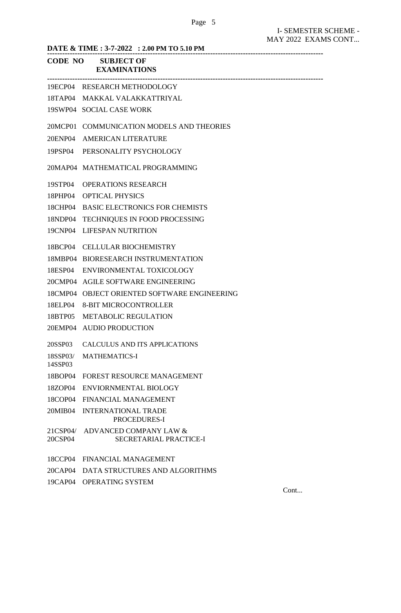|                     | DATE & TIME : 3-7-2022 : 2.00 PM TO 5.10 PM      |
|---------------------|--------------------------------------------------|
|                     | <b>CODE NO SUBJECT OF</b><br><b>EXAMINATIONS</b> |
|                     | 19ECP04 RESEARCH METHODOLOGY                     |
|                     | 18TAP04 MAKKAL VALAKKATTRIYAL                    |
|                     | 19SWP04 SOCIAL CASE WORK                         |
|                     | 20MCP01 COMMUNICATION MODELS AND THEORIES        |
| 20ENP04             | AMERICAN LITERATURE                              |
|                     | 19PSP04 PERSONALITY PSYCHOLOGY                   |
|                     | 20MAP04 MATHEMATICAL PROGRAMMING                 |
| 19STP04             | <b>OPERATIONS RESEARCH</b>                       |
|                     | 18PHP04 OPTICAL PHYSICS                          |
|                     | 18CHP04 BASIC ELECTRONICS FOR CHEMISTS           |
| 18NDP04             | TECHNIQUES IN FOOD PROCESSING                    |
| 19CNP04             | LIFESPAN NUTRITION                               |
|                     | 18BCP04 CELLULAR BIOCHEMISTRY                    |
|                     | 18MBP04 BIORESEARCH INSTRUMENTATION              |
|                     | 18ESP04 ENVIRONMENTAL TOXICOLOGY                 |
|                     | 20CMP04 AGILE SOFTWARE ENGINEERING               |
|                     | 18CMP04 OBJECT ORIENTED SOFTWARE ENGINEERING     |
|                     | 18ELP04 8-BIT MICROCONTROLLER                    |
|                     | 18BTP05 METABOLIC REGULATION                     |
|                     | 20EMP04 AUDIO PRODUCTION                         |
| 20SSP03             | <b>CALCULUS AND ITS APPLICATIONS</b>             |
| 18SSP03/<br>14SSP03 | <b>MATHEMATICS-I</b>                             |
| 18BOP04             | <b>FOREST RESOURCE MANAGEMENT</b>                |
| 18ZOP04             | ENVIORNMENTAL BIOLOGY                            |
| 18COP04             | FINANCIAL MANAGEMENT                             |
| 20MIB04             | <b>INTERNATIONAL TRADE</b><br>PROCEDURES-I       |
| 21CSP04/<br>20CSP04 | ADVANCED COMPANY LAW &<br>SECRETARIAL PRACTICE-I |
| 18CCP04             | FINANCIAL MANAGEMENT                             |
| 20CAP04             | DATA STRUCTURES AND ALGORITHMS                   |
| 19CAP04             | <b>OPERATING SYSTEM</b>                          |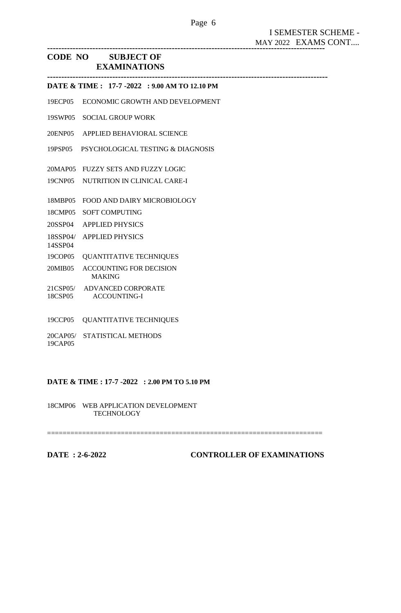**--------------------------------------------------------------------------------------------------**

# **CODE NO SUBJECT OF EXAMINATIONS**

**--------------------------------------------------------------------------------------------------- DATE & TIME : 17-7 -2022 : 9.00 AM TO 12.10 PM**

- 19ECP05 ECONOMIC GROWTH AND DEVELOPMENT
- 19SWP05 SOCIAL GROUP WORK
- 20ENP05 APPLIED BEHAVIORAL SCIENCE
- 19PSP05 PSYCHOLOGICAL TESTING & DIAGNOSIS
- 20MAP05 FUZZY SETS AND FUZZY LOGIC
- 19CNP05 NUTRITION IN CLINICAL CARE-I
- 18MBP05 FOOD AND DAIRY MICROBIOLOGY
- 18CMP05 SOFT COMPUTING
- 20SSP04 APPLIED PHYSICS
- 18SSP04/ APPLIED PHYSICS 14SSP04
- 19COP05 QUANTITATIVE TECHNIQUES
- 20MIB05 ACCOUNTING FOR DECISION MAKING
- 21CSP05/ ADVANCED CORPORATE 18CSP05 ACCOUNTING-I
- 19CCP05 QUANTITATIVE TECHNIQUES
- 20CAP05/ STATISTICAL METHODS 19CAP05

## **DATE & TIME : 17-7 -2022 : 2.00 PM TO 5.10 PM**

=======================================================================

18CMP06 WEB APPLICATION DEVELOPMENT **TECHNOLOGY**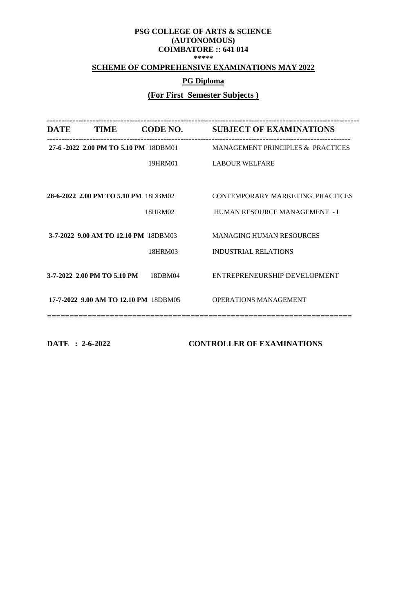# **SCHEME OF COMPREHENSIVE EXAMINATIONS MAY 2022**

# **PG Diploma**

# **(For First Semester Subjects )**

| <b>TIME</b> | <b>CODE NO.</b>             | <b>SUBJECT OF EXAMINATIONS</b>                                                                                                                                |
|-------------|-----------------------------|---------------------------------------------------------------------------------------------------------------------------------------------------------------|
|             |                             | <b>MANAGEMENT PRINCIPLES &amp; PRACTICES</b>                                                                                                                  |
|             | 19HRM01                     | <b>LABOUR WELFARE</b>                                                                                                                                         |
|             |                             |                                                                                                                                                               |
|             |                             | CONTEMPORARY MARKETING PRACTICES                                                                                                                              |
|             | 18HRM02                     | HUMAN RESOURCE MANAGEMENT - I                                                                                                                                 |
|             |                             | <b>MANAGING HUMAN RESOURCES</b>                                                                                                                               |
|             | 18HRM03                     | <b>INDUSTRIAL RELATIONS</b>                                                                                                                                   |
|             | 18DBM04                     | ENTREPRENEURSHIP DEVELOPMENT                                                                                                                                  |
|             |                             | <b>OPERATIONS MANAGEMENT</b>                                                                                                                                  |
|             | 3-7-2022 2.00 PM TO 5.10 PM | 27-6-2022 2.00 PM TO 5.10 PM 18DBM01<br>28-6-2022 2.00 PM TO 5.10 PM 18DBM02<br>3-7-2022 9.00 AM TO 12.10 PM 18DBM03<br>17-7-2022 9.00 AM TO 12.10 PM 18DBM05 |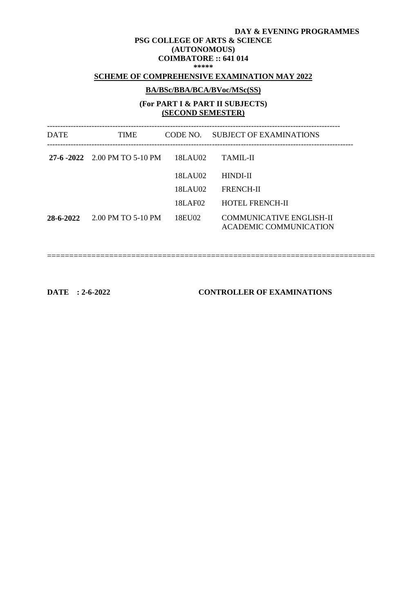#### **DAY & EVENING PROGRAMMES**

#### **PSG COLLEGE OF ARTS & SCIENCE (AUTONOMOUS) COIMBATORE :: 641 014 \*\*\*\*\***

## **SCHEME OF COMPREHENSIVE EXAMINATION MAY 2022**

# **BA/BSc/BBA/BCA/BVoc/MSc(SS)**

# **(For PART I & PART II SUBJECTS) (SECOND SEMESTER)**

| <b>DATE</b> | TIME                          |         | CODE NO. SUBJECT OF EXAMINATIONS                                 |  |
|-------------|-------------------------------|---------|------------------------------------------------------------------|--|
|             | 27-6 -2022 2.00 PM TO 5-10 PM | 18LAU02 | TAMIL-II                                                         |  |
|             |                               | 18LAU02 | HINDI-II                                                         |  |
|             |                               | 18LAU02 | <b>FRENCH-II</b>                                                 |  |
|             |                               | 18LAF02 | <b>HOTEL FRENCH-II</b>                                           |  |
| 28-6-2022   | 2.00 PM TO 5-10 PM            | 18EU02  | <b>COMMUNICATIVE ENGLISH-II</b><br><b>ACADEMIC COMMUNICATION</b> |  |

==========================================================================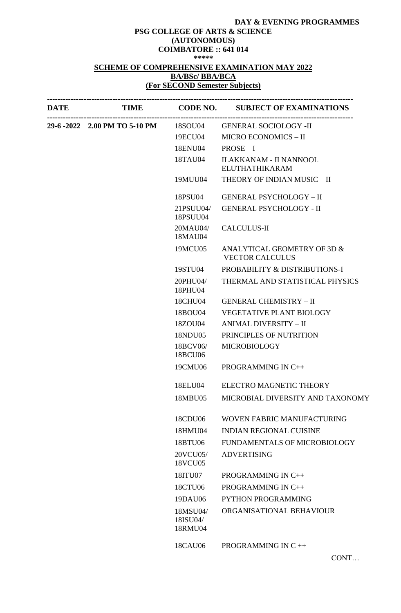# **DAY & EVENING PROGRAMMES**

#### **PSG COLLEGE OF ARTS & SCIENCE (AUTONOMOUS) COIMBATORE :: 641 014 \*\*\*\*\***

## **SCHEME OF COMPREHENSIVE EXAMINATION MAY 2022 BA/BSc/ BBA/BCA (For SECOND Semester Subjects)**

| DATE |                                       |                                 | TIME CODE NO. SUBJECT OF EXAMINATIONS                  |
|------|---------------------------------------|---------------------------------|--------------------------------------------------------|
|      | 29-6 -2022 2.00 PM TO 5-10 PM 18SOU04 |                                 | <b>GENERAL SOCIOLOGY -II</b>                           |
|      |                                       | 19ECU04                         | MICRO ECONOMICS - II                                   |
|      |                                       | 18ENU04                         | $PROSE - I$                                            |
|      |                                       | 18TAU04                         | <b>ILAKKANAM - II NANNOOL</b><br><b>ELUTHATHIKARAM</b> |
|      |                                       | 19MUU04                         | THEORY OF INDIAN MUSIC - II                            |
|      |                                       | 18PSU04                         | <b>GENERAL PSYCHOLOGY - II</b>                         |
|      |                                       | 21PSUU04/<br>18PSUU04           | <b>GENERAL PSYCHOLOGY - II</b>                         |
|      |                                       | 20MAU04/<br>18MAU04             | <b>CALCULUS-II</b>                                     |
|      |                                       | 19MCU05                         | ANALYTICAL GEOMETRY OF 3D &<br><b>VECTOR CALCULUS</b>  |
|      |                                       | 19STU04                         | PROBABILITY & DISTRIBUTIONS-I                          |
|      |                                       | 20PHU04/<br>18PHU04             | THERMAL AND STATISTICAL PHYSICS                        |
|      |                                       | 18CHU04                         | <b>GENERAL CHEMISTRY - II</b>                          |
|      |                                       | 18BOU04                         | <b>VEGETATIVE PLANT BIOLOGY</b>                        |
|      |                                       | 18ZOU04                         | ANIMAL DIVERSITY - II                                  |
|      |                                       | 18NDU05                         | PRINCIPLES OF NUTRITION                                |
|      |                                       | 18BCV06/<br>18BCU06             | <b>MICROBIOLOGY</b>                                    |
|      |                                       | 19CMU06                         | PROGRAMMING IN C++                                     |
|      |                                       | 18ELU04                         | ELECTRO MAGNETIC THEORY                                |
|      |                                       | 18MBU05                         | MICROBIAL DIVERSITY AND TAXONOMY                       |
|      |                                       | 18CDU06                         | WOVEN FABRIC MANUFACTURING                             |
|      |                                       | 18HMU04                         | <b>INDIAN REGIONAL CUISINE</b>                         |
|      |                                       | 18BTU06                         | FUNDAMENTALS OF MICROBIOLOGY                           |
|      |                                       | 20VCU05/<br>18VCU05             | <b>ADVERTISING</b>                                     |
|      |                                       | 18ITU07                         | PROGRAMMING IN C++                                     |
|      |                                       | 18CTU06                         | PROGRAMMING IN C++                                     |
|      |                                       | 19DAU06                         | <b>PYTHON PROGRAMMING</b>                              |
|      |                                       | 18MSU04/<br>18ISU04/<br>18RMU04 | ORGANISATIONAL BEHAVIOUR                               |
|      |                                       | 18CAU06                         | PROGRAMMING IN C++                                     |

CONT…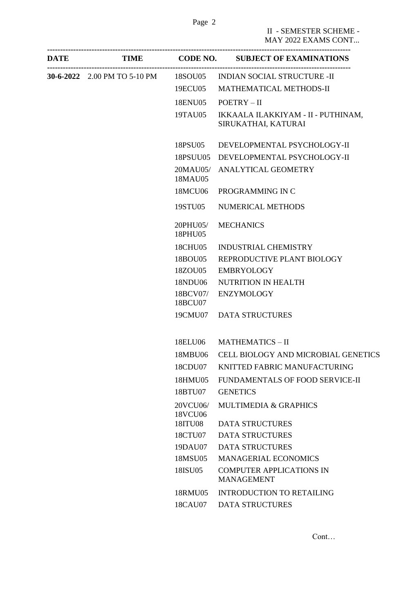II - SEMESTER SCHEME - MAY 2022 EXAMS CONT...

| <b>DATE</b> |                     | TIME CODE NO. SUBJECT OF EXAMINATIONS                               |
|-------------|---------------------|---------------------------------------------------------------------|
|             |                     | 30-6-2022  2.00 PM TO 5-10 PM  18SOU05  INDIAN SOCIAL STRUCTURE -II |
|             | 19ECU05             | MATHEMATICAL METHODS-II                                             |
|             | 18ENU05             | $POETRY - II$                                                       |
|             | 19TAU05             | IKKAALA ILAKKIYAM - II - PUTHINAM,<br>SIRUKATHAI, KATURAI           |
|             | 18PSU05             | DEVELOPMENTAL PSYCHOLOGY-II                                         |
|             | 18PSUU05            | DEVELOPMENTAL PSYCHOLOGY-II                                         |
|             | 18MAU05             | 20MAU05/ ANALYTICAL GEOMETRY                                        |
|             |                     | 18MCU06 PROGRAMMING IN C                                            |
|             | 19STU05             | NUMERICAL METHODS                                                   |
|             | 20PHU05/<br>18PHU05 | <b>MECHANICS</b>                                                    |
|             | 18CHU05             | <b>INDUSTRIAL CHEMISTRY</b>                                         |
|             | 18BOU05             | REPRODUCTIVE PLANT BIOLOGY                                          |
|             | 18ZOU05             | <b>EMBRYOLOGY</b>                                                   |
|             | 18NDU06             | NUTRITION IN HEALTH                                                 |
|             | 18BCV07/<br>18BCU07 | <b>ENZYMOLOGY</b>                                                   |
|             |                     | 19CMU07 DATA STRUCTURES                                             |
|             | 18ELU06             | <b>MATHEMATICS - II</b>                                             |
|             | 18MBU06             | CELL BIOLOGY AND MICROBIAL GENETICS                                 |
|             | 18CDU07             | KNITTED FABRIC MANUFACTURING                                        |
|             | 18HMU05             | FUNDAMENTALS OF FOOD SERVICE-II                                     |
|             | 18BTU07             | <b>GENETICS</b>                                                     |
|             | 20VCU06/<br>18VCU06 | <b>MULTIMEDIA &amp; GRAPHICS</b>                                    |
|             | 18ITU08             | <b>DATA STRUCTURES</b>                                              |
|             | 18CTU07             | <b>DATA STRUCTURES</b>                                              |
|             | 19DAU07             | <b>DATA STRUCTURES</b>                                              |
|             | 18MSU05             | <b>MANAGERIAL ECONOMICS</b>                                         |
|             | 18ISU05             | <b>COMPUTER APPLICATIONS IN</b><br><b>MANAGEMENT</b>                |
|             | 18RMU05             | <b>INTRODUCTION TO RETAILING</b>                                    |
|             | 18CAU07             | <b>DATA STRUCTURES</b>                                              |
|             |                     |                                                                     |

Cont…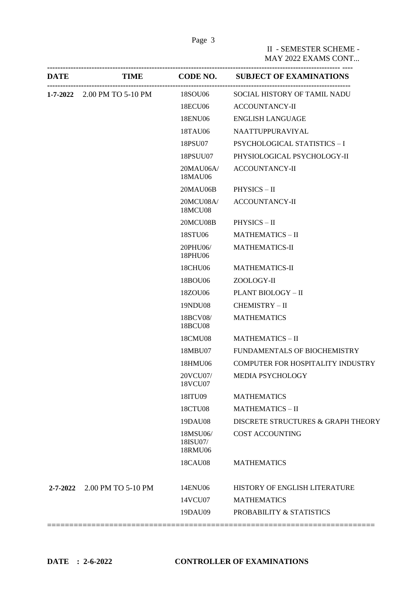Page 3

II - SEMESTER SCHEME - MAY 2022 EXAMS CONT...

| <b>DATE</b>    | <b>TIME</b>                 |                                 | <b>CODE NO. SUBJECT OF EXAMINATIONS</b> |
|----------------|-----------------------------|---------------------------------|-----------------------------------------|
|                | 1-7-2022 2.00 PM TO 5-10 PM | 18SOU06                         | SOCIAL HISTORY OF TAMIL NADU            |
|                |                             | 18ECU06                         | <b>ACCOUNTANCY-II</b>                   |
|                |                             | 18ENU06                         | <b>ENGLISH LANGUAGE</b>                 |
|                |                             | 18TAU06                         | NAATTUPPURAVIYAL                        |
|                |                             | 18PSU07                         | PSYCHOLOGICAL STATISTICS - I            |
|                |                             | 18PSUU07                        | PHYSIOLOGICAL PSYCHOLOGY-II             |
|                |                             | 20MAU06A/<br>18MAU06            | <b>ACCOUNTANCY-II</b>                   |
|                |                             | 20MAU06B                        | PHYSICS-II                              |
|                |                             | 20MCU08A/<br><b>18MCU08</b>     | <b>ACCOUNTANCY-II</b>                   |
|                |                             | 20MCU08B                        | $PHYSICS - II$                          |
|                |                             | 18STU06                         | <b>MATHEMATICS - II</b>                 |
|                |                             | 20PHU06/<br>18PHU06             | <b>MATHEMATICS-II</b>                   |
|                |                             | 18CHU06                         | <b>MATHEMATICS-II</b>                   |
|                |                             | 18BOU06                         | ZOOLOGY-II                              |
|                |                             | 18ZOU06                         | PLANT BIOLOGY - II                      |
|                |                             | 19NDU08                         | CHEMISTRY - II                          |
|                |                             | 18BCV08/<br>18BCU08             | <b>MATHEMATICS</b>                      |
|                |                             | 18CMU08                         | <b>MATHEMATICS - II</b>                 |
|                |                             | 18MBU07                         | FUNDAMENTALS OF BIOCHEMISTRY            |
|                |                             | 18HMU06                         | COMPUTER FOR HOSPITALITY INDUSTRY       |
|                |                             | 20VCU07/<br>18VCU07             | MEDIA PSYCHOLOGY                        |
|                |                             | 18ITU09                         | <b>MATHEMATICS</b>                      |
|                |                             | 18CTU08                         | <b>MATHEMATICS - II</b>                 |
|                |                             | 19DAU08                         | DISCRETE STRUCTURES & GRAPH THEORY      |
|                |                             | 18MSU06/<br>18ISU07/<br>18RMU06 | <b>COST ACCOUNTING</b>                  |
|                |                             | <b>18CAU08</b>                  | <b>MATHEMATICS</b>                      |
| $2 - 7 - 2022$ | 2.00 PM TO 5-10 PM          | 14ENU06                         | HISTORY OF ENGLISH LITERATURE           |
|                |                             | 14VCU07                         | <b>MATHEMATICS</b>                      |
|                |                             | 19DAU09                         | PROBABILITY & STATISTICS                |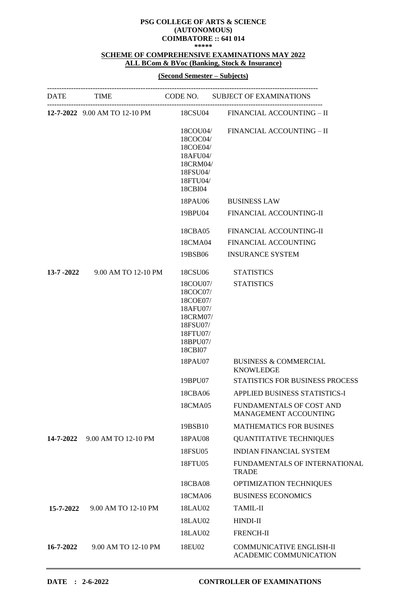**\*\*\*\*\***

## **SCHEME OF COMPREHENSIVE EXAMINATIONS MAY 2022 ALL BCom & BVoc (Banking, Stock & Insurance)**

## **(Second Semester – Subjects)**

|           |                                |                                                                                                         | DATE TIME CODE NO. SUBJECT OF EXAMINATIONS                      |
|-----------|--------------------------------|---------------------------------------------------------------------------------------------------------|-----------------------------------------------------------------|
|           |                                |                                                                                                         | 12-7-2022 9.00 AM TO 12-10 PM 18CSU04 FINANCIAL ACCOUNTING - II |
|           |                                | 18COU04/<br>18COC04/<br>18COE04/<br>18AFU04/<br>18CRM04/<br>18FSU04/<br>18FTU04/<br>18CBI04             | FINANCIAL ACCOUNTING - II                                       |
|           |                                | 18PAU06                                                                                                 | <b>BUSINESS LAW</b>                                             |
|           |                                | 19BPU04                                                                                                 | FINANCIAL ACCOUNTING-II                                         |
|           |                                | 18CBA05                                                                                                 | FINANCIAL ACCOUNTING-II                                         |
|           |                                | 18CMA04                                                                                                 | <b>FINANCIAL ACCOUNTING</b>                                     |
|           |                                | 19BSB06                                                                                                 | <b>INSURANCE SYSTEM</b>                                         |
|           | 13-7 -2022 9.00 AM TO 12-10 PM | 18CSU06                                                                                                 | <b>STATISTICS</b>                                               |
|           |                                | 18COU07/<br>18COC07/<br>18COE07/<br>18AFU07/<br>18CRM07/<br>18FSU07/<br>18FTU07/<br>18BPU07/<br>18CBI07 | <b>STATISTICS</b>                                               |
|           |                                | 18PAU07                                                                                                 | <b>BUSINESS &amp; COMMERCIAL</b><br><b>KNOWLEDGE</b>            |
|           |                                | 19BPU07                                                                                                 | STATISTICS FOR BUSINESS PROCESS                                 |
|           |                                | 18CBA06                                                                                                 | APPLIED BUSINESS STATISTICS-I                                   |
|           |                                | 18CMA05                                                                                                 | FUNDAMENTALS OF COST AND<br><b>MANAGEMENT ACCOUNTING</b>        |
|           |                                | 19BSB10                                                                                                 | <b>MATHEMATICS FOR BUSINES</b>                                  |
| 14-7-2022 | 9.00 AM TO 12-10 PM            | 18PAU08                                                                                                 | <b>QUANTITATIVE TECHNIQUES</b>                                  |
|           |                                | 18FSU05                                                                                                 | <b>INDIAN FINANCIAL SYSTEM</b>                                  |
|           |                                | 18FTU05                                                                                                 | FUNDAMENTALS OF INTERNATIONAL<br><b>TRADE</b>                   |
|           |                                | 18CBA08                                                                                                 | OPTIMIZATION TECHNIQUES                                         |
|           |                                | 18CMA06                                                                                                 | <b>BUSINESS ECONOMICS</b>                                       |
| 15-7-2022 | 9.00 AM TO 12-10 PM            | 18LAU02                                                                                                 | <b>TAMIL-II</b>                                                 |
|           |                                | 18LAU02                                                                                                 | HINDI-II                                                        |
|           |                                | 18LAU02                                                                                                 | <b>FRENCH-II</b>                                                |
| 16-7-2022 | 9.00 AM TO 12-10 PM            | 18EU02                                                                                                  | <b>COMMUNICATIVE ENGLISH-II</b><br>ACADEMIC COMMUNICATION       |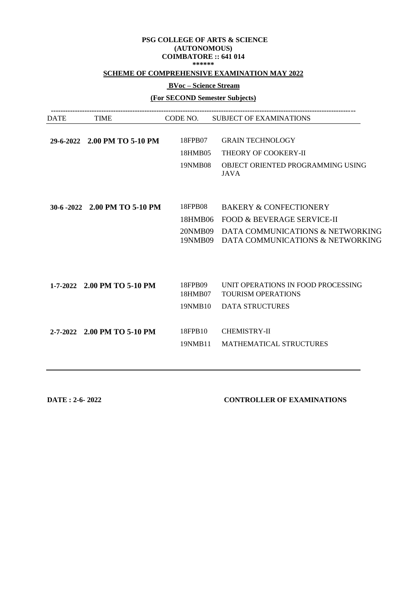## **SCHEME OF COMPREHENSIVE EXAMINATION MAY 2022**

# **BVoc – Science Stream**

**(For SECOND Semester Subjects)**

| <b>DATE</b> | <b>TIME</b>                   | CODE NO.           | <b>SUBJECT OF EXAMINATIONS</b>                                               |
|-------------|-------------------------------|--------------------|------------------------------------------------------------------------------|
|             | 29-6-2022 2.00 PM TO 5-10 PM  | 18FPB07            | <b>GRAIN TECHNOLOGY</b>                                                      |
|             |                               | 18HMB05            | THEORY OF COOKERY-II                                                         |
|             |                               | 19NMB08            | OBJECT ORIENTED PROGRAMMING USING<br><b>JAVA</b>                             |
|             | 30-6 -2022 2.00 PM TO 5-10 PM | 18FPB08            | <b>BAKERY &amp; CONFECTIONERY</b>                                            |
|             |                               |                    |                                                                              |
|             |                               | 18HMB06            | <b>FOOD &amp; BEVERAGE SERVICE-II</b>                                        |
|             |                               | 20NMB09            | DATA COMMUNICATIONS & NETWORKING<br>19NMB09 DATA COMMUNICATIONS & NETWORKING |
|             |                               |                    |                                                                              |
|             | 1-7-2022 2.00 PM TO 5-10 PM   | 18FPB09<br>18HMB07 | UNIT OPERATIONS IN FOOD PROCESSING<br><b>TOURISM OPERATIONS</b>              |
|             |                               | 19NMB10            | <b>DATA STRUCTURES</b>                                                       |
|             |                               |                    |                                                                              |
|             | 2-7-2022 2.00 PM TO 5-10 PM   | 18FPB10            | <b>CHEMISTRY-II</b>                                                          |
|             |                               | 19NMB11            | <b>MATHEMATICAL STRUCTURES</b>                                               |
|             |                               |                    |                                                                              |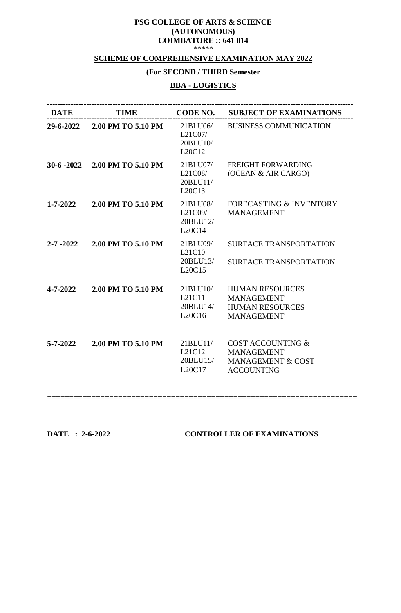## **SCHEME OF COMPREHENSIVE EXAMINATION MAY 2022**

# **(For SECOND / THIRD Semester**

# **BBA - LOGISTICS**

| <b>DATE</b>    | <b>TIME</b>        | <b>CODE NO.</b>                           | <b>SUBJECT OF EXAMINATIONS</b>                                                                         |
|----------------|--------------------|-------------------------------------------|--------------------------------------------------------------------------------------------------------|
| 29-6-2022      | 2.00 PM TO 5.10 PM | 21BLU06/<br>L21C07/<br>20BLU10/<br>L20C12 | <b>BUSINESS COMMUNICATION</b>                                                                          |
| $30-6 - 2022$  | 2.00 PM TO 5.10 PM | 21BLU07/<br>L21C08/<br>20BLU11/<br>L20C13 | <b>FREIGHT FORWARDING</b><br>(OCEAN & AIR CARGO)                                                       |
| $1 - 7 - 2022$ | 2.00 PM TO 5.10 PM | 21BLU08/<br>L21C09/<br>20BLU12/<br>L20C14 | <b>FORECASTING &amp; INVENTORY</b><br><b>MANAGEMENT</b>                                                |
| $2 - 7 - 2022$ | 2.00 PM TO 5.10 PM | 21BLU09/<br>L21C10<br>20BLU13/<br>L20C15  | <b>SURFACE TRANSPORTATION</b><br><b>SURFACE TRANSPORTATION</b>                                         |
| 4-7-2022       | 2.00 PM TO 5.10 PM | 21BLU10/<br>L21C11<br>20BLU14/<br>L20C16  | <b>HUMAN RESOURCES</b><br><b>MANAGEMENT</b><br><b>HUMAN RESOURCES</b><br><b>MANAGEMENT</b>             |
| $5 - 7 - 2022$ | 2.00 PM TO 5.10 PM | 21BLU11/<br>L21C12<br>20BLU15/<br>L20C17  | <b>COST ACCOUNTING &amp;</b><br><b>MANAGEMENT</b><br><b>MANAGEMENT &amp; COST</b><br><b>ACCOUNTING</b> |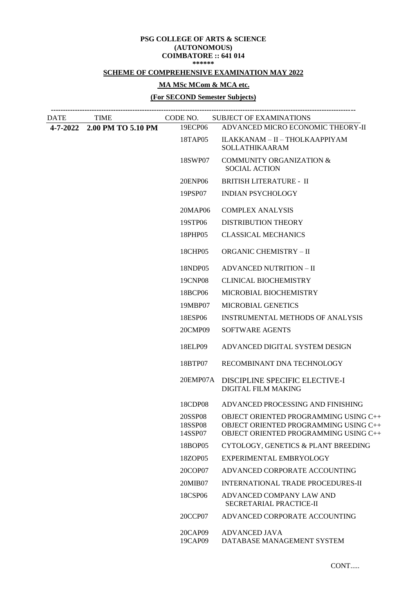## **SCHEME OF COMPREHENSIVE EXAMINATION MAY 2022**

# **MA MSc MCom & MCA etc.**

## **(For SECOND Semester Subjects)**

| <b>DATE</b> | <b>TIME</b>                 |                               | CODE NO. SUBJECT OF EXAMINATIONS                                                                                        |
|-------------|-----------------------------|-------------------------------|-------------------------------------------------------------------------------------------------------------------------|
|             | 4-7-2022 2.00 PM TO 5.10 PM | 19ECP06                       | ADVANCED MICRO ECONOMIC THEORY-II                                                                                       |
|             |                             | 18TAP05                       | ILAKKANAM - II - THOLKAAPPIYAM<br><b>SOLLATHIKAARAM</b>                                                                 |
|             |                             | 18SWP07                       | <b>COMMUNITY ORGANIZATION &amp;</b><br><b>SOCIAL ACTION</b>                                                             |
|             |                             | 20ENP06                       | <b>BRITISH LITERATURE - II</b>                                                                                          |
|             |                             | 19PSP07                       | <b>INDIAN PSYCHOLOGY</b>                                                                                                |
|             |                             | 20MAP06                       | <b>COMPLEX ANALYSIS</b>                                                                                                 |
|             |                             | 19STP06                       | <b>DISTRIBUTION THEORY</b>                                                                                              |
|             |                             | 18PHP05                       | <b>CLASSICAL MECHANICS</b>                                                                                              |
|             |                             | 18CHP05                       | <b>ORGANIC CHEMISTRY - II</b>                                                                                           |
|             |                             | 18NDP05                       | <b>ADVANCED NUTRITION - II</b>                                                                                          |
|             |                             | 19CNP08                       | <b>CLINICAL BIOCHEMISTRY</b>                                                                                            |
|             |                             | 18BCP06                       | MICROBIAL BIOCHEMISTRY                                                                                                  |
|             |                             | 19MBP07                       | <b>MICROBIAL GENETICS</b>                                                                                               |
|             |                             | 18ESP06                       | <b>INSTRUMENTAL METHODS OF ANALYSIS</b>                                                                                 |
|             |                             | 20CMP09                       | <b>SOFTWARE AGENTS</b>                                                                                                  |
|             |                             | 18ELP09                       | ADVANCED DIGITAL SYSTEM DESIGN                                                                                          |
|             |                             | 18BTP07                       | RECOMBINANT DNA TECHNOLOGY                                                                                              |
|             |                             | 20EMP07A                      | DISCIPLINE SPECIFIC ELECTIVE-I<br><b>DIGITAL FILM MAKING</b>                                                            |
|             |                             | 18CDP08                       | ADVANCED PROCESSING AND FINISHING                                                                                       |
|             |                             | 20SSP08<br>18SSP08<br>14SSP07 | OBJECT ORIENTED PROGRAMMING USING C++<br>OBJECT ORIENTED PROGRAMMING USING C++<br>OBJECT ORIENTED PROGRAMMING USING C++ |
|             |                             | 18BOP05                       | CYTOLOGY, GENETICS & PLANT BREEDING                                                                                     |
|             |                             | 18ZOP05                       | EXPERIMENTAL EMBRYOLOGY                                                                                                 |
|             |                             | 20COP07                       | ADVANCED CORPORATE ACCOUNTING                                                                                           |
|             |                             | 20MIB07                       | INTERNATIONAL TRADE PROCEDURES-II                                                                                       |
|             |                             | 18CSP06                       | ADVANCED COMPANY LAW AND<br>SECRETARIAL PRACTICE-II                                                                     |
|             |                             | 20CCP07                       | ADVANCED CORPORATE ACCOUNTING                                                                                           |
|             |                             | 20CAP09<br>19CAP09            | <b>ADVANCED JAVA</b><br>DATABASE MANAGEMENT SYSTEM                                                                      |
|             |                             |                               |                                                                                                                         |

CONT.....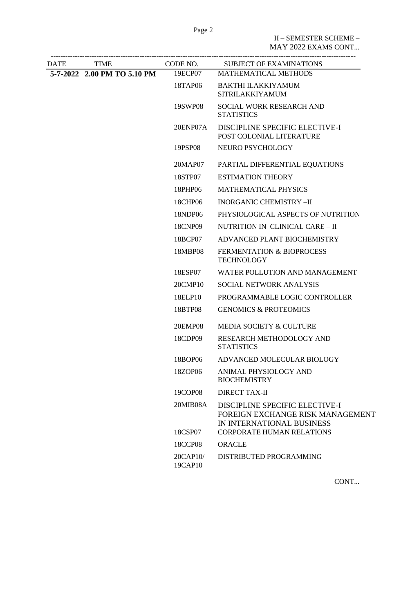II – SEMESTER SCHEME – MAY 2022 EXAMS CONT...

| DATE | <b>TIME</b>                 | CODE NO.                                            | <b>SUBJECT OF EXAMINATIONS</b>                                                                  |
|------|-----------------------------|-----------------------------------------------------|-------------------------------------------------------------------------------------------------|
|      | 5-7-2022 2.00 PM TO 5.10 PM | 19ECP07                                             | <b>MATHEMATICAL METHODS</b>                                                                     |
|      | 18TAP06                     | <b>BAKTHI ILAKKIYAMUM</b><br><b>SITRILAKKIYAMUM</b> |                                                                                                 |
|      |                             | 19SWP08                                             | SOCIAL WORK RESEARCH AND<br><b>STATISTICS</b>                                                   |
|      |                             | 20ENP07A                                            | DISCIPLINE SPECIFIC ELECTIVE-I<br>POST COLONIAL LITERATURE                                      |
|      |                             | 19PSP08                                             | NEURO PSYCHOLOGY                                                                                |
|      |                             | 20MAP07                                             | PARTIAL DIFFERENTIAL EQUATIONS                                                                  |
|      |                             | 18STP07                                             | <b>ESTIMATION THEORY</b>                                                                        |
|      |                             | 18PHP06                                             | <b>MATHEMATICAL PHYSICS</b>                                                                     |
|      |                             | 18CHP06                                             | <b>INORGANIC CHEMISTRY -II</b>                                                                  |
|      |                             | 18NDP06                                             | PHYSIOLOGICAL ASPECTS OF NUTRITION                                                              |
|      |                             | 18CNP09                                             | NUTRITION IN CLINICAL CARE - II                                                                 |
|      |                             | 18BCP07                                             | ADVANCED PLANT BIOCHEMISTRY                                                                     |
|      |                             | 18MBP08                                             | <b>FERMENTATION &amp; BIOPROCESS</b><br><b>TECHNOLOGY</b>                                       |
|      |                             | 18ESP07                                             | WATER POLLUTION AND MANAGEMENT                                                                  |
|      |                             | 20CMP10                                             | SOCIAL NETWORK ANALYSIS                                                                         |
|      |                             | 18ELP10                                             | PROGRAMMABLE LOGIC CONTROLLER                                                                   |
|      |                             | 18BTP08                                             | <b>GENOMICS &amp; PROTEOMICS</b>                                                                |
|      |                             | <b>20EMP08</b>                                      | MEDIA SOCIETY & CULTURE                                                                         |
|      |                             | 18CDP09                                             | RESEARCH METHODOLOGY AND<br><b>STATISTICS</b>                                                   |
|      |                             | 18BOP06                                             | ADVANCED MOLECULAR BIOLOGY                                                                      |
|      |                             | 18ZOP06                                             | ANIMAL PHYSIOLOGY AND<br><b>BIOCHEMISTRY</b>                                                    |
|      |                             | 19COP08                                             | <b>DIRECT TAX-II</b>                                                                            |
|      |                             | 20MIB08A                                            | DISCIPLINE SPECIFIC ELECTIVE-I<br>FOREIGN EXCHANGE RISK MANAGEMENT<br>IN INTERNATIONAL BUSINESS |
|      |                             | 18CSP07                                             | <b>CORPORATE HUMAN RELATIONS</b>                                                                |
|      |                             | 18CCP08                                             | <b>ORACLE</b>                                                                                   |
|      |                             | 20CAP10/<br>19CAP10                                 | DISTRIBUTED PROGRAMMING                                                                         |

CONT...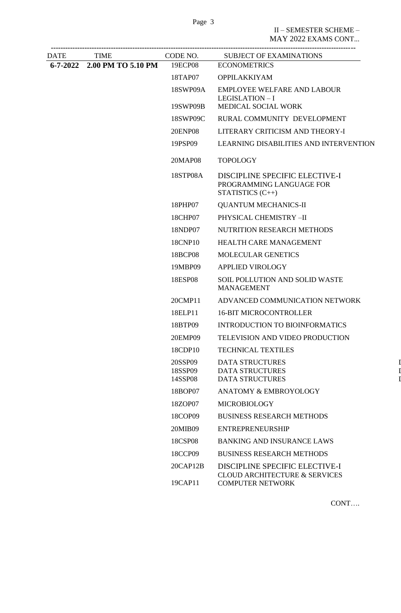| DATE | <b>TIME</b>                 | CODE NO.                                              | SUBJECT OF EXAMINATIONS                                                             |
|------|-----------------------------|-------------------------------------------------------|-------------------------------------------------------------------------------------|
|      | 6-7-2022 2.00 PM TO 5.10 PM | 19ECP08                                               | <b>ECONOMETRICS</b>                                                                 |
|      | 18TAP07                     | <b>OPPILAKKIYAM</b>                                   |                                                                                     |
|      | 18SWP09A                    | <b>EMPLOYEE WELFARE AND LABOUR</b><br>LEGISLATION - I |                                                                                     |
|      |                             | 19SWP09B                                              | MEDICAL SOCIAL WORK                                                                 |
|      |                             | 18SWP09C                                              | RURAL COMMUNITY DEVELOPMENT                                                         |
|      |                             | <b>20ENP08</b>                                        | LITERARY CRITICISM AND THEORY-I                                                     |
|      |                             | 19PSP09                                               | LEARNING DISABILITIES AND INTERVENTION                                              |
|      |                             | 20MAP08                                               | <b>TOPOLOGY</b>                                                                     |
|      |                             | 18STP08A                                              | DISCIPLINE SPECIFIC ELECTIVE-I<br>PROGRAMMING LANGUAGE FOR<br>STATISTICS $(C_{++})$ |
|      |                             | 18PHP07                                               | <b>QUANTUM MECHANICS-II</b>                                                         |
|      |                             | 18CHP07                                               | PHYSICAL CHEMISTRY -II                                                              |
|      |                             | 18NDP07                                               | NUTRITION RESEARCH METHODS                                                          |
|      |                             | 18CNP10                                               | <b>HEALTH CARE MANAGEMENT</b>                                                       |
|      |                             | 18BCP08                                               | <b>MOLECULAR GENETICS</b>                                                           |
|      |                             | 19MBP09                                               | <b>APPLIED VIROLOGY</b>                                                             |
|      |                             | 18ESP08                                               | SOIL POLLUTION AND SOLID WASTE<br><b>MANAGEMENT</b>                                 |
|      |                             | 20CMP11                                               | ADVANCED COMMUNICATION NETWORK                                                      |
|      |                             | 18ELP11                                               | <b>16-BIT MICROCONTROLLER</b>                                                       |
|      |                             | 18BTP09                                               | <b>INTRODUCTION TO BIOINFORMATICS</b>                                               |
|      |                             | 20EMP09                                               | TELEVISION AND VIDEO PRODUCTION                                                     |
|      |                             | 18CDP10                                               | <b>TECHNICAL TEXTILES</b>                                                           |
|      |                             | 20SSP09<br>18SSP09<br>14SSP08                         | <b>DATA STRUCTURES</b><br><b>DATA STRUCTURES</b><br><b>DATA STRUCTURES</b>          |
|      |                             | 18BOP07                                               | <b>ANATOMY &amp; EMBROYOLOGY</b>                                                    |
|      |                             | 18ZOP07                                               | <b>MICROBIOLOGY</b>                                                                 |
|      |                             | 18COP09                                               | <b>BUSINESS RESEARCH METHODS</b>                                                    |
|      |                             | 20MIB09                                               | <b>ENTREPRENEURSHIP</b>                                                             |
|      |                             | 18CSP08                                               | <b>BANKING AND INSURANCE LAWS</b>                                                   |
|      |                             | 18CCP09                                               | <b>BUSINESS RESEARCH METHODS</b>                                                    |
|      |                             | 20CAP12B                                              | DISCIPLINE SPECIFIC ELECTIVE-I<br><b>CLOUD ARCHITECTURE &amp; SERVICES</b>          |
|      |                             | 19CAP11                                               | <b>COMPUTER NETWORK</b>                                                             |

CONT….

 $\overline{I}$  $\overline{I}$  $\overline{I}$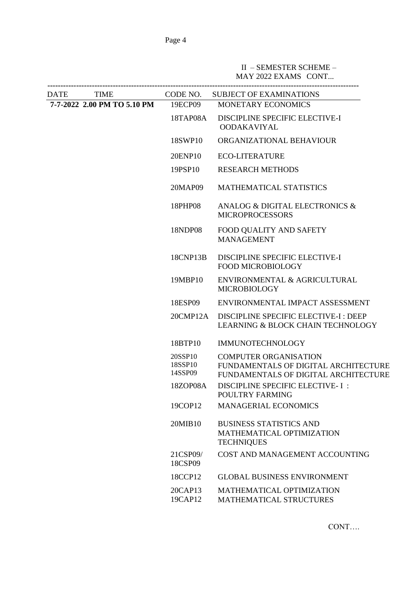# II – SEMESTER SCHEME – MAY 2022 EXAMS CONT...

| <b>DATE</b> | <b>TIME</b>                 |                                                                                  | CODE NO. SUBJECT OF EXAMINATIONS                                                                             |
|-------------|-----------------------------|----------------------------------------------------------------------------------|--------------------------------------------------------------------------------------------------------------|
|             | 7-7-2022 2.00 PM TO 5.10 PM | 19ECP09                                                                          | <b>MONETARY ECONOMICS</b>                                                                                    |
|             | 18TAP08A                    | DISCIPLINE SPECIFIC ELECTIVE-I<br><b>OODAKAVIYAL</b>                             |                                                                                                              |
|             |                             | 18SWP10                                                                          | ORGANIZATIONAL BEHAVIOUR                                                                                     |
|             |                             | 20ENP10                                                                          | <b>ECO-LITERATURE</b>                                                                                        |
|             |                             | 19PSP10                                                                          | <b>RESEARCH METHODS</b>                                                                                      |
|             |                             | 20MAP09                                                                          | MATHEMATICAL STATISTICS                                                                                      |
|             |                             | 18PHP08                                                                          | ANALOG & DIGITAL ELECTRONICS &<br><b>MICROPROCESSORS</b>                                                     |
|             |                             | 18NDP08                                                                          | FOOD QUALITY AND SAFETY<br><b>MANAGEMENT</b>                                                                 |
|             |                             | 18CNP13B                                                                         | DISCIPLINE SPECIFIC ELECTIVE-I<br><b>FOOD MICROBIOLOGY</b>                                                   |
|             |                             | 19MBP10                                                                          | ENVIRONMENTAL & AGRICULTURAL<br><b>MICROBIOLOGY</b>                                                          |
|             |                             | 18ESP09                                                                          | ENVIRONMENTAL IMPACT ASSESSMENT                                                                              |
|             |                             | 20CMP12A                                                                         | DISCIPLINE SPECIFIC ELECTIVE-I : DEEP<br><b>LEARNING &amp; BLOCK CHAIN TECHNOLOGY</b>                        |
|             |                             | 18BTP10                                                                          | <b>IMMUNOTECHNOLOGY</b>                                                                                      |
|             |                             | 20SSP10<br>18SSP10<br>14SSP09                                                    | <b>COMPUTER ORGANISATION</b><br>FUNDAMENTALS OF DIGITAL ARCHITECTURE<br>FUNDAMENTALS OF DIGITAL ARCHITECTURE |
|             |                             | 18ZOP08A                                                                         | DISCIPLINE SPECIFIC ELECTIVE- I:<br>POULTRY FARMING                                                          |
|             |                             | 19COP12                                                                          | <b>MANAGERIAL ECONOMICS</b>                                                                                  |
|             | 20MIB10                     | <b>BUSINESS STATISTICS AND</b><br>MATHEMATICAL OPTIMIZATION<br><b>TECHNIQUES</b> |                                                                                                              |
|             |                             | 21CSP09/<br>18CSP09                                                              | COST AND MANAGEMENT ACCOUNTING                                                                               |
|             |                             | 18CCP12                                                                          | <b>GLOBAL BUSINESS ENVIRONMENT</b>                                                                           |
|             |                             | 20CAP13<br>19CAP12                                                               | MATHEMATICAL OPTIMIZATION<br>MATHEMATICAL STRUCTURES                                                         |

CONT….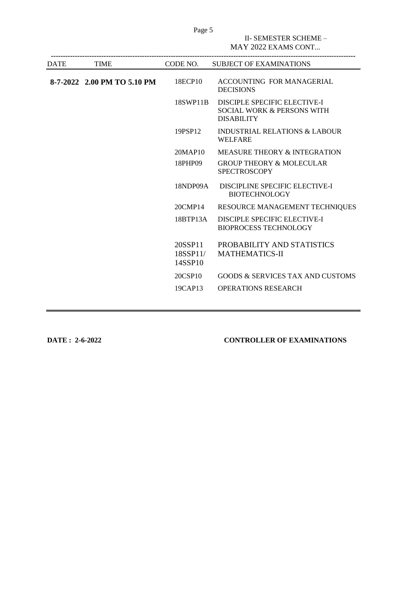|      |                             |                                      | II- SEMESTER SCHEME -<br>MAY 2022 EXAMS CONT                                    |
|------|-----------------------------|--------------------------------------|---------------------------------------------------------------------------------|
| DATE | <b>TIME</b>                 | CODE NO.                             | <b>SUBJECT OF EXAMINATIONS</b>                                                  |
|      | 8-7-2022 2.00 PM TO 5.10 PM | 18ECP10                              | ACCOUNTING FOR MANAGERIAL<br><b>DECISIONS</b>                                   |
|      |                             | 18SWP11B                             | DISCIPLE SPECIFIC ELECTIVE-I<br>SOCIAL WORK & PERSONS WITH<br><b>DISABILITY</b> |
|      |                             | 19PSP12                              | <b>INDUSTRIAL RELATIONS &amp; LABOUR</b><br><b>WELFARE</b>                      |
|      |                             | 20MAP10                              | <b>MEASURE THEORY &amp; INTEGRATION</b>                                         |
|      |                             | 18PHP09                              | <b>GROUP THEORY &amp; MOLECULAR</b><br><b>SPECTROSCOPY</b>                      |
|      |                             | 18NDP09A                             | DISCIPLINE SPECIFIC ELECTIVE-I<br><b>BIOTECHNOLOGY</b>                          |
|      |                             | 20CMP14                              | RESOURCE MANAGEMENT TECHNIQUES                                                  |
|      |                             | 18BTP13A                             | <b>DISCIPLE SPECIFIC ELECTIVE-I</b><br><b>BIOPROCESS TECHNOLOGY</b>             |
|      |                             | 20SSP11<br>$18$ SSP $11/$<br>14SSP10 | PROBABILITY AND STATISTICS<br><b>MATHEMATICS-II</b>                             |
|      |                             | 20CSP10                              | <b>GOODS &amp; SERVICES TAX AND CUSTOMS</b>                                     |
|      |                             | 19CAP13                              | <b>OPERATIONS RESEARCH</b>                                                      |

Page 5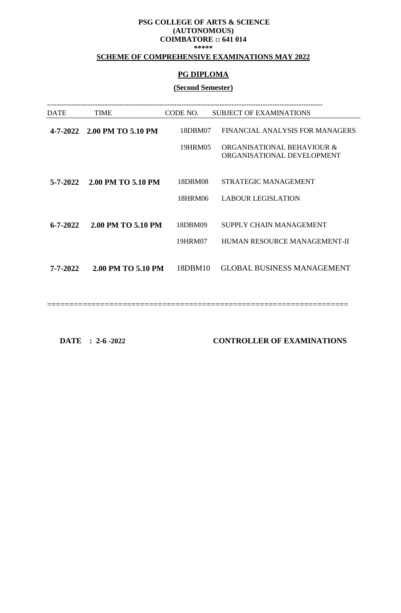## **SCHEME OF COMPREHENSIVE EXAMINATIONS MAY 2022**

## **PG DIPLOMA**

## **(Second Semester)**

| DATE           | <b>TIME</b>        | CODE NO. | <b>SUBJECT OF EXAMINATIONS</b>                           |
|----------------|--------------------|----------|----------------------------------------------------------|
| 4-7-2022       | 2.00 PM TO 5.10 PM | 18DBM07  | FINANCIAL ANALYSIS FOR MANAGERS                          |
|                |                    | 19HRM05  | ORGANISATIONAL BEHAVIOUR &<br>ORGANISATIONAL DEVELOPMENT |
| $5 - 7 - 2022$ | 2.00 PM TO 5.10 PM | 18DBM08  | STRATEGIC MANAGEMENT                                     |
|                |                    | 18HRM06  | <b>LABOUR LEGISLATION</b>                                |
|                |                    |          |                                                          |
| $6 - 7 - 2022$ | 2.00 PM TO 5.10 PM | 18DBM09  | SUPPLY CHAIN MANAGEMENT                                  |
|                |                    | 19HRM07  | HUMAN RESOURCE MANAGEMENT-II                             |
| 7-7-2022       | 2.00 PM TO 5.10 PM | 18DBM10  | <b>GLOBAL BUSINESS MANAGEMENT</b>                        |
|                |                    |          |                                                          |

====================================================================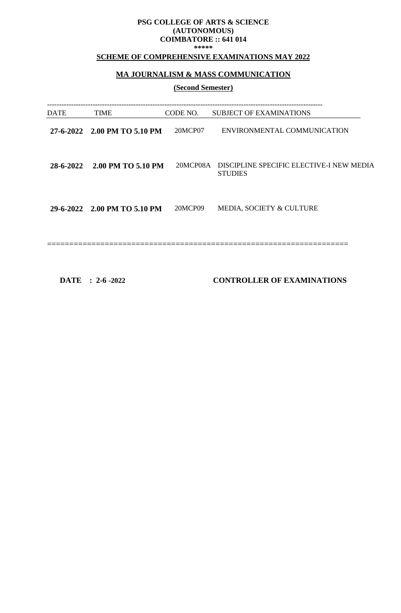# **SCHEME OF COMPREHENSIVE EXAMINATIONS MAY 2022**

# **MA JOURNALISM & MASS COMMUNICATION**

## **(Second Semester)**

| DATE | TIME                         | CODE NO. | <b>SUBJECT OF EXAMINATIONS</b>                                      |
|------|------------------------------|----------|---------------------------------------------------------------------|
|      | 27-6-2022 2.00 PM TO 5.10 PM | 20MCP07  | ENVIRONMENTAL COMMUNICATION                                         |
|      | 28-6-2022 2.00 PM TO 5.10 PM |          | 20MCP08A DISCIPLINE SPECIFIC ELECTIVE-I NEW MEDIA<br><b>STUDIES</b> |
|      | 29-6-2022 2.00 PM TO 5.10 PM | 20MCP09  | MEDIA, SOCIETY & CULTURE                                            |
|      |                              |          |                                                                     |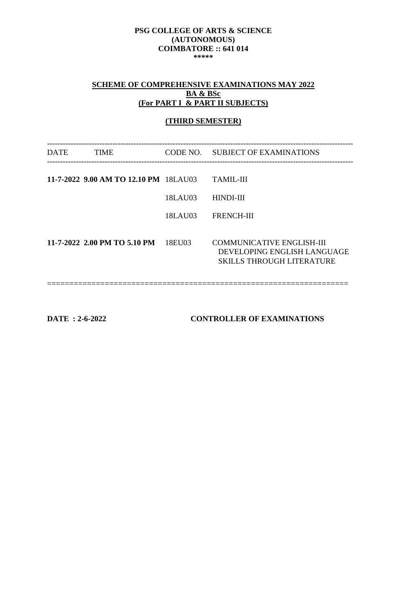# **SCHEME OF COMPREHENSIVE EXAMINATIONS MAY 2022 BA & BSc (For PART I & PART II SUBJECTS)**

## **(THIRD SEMESTER)**

| DATE | <b>TIME</b>                           |         | CODE NO. SUBJECT OF EXAMINATIONS                                                                    |
|------|---------------------------------------|---------|-----------------------------------------------------------------------------------------------------|
|      | 11-7-2022 9.00 AM TO 12.10 PM 18LAU03 |         | <b>TAMIL-III</b>                                                                                    |
|      |                                       | 18LAU03 | HINDI-III                                                                                           |
|      |                                       | 18LAU03 | FRENCH-III                                                                                          |
|      | 11-7-2022 2.00 PM TO 5.10 PM          | 18EU03  | <b>COMMUNICATIVE ENGLISH-III</b><br>DEVELOPING ENGLISH LANGUAGE<br><b>SKILLS THROUGH LITERATURE</b> |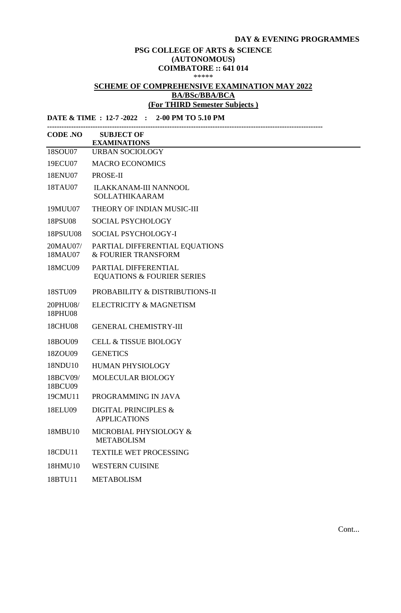## **DAY & EVENING PROGRAMMES**

#### **PSG COLLEGE OF ARTS & SCIENCE (AUTONOMOUS) COIMBATORE :: 641 014** \*\*\*\*\*

# **SCHEME OF COMPREHENSIVE EXAMINATION MAY 2022 BA/BSc/BBA/BCA (For THIRD Semester Subjects )**

| DATE & TIME : 12-7 -2022 : 2-00 PM TO 5.10 PM |                                                               |  |
|-----------------------------------------------|---------------------------------------------------------------|--|
| <b>CODE .NO</b>                               | <b>SUBJECT OF</b><br><b>EXAMINATIONS</b>                      |  |
| 18SOU07                                       | <b>URBAN SOCIOLOGY</b>                                        |  |
| 19ECU07                                       | <b>MACRO ECONOMICS</b>                                        |  |
| 18ENU07                                       | PROSE-II                                                      |  |
| 18TAU07                                       | <b>ILAKKANAM-III NANNOOL</b><br><b>SOLLATHIKAARAM</b>         |  |
| 19MUU07                                       | THEORY OF INDIAN MUSIC-III                                    |  |
| 18PSU08                                       | <b>SOCIAL PSYCHOLOGY</b>                                      |  |
| <b>18PSUU08</b>                               | SOCIAL PSYCHOLOGY-I                                           |  |
| 20MAU07/<br>18MAU07                           | PARTIAL DIFFERENTIAL EQUATIONS<br>& FOURIER TRANSFORM         |  |
| 18MCU09                                       | PARTIAL DIFFERENTIAL<br><b>EQUATIONS &amp; FOURIER SERIES</b> |  |
| 18STU09                                       | PROBABILITY & DISTRIBUTIONS-II                                |  |
| 20PHU08/<br>18PHU08                           | ELECTRICITY & MAGNETISM                                       |  |
| <b>18CHU08</b>                                | <b>GENERAL CHEMISTRY-III</b>                                  |  |
| 18BOU09                                       | <b>CELL &amp; TISSUE BIOLOGY</b>                              |  |
| 18ZOU09                                       | <b>GENETICS</b>                                               |  |
| 18NDU10                                       | <b>HUMAN PHYSIOLOGY</b>                                       |  |
| 18BCV09/<br>18BCU09                           | <b>MOLECULAR BIOLOGY</b>                                      |  |
| 19CMU11                                       | PROGRAMMING IN JAVA                                           |  |
| 18ELU09                                       | <b>DIGITAL PRINCIPLES &amp;</b><br><b>APPLICATIONS</b>        |  |
| 18MBU10                                       | MICROBIAL PHYSIOLOGY &<br><b>METABOLISM</b>                   |  |
| 18CDU11                                       | <b>TEXTILE WET PROCESSING</b>                                 |  |
| 18HMU10                                       | <b>WESTERN CUISINE</b>                                        |  |
| 18BTU11                                       | <b>METABOLISM</b>                                             |  |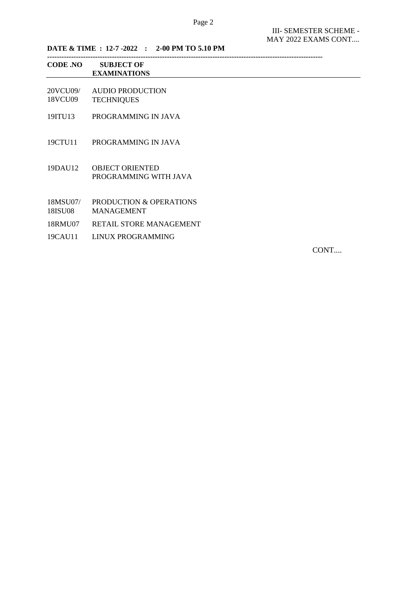MAY 2022 EXAMS CONT....

**DATE & TIME : 12-7 -2022 : 2-00 PM TO 5.10 PM**

| <b>CODE .NO</b>     | <b>SUBJECT OF</b><br><b>EXAMINATIONS</b>        |
|---------------------|-------------------------------------------------|
| 20VCU09/<br>18VCU09 | <b>AUDIO PRODUCTION</b><br><b>TECHNIQUES</b>    |
| 19ITU13             | PROGRAMMING IN JAVA                             |
| 19CTU11             | PROGRAMMING IN JAVA                             |
| 19DAU12             | <b>OBJECT ORIENTED</b><br>PROGRAMMING WITH JAVA |

- 18MSU07/ PRODUCTION & OPERATIONS 18ISU08 MANAGEMENT
- 
- 18RMU07 RETAIL STORE MANAGEMENT
- 19CAU11 LINUX PROGRAMMING

CONT....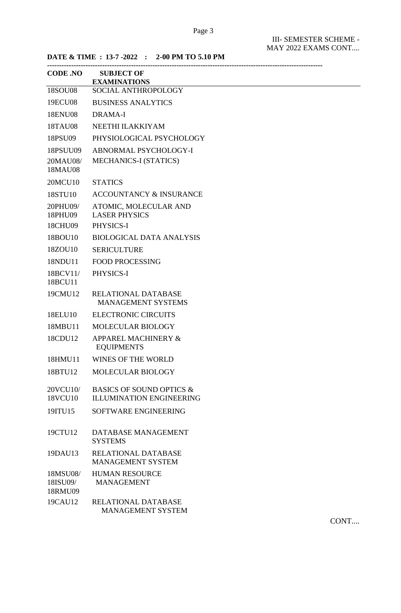**DATE & TIME : 13-7 -2022 : 2-00 PM TO 5.10 PM**

| <b>CODE .NO</b>                 | <b>SUBJECT OF</b><br><b>EXAMINATIONS</b>                               |
|---------------------------------|------------------------------------------------------------------------|
| <b>18SOU08</b>                  | SOCIAL ANTHROPOLOGY                                                    |
| 19ECU08                         | <b>BUSINESS ANALYTICS</b>                                              |
| <b>18ENU08</b>                  | <b>DRAMA-I</b>                                                         |
| 18TAU08                         | NEETHI ILAKKIYAM                                                       |
| 18PSU09                         | PHYSIOLOGICAL PSYCHOLOGY                                               |
| 18PSUU09                        | <b>ABNORMAL PSYCHOLOGY-I</b>                                           |
| 20MAU08/<br>18MAU08             | <b>MECHANICS-I (STATICS)</b>                                           |
| 20MCU10                         | <b>STATICS</b>                                                         |
| 18STU10                         | <b>ACCOUNTANCY &amp; INSURANCE</b>                                     |
| 20PHU09/<br>18PHU09             | ATOMIC, MOLECULAR AND<br><b>LASER PHYSICS</b>                          |
| 18CHU09                         | PHYSICS-I                                                              |
| 18BOU10                         | <b>BIOLOGICAL DATA ANALYSIS</b>                                        |
| 18ZOU10                         | <b>SERICULTURE</b>                                                     |
| 18NDU11                         | <b>FOOD PROCESSING</b>                                                 |
| 18BCV11/<br>18BCU11             | PHYSICS-I                                                              |
| 19CMU12                         | <b>RELATIONAL DATABASE</b><br><b>MANAGEMENT SYSTEMS</b>                |
| 18ELU10                         | <b>ELECTRONIC CIRCUITS</b>                                             |
| 18MBU11                         | <b>MOLECULAR BIOLOGY</b>                                               |
| 18CDU12                         | <b>APPAREL MACHINERY &amp;</b><br><b>EQUIPMENTS</b>                    |
| 18HMU11                         | <b>WINES OF THE WORLD</b>                                              |
| 18BTU12                         | MOLECULAR BIOLOGY                                                      |
| 20VCU10/<br>18VCU10             | <b>BASICS OF SOUND OPTICS &amp;</b><br><b>ILLUMINATION ENGINEERING</b> |
| 19ITU15                         | SOFTWARE ENGINEERING                                                   |
| 19CTU12                         | DATABASE MANAGEMENT<br><b>SYSTEMS</b>                                  |
| 19DAU13                         | RELATIONAL DATABASE<br><b>MANAGEMENT SYSTEM</b>                        |
| 18MSU08/<br>18ISU09/<br>18RMU09 | <b>HUMAN RESOURCE</b><br><b>MANAGEMENT</b>                             |
| 19CAU12                         | RELATIONAL DATABASE<br><b>MANAGEMENT SYSTEM</b>                        |

CONT....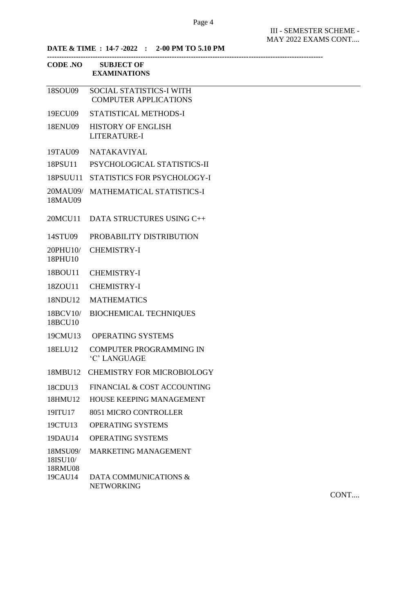III - SEMESTER SCHEME - MAY 2022 EXAMS CONT....

**DATE & TIME : 14-7 -2022 : 2-00 PM TO 5.10 PM** 

|                                 | CODE .NO SUBJECT OF<br><b>EXAMINATIONS</b>               |
|---------------------------------|----------------------------------------------------------|
| 18SOU09                         | SOCIAL STATISTICS-I WITH<br><b>COMPUTER APPLICATIONS</b> |
| 19ECU09                         | STATISTICAL METHODS-I                                    |
| 18ENU09                         | <b>HISTORY OF ENGLISH</b><br><b>LITERATURE-I</b>         |
| 19TAU09                         | <b>NATAKAVIYAL</b>                                       |
| 18PSU11                         | PSYCHOLOGICAL STATISTICS-II                              |
| 18PSUU11                        | STATISTICS FOR PSYCHOLOGY-I                              |
| 18MAU09                         | 20MAU09/ MATHEMATICAL STATISTICS-I                       |
| 20MCU11                         | DATA STRUCTURES USING C++                                |
| 14STU09                         | PROBABILITY DISTRIBUTION                                 |
| 20PHU10/<br>18PHU10             | <b>CHEMISTRY-I</b>                                       |
| 18BOU11                         | <b>CHEMISTRY-I</b>                                       |
| 18ZOU11                         | <b>CHEMISTRY-I</b>                                       |
| 18NDU12                         | <b>MATHEMATICS</b>                                       |
| 18BCV10/<br>18BCU10             | <b>BIOCHEMICAL TECHNIQUES</b>                            |
|                                 | 19CMU13 OPERATING SYSTEMS                                |
| 18ELU12                         | <b>COMPUTER PROGRAMMING IN</b><br>'C' LANGUAGE           |
| 18MBU12                         | <b>CHEMISTRY FOR MICROBIOLOGY</b>                        |
| 18CDU13                         | FINANCIAL & COST ACCOUNTING                              |
| 18HMU12                         | HOUSE KEEPING MANAGEMENT                                 |
| 19ITU17                         | 8051 MICRO CONTROLLER                                    |
| 19CTU13                         | <b>OPERATING SYSTEMS</b>                                 |
| 19DAU14                         | <b>OPERATING SYSTEMS</b>                                 |
| 18MSU09/<br>18ISU10/<br>18RMU08 | <b>MARKETING MANAGEMENT</b>                              |
| 19CAU14                         | DATA COMMUNICATIONS &<br><b>NETWORKING</b>               |

CONT....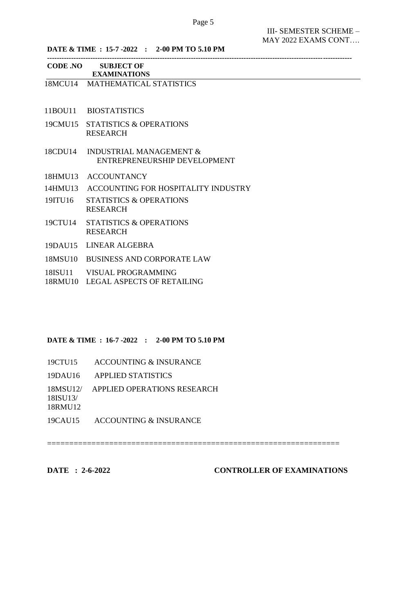**-------------------------------------------------------------------------------------------------------------------------------**

III- SEMESTER SCHEME – MAY 2022 EXAMS CONT….

**DATE & TIME : 15-7 -2022 : 2-00 PM TO 5.10 PM**

| <b>CODE .NO</b> | <b>SUBJECT OF</b> |
|-----------------|-------------------|
|                 |                   |

- **EXAMINATIONS**  18MCU14 MATHEMATICAL STATISTICS
- 11BOU11 BIOSTATISTICS
- 19CMU15 STATISTICS & OPERATIONS RESEARCH
- 18CDU14 INDUSTRIAL MANAGEMENT & ENTREPRENEURSHIP DEVELOPMENT
- 18HMU13 ACCOUNTANCY
- 14HMU13 ACCOUNTING FOR HOSPITALITY INDUSTRY
- 19ITU16 STATISTICS & OPERATIONS RESEARCH
- 19CTU14 STATISTICS & OPERATIONS RESEARCH
- 19DAU15 LINEAR ALGEBRA
- 18MSU10 BUSINESS AND CORPORATE LAW
- 18ISU11 VISUAL PROGRAMMING
- 18RMU10 LEGAL ASPECTS OF RETAILING

#### **DATE & TIME : 16-7 -2022 : 2-00 PM TO 5.10 PM**

- 19CTU15 ACCOUNTING & INSURANCE
- 19DAU16 APPLIED STATISTICS
- 18MSU12/ APPLIED OPERATIONS RESEARCH

18ISU13/ 18RMU12

19CAU15 ACCOUNTING & INSURANCE

==================================================================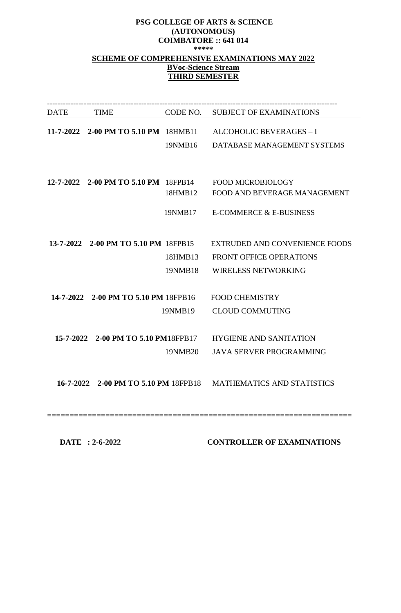# **PSG COLLEGE OF ARTS & SCIENCE (AUTONOMOUS) COIMBATORE :: 641 014 \*\*\*\*\* SCHEME OF COMPREHENSIVE EXAMINATIONS MAY 2022 BVoc-Science Stream THIRD SEMESTER**

| DATE TIME                            |         | CODE NO. SUBJECT OF EXAMINATIONS                                |
|--------------------------------------|---------|-----------------------------------------------------------------|
|                                      |         | 11-7-2022 2-00 PM TO 5.10 PM 18HMB11 ALCOHOLIC BEVERAGES - I    |
|                                      |         |                                                                 |
|                                      |         | 19NMB16 DATABASE MANAGEMENT SYSTEMS                             |
|                                      |         |                                                                 |
|                                      |         |                                                                 |
|                                      |         | 12-7-2022 2-00 PM TO 5.10 PM 18FPB14 FOOD MICROBIOLOGY          |
|                                      | 18HMB12 | FOOD AND BEVERAGE MANAGEMENT                                    |
|                                      |         |                                                                 |
|                                      |         | 19NMB17 E-COMMERCE & E-BUSINESS                                 |
|                                      |         |                                                                 |
| 13-7-2022 2-00 PM TO 5.10 PM 18FPB15 |         | EXTRUDED AND CONVENIENCE FOODS                                  |
|                                      | 18HMB13 | <b>FRONT OFFICE OPERATIONS</b>                                  |
|                                      |         |                                                                 |
|                                      | 19NMB18 | <b>WIRELESS NETWORKING</b>                                      |
|                                      |         |                                                                 |
| 14-7-2022 2-00 PM TO 5.10 PM 18FPB16 |         | <b>FOOD CHEMISTRY</b>                                           |
|                                      | 19NMB19 | <b>CLOUD COMMUTING</b>                                          |
|                                      |         |                                                                 |
|                                      |         |                                                                 |
|                                      |         | 15-7-2022 2-00 PM TO 5.10 PM18FPB17 HYGIENE AND SANITATION      |
|                                      | 19NMB20 | <b>JAVA SERVER PROGRAMMING</b>                                  |
|                                      |         |                                                                 |
|                                      |         |                                                                 |
|                                      |         | 16-7-2022 2-00 PM TO 5.10 PM 18FPB18 MATHEMATICS AND STATISTICS |
|                                      |         |                                                                 |
|                                      |         |                                                                 |
|                                      |         |                                                                 |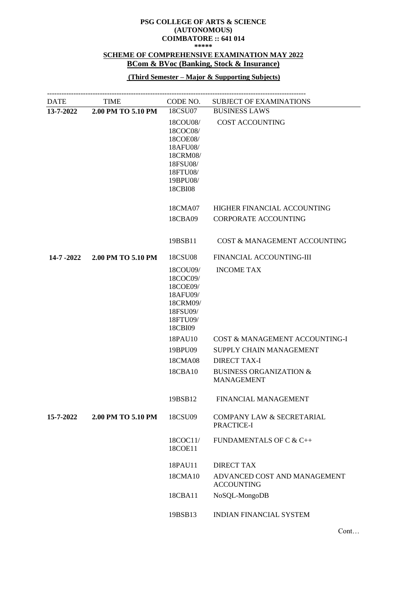#### **PSG COLLEGE OF ARTS & SCIENCE (AUTONOMOUS) COIMBATORE :: 641 014**

**\*\*\*\*\***

# **SCHEME OF COMPREHENSIVE EXAMINATION MAY 2022 BCom & BVoc (Banking, Stock & Insurance)**

## **(Third Semester – Major & Supporting Subjects)**

| <b>DATE</b> | TIME               | CODE NO.                                                                                                | <b>SUBJECT OF EXAMINATIONS</b>                          |
|-------------|--------------------|---------------------------------------------------------------------------------------------------------|---------------------------------------------------------|
| 13-7-2022   | 2.00 PM TO 5.10 PM | 18CSU07                                                                                                 | <b>BUSINESS LAWS</b>                                    |
|             |                    | 18COU08/<br>18COC08/<br>18COE08/<br>18AFU08/<br>18CRM08/<br>18FSU08/<br>18FTU08/<br>19BPU08/<br>18CBI08 | <b>COST ACCOUNTING</b>                                  |
|             |                    | 18CMA07                                                                                                 | HIGHER FINANCIAL ACCOUNTING                             |
|             |                    | 18CBA09                                                                                                 | <b>CORPORATE ACCOUNTING</b>                             |
|             |                    | 19BSB11                                                                                                 | COST & MANAGEMENT ACCOUNTING                            |
| 14-7 -2022  | 2.00 PM TO 5.10 PM | 18CSU08                                                                                                 | FINANCIAL ACCOUNTING-III                                |
|             |                    | 18COU09/<br>18COC09/<br>18COE09/<br>18AFU09/<br>18CRM09/<br>18FSU09/<br>18FTU09/<br>18CBI09             | <b>INCOME TAX</b>                                       |
|             |                    | 18PAU10                                                                                                 | COST & MANAGEMENT ACCOUNTING-I                          |
|             |                    | 19BPU09                                                                                                 | SUPPLY CHAIN MANAGEMENT                                 |
|             |                    | 18CMA08                                                                                                 | <b>DIRECT TAX-I</b>                                     |
|             |                    | 18CBA10                                                                                                 | <b>BUSINESS ORGANIZATION &amp;</b><br><b>MANAGEMENT</b> |
|             |                    | 19BSB12                                                                                                 | FINANCIAL MANAGEMENT                                    |
| 15-7-2022   | 2.00 PM TO 5.10 PM | 18CSU09                                                                                                 | <b>COMPANY LAW &amp; SECRETARIAL</b><br>PRACTICE-I      |
|             |                    | 18COC11/<br>18COE11                                                                                     | FUNDAMENTALS OF C & C++                                 |
|             |                    | 18PAU11                                                                                                 | <b>DIRECT TAX</b>                                       |
|             |                    | 18CMA10                                                                                                 | ADVANCED COST AND MANAGEMENT<br><b>ACCOUNTING</b>       |
|             |                    | 18CBA11                                                                                                 | NoSQL-MongoDB                                           |
|             |                    | 19BSB13                                                                                                 | <b>INDIAN FINANCIAL SYSTEM</b>                          |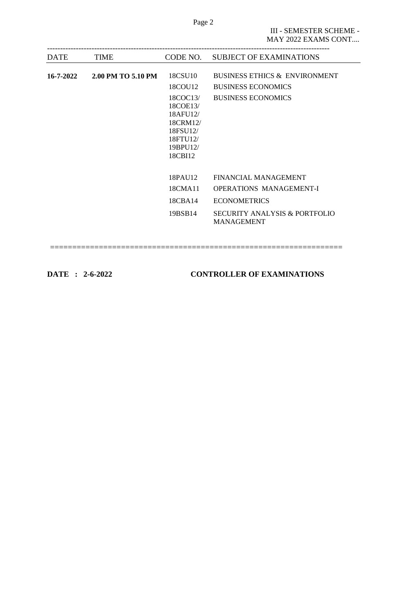| <b>DATE</b> | <b>TIME</b>        | CODE NO. | <b>SUBJECT OF EXAMINATIONS</b>                     |
|-------------|--------------------|----------|----------------------------------------------------|
|             |                    |          |                                                    |
| 16-7-2022   | 2.00 PM TO 5.10 PM | 18CSU10  | <b>BUSINESS ETHICS &amp; ENVIRONMENT</b>           |
|             |                    | 18COU12  | <b>BUSINESS ECONOMICS</b>                          |
|             |                    | 18COC13/ | <b>BUSINESS ECONOMICS</b>                          |
|             |                    | 18COE13/ |                                                    |
|             |                    | 18AFU12/ |                                                    |
|             |                    | 18CRM12/ |                                                    |
|             |                    | 18FSU12/ |                                                    |
|             |                    | 18FTU12/ |                                                    |
|             |                    | 19BPU12/ |                                                    |
|             |                    | 18CBI12  |                                                    |
|             |                    | 18PAU12  | <b>FINANCIAL MANAGEMENT</b>                        |
|             |                    |          |                                                    |
|             |                    | 18CMA11  | <b>OPERATIONS MANAGEMENT-I</b>                     |
|             |                    | 18CBA14  | <b>ECONOMETRICS</b>                                |
|             |                    | 19BSB14  | SECURITY ANALYSIS & PORTFOLIO<br><b>MANAGEMENT</b> |
|             |                    |          |                                                    |

==================================================================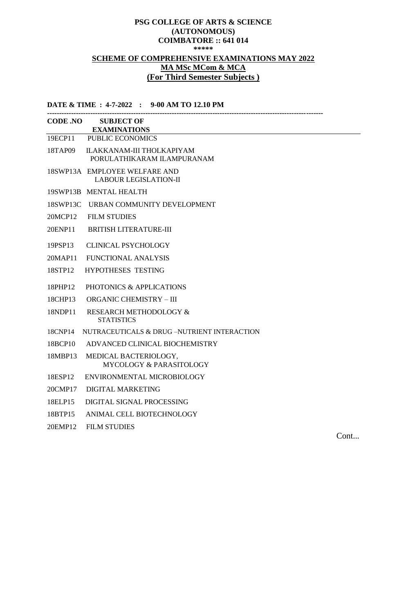# **PSG COLLEGE OF ARTS & SCIENCE (AUTONOMOUS) COIMBATORE :: 641 014 \*\*\*\*\* SCHEME OF COMPREHENSIVE EXAMINATIONS MAY 2022 MA MSc MCom & MCA (For Third Semester Subjects )**

**DATE & TIME : 4-7-2022 : 9-00 AM TO 12.10 PM**

| <b>CODE .NO SUBJECT OF</b><br><b>EXAMINATIONS</b>             |
|---------------------------------------------------------------|
| 19ECP11<br><b>PUBLIC ECONOMICS</b>                            |
| ILAKKANAM-III THOLKAPIYAM<br>PORULATHIKARAM ILAMPURANAM       |
| 18SWP13A EMPLOYEE WELFARE AND<br><b>LABOUR LEGISLATION-II</b> |
| 19SWP13B MENTAL HEALTH                                        |
| 18SWP13C URBAN COMMUNITY DEVELOPMENT                          |
| <b>FILM STUDIES</b>                                           |
| <b>BRITISH LITERATURE-III</b>                                 |
| <b>CLINICAL PSYCHOLOGY</b>                                    |
| FUNCTIONAL ANALYSIS                                           |
| <b>HYPOTHESES TESTING</b>                                     |
| PHOTONICS & APPLICATIONS                                      |
| <b>ORGANIC CHEMISTRY - III</b>                                |
| <b>RESEARCH METHODOLOGY &amp;</b><br><b>STATISTICS</b>        |
| NUTRACEUTICALS & DRUG-NUTRIENT INTERACTION                    |
| ADVANCED CLINICAL BIOCHEMISTRY                                |
| MEDICAL BACTERIOLOGY,<br>MYCOLOGY & PARASITOLOGY              |
| ENVIRONMENTAL MICROBIOLOGY                                    |
| <b>DIGITAL MARKETING</b>                                      |
| DIGITAL SIGNAL PROCESSING                                     |
| ANIMAL CELL BIOTECHNOLOGY                                     |
| <b>FILM STUDIES</b>                                           |
|                                                               |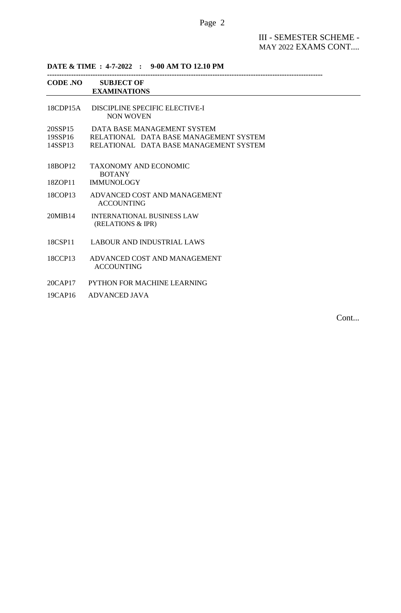# Page 2

III - SEMESTER SCHEME - MAY 2022 EXAMS CONT....

**DATE & TIME : 4-7-2022 : 9-00 AM TO 12.10 PM**

|                               | CODE .NO SUBJECT OF<br><b>EXAMINATIONS</b>                                                                      |
|-------------------------------|-----------------------------------------------------------------------------------------------------------------|
| $18$ CDP $15A$                | DISCIPLINE SPECIFIC ELECTIVE-I<br>NON WOVEN                                                                     |
| 20SSP15<br>19SSP16<br>14SSP13 | DATA BASE MANAGEMENT SYSTEM<br>RELATIONAL DATA BASE MANAGEMENT SYSTEM<br>RELATIONAL DATA BASE MANAGEMENT SYSTEM |
| 18BOP12                       | TAXONOMY AND ECONOMIC<br><b>BOTANY</b>                                                                          |
| 18ZOP11                       | <b>IMMUNOLOGY</b>                                                                                               |
| 18COP13                       | ADVANCED COST AND MANAGEMENT<br><b>ACCOUNTING</b>                                                               |
| 20MIB14                       | <b>INTERNATIONAL BUSINESS LAW</b><br>(RELATIONS & IPR)                                                          |
| 18CSP11                       | LABOUR AND INDUSTRIAL LAWS                                                                                      |
| 18CCP13                       | ADVANCED COST AND MANAGEMENT<br><b>ACCOUNTING</b>                                                               |
| 20CAP17                       | PYTHON FOR MACHINE LEARNING                                                                                     |
| 19CAP16                       | <b>ADVANCED JAVA</b>                                                                                            |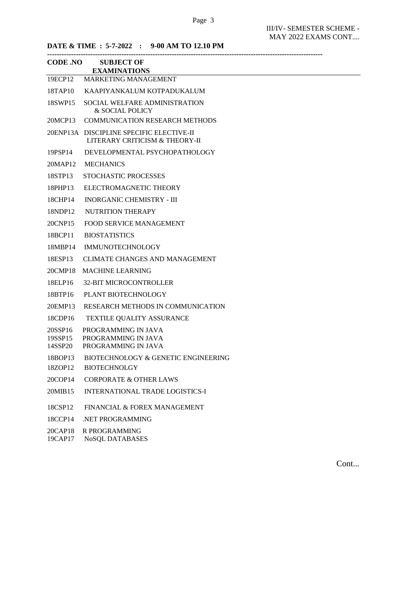**DATE & TIME : 5-7-2022 : 9-00 AM TO 12.10 PM**

|                               | CODE .NO SUBJECT OF<br><b>EXAMINATIONS</b>                                 |
|-------------------------------|----------------------------------------------------------------------------|
| 19ECP12                       | MARKETING MANAGEMENT                                                       |
| 18TAP10                       | KAAPIYANKALUM KOTPADUKALUM                                                 |
| 18SWP15                       | SOCIAL WELFARE ADMINISTRATION<br>& SOCIAL POLICY                           |
| 20MCP13                       | COMMUNICATION RESEARCH METHODS                                             |
|                               | 20ENP13A DISCIPLINE SPECIFIC ELECTIVE-II<br>LITERARY CRITICISM & THEORY-II |
| 19PSP14                       | DEVELOPMENTAL PSYCHOPATHOLOGY                                              |
| 20MAP12                       | <b>MECHANICS</b>                                                           |
| 18STP13                       | STOCHASTIC PROCESSES                                                       |
| 18PHP13                       | ELECTROMAGNETIC THEORY                                                     |
| 18CHP14                       | <b>INORGANIC CHEMISTRY - III</b>                                           |
| 18NDP12                       | <b>NUTRITION THERAPY</b>                                                   |
| 20CNP15                       | <b>FOOD SERVICE MANAGEMENT</b>                                             |
| 18BCP11                       | <b>BIOSTATISTICS</b>                                                       |
| 18MBP14                       | <b>IMMUNOTECHNOLOGY</b>                                                    |
| 18ESP13                       | <b>CLIMATE CHANGES AND MANAGEMENT</b>                                      |
| 20CMP18                       | <b>MACHINE LEARNING</b>                                                    |
| 18ELP16                       | <b>32-BIT MICROCONTROLLER</b>                                              |
| 18BTP16                       | PLANT BIOTECHNOLOGY                                                        |
| 20EMP13                       | RESEARCH METHODS IN COMMUNICATION                                          |
| 18CDP16                       | <b>TEXTILE QUALITY ASSURANCE</b>                                           |
| 20SSP16<br>19SSP15<br>14SSP20 | PROGRAMMING IN JAVA<br>PROGRAMMING IN JAVA<br>PROGRAMMING IN JAVA          |
| 18BOP13<br>18ZOP12            | BIOTECHNOLOGY & GENETIC ENGINEERING<br><b>BIOTECHNOLGY</b>                 |
| 20COP14                       | <b>CORPORATE &amp; OTHER LAWS</b>                                          |
| 20MIB15                       | <b>INTERNATIONAL TRADE LOGISTICS-I</b>                                     |
| 18CSP12                       | FINANCIAL & FOREX MANAGEMENT                                               |
| 18CCP14                       | .NET PROGRAMMING                                                           |
| 20CAP18                       | R PROGRAMMING                                                              |

19CAP17 NoSQL DATABASES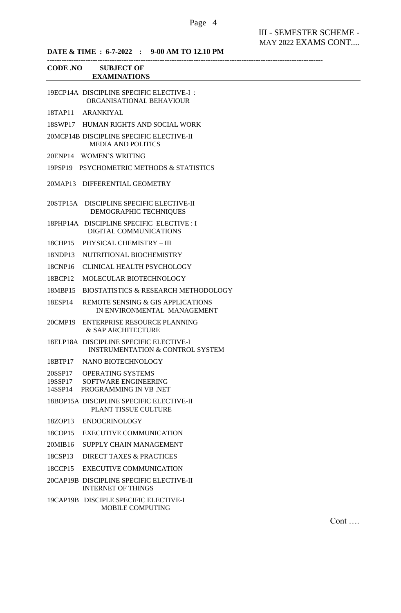# **DATE & TIME : 6-7-2022 : 9-00 AM TO 12.10 PM**

| <b>CODE .NO</b> | <b>SUBJECT OF</b> |
|-----------------|-------------------|

# **EXAMINATIONS**

|                    | 19ECP14A DISCIPLINE SPECIFIC ELECTIVE-I:<br>ORGANISATIONAL BEHAVIOUR                   |
|--------------------|----------------------------------------------------------------------------------------|
| 18TAP11            | <b>ARANKIYAL</b>                                                                       |
| 18SWP17            | HUMAN RIGHTS AND SOCIAL WORK                                                           |
|                    | 20MCP14B DISCIPLINE SPECIFIC ELECTIVE-II<br><b>MEDIA AND POLITICS</b>                  |
|                    | 20ENP14 WOMEN'S WRITING                                                                |
|                    | 19PSP19 PSYCHOMETRIC METHODS & STATISTICS                                              |
| 20MAP13            | DIFFERENTIAL GEOMETRY                                                                  |
| 20STP15A           | DISCIPLINE SPECIFIC ELECTIVE-II<br>DEMOGRAPHIC TECHNIQUES                              |
|                    | 18PHP14A DISCIPLINE SPECIFIC ELECTIVE : I<br>DIGITAL COMMUNICATIONS                    |
| 18CHP15            | PHYSICAL CHEMISTRY - III                                                               |
| 18NDP13            | NUTRITIONAL BIOCHEMISTRY                                                               |
| 18CNP16            | CLINICAL HEALTH PSYCHOLOGY                                                             |
| 18BCP12            | MOLECULAR BIOTECHNOLOGY                                                                |
| 18MBP15            | <b>BIOSTATISTICS &amp; RESEARCH METHODOLOGY</b>                                        |
| 18ESP14            | REMOTE SENSING & GIS APPLICATIONS<br>IN ENVIRONMENTAL MANAGEMENT                       |
| 20CMP19            | <b>ENTERPRISE RESOURCE PLANNING</b><br>& SAP ARCHITECTURE                              |
|                    | 18ELP18A DISCIPLINE SPECIFIC ELECTIVE-I<br><b>INSTRUMENTATION &amp; CONTROL SYSTEM</b> |
| 18BTP17            | NANO BIOTECHNOLOGY                                                                     |
| 20SSP17<br>19SSP17 | <b>OPERATING SYSTEMS</b><br>SOFTWARE ENGINEERING<br>14SSP14 PROGRAMMING IN VB .NET     |
|                    | 18BOP15A DISCIPLINE SPECIFIC ELECTIVE-II<br>PLANT TISSUE CULTURE                       |
| 18ZOP13            | <b>ENDOCRINOLOGY</b>                                                                   |
| 18COP15            | <b>EXECUTIVE COMMUNICATION</b>                                                         |
| 20MIB16            | SUPPLY CHAIN MANAGEMENT                                                                |
| 18CSP13            | <b>DIRECT TAXES &amp; PRACTICES</b>                                                    |
| 18CCP15            | <b>EXECUTIVE COMMUNICATION</b>                                                         |
|                    | 20CAP19B DISCIPLINE SPECIFIC ELECTIVE-II<br><b>INTERNET OF THINGS</b>                  |
|                    | 19CAP19B DISCIPLE SPECIFIC ELECTIVE-I<br>MOBILE COMPUTING                              |

Cont ….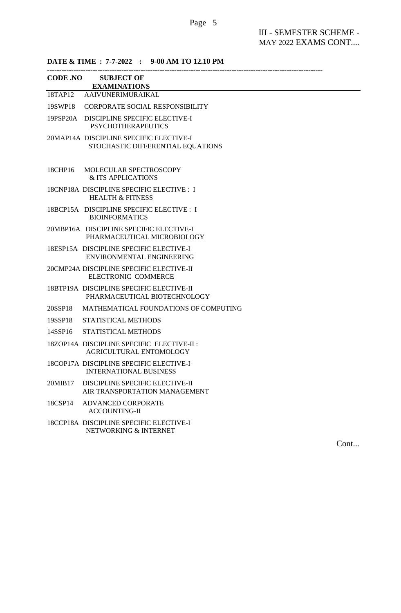| DATE & TIME : 7-7-2022 : 9-00 AM TO 12.10 PM |                                                                              |  |  |
|----------------------------------------------|------------------------------------------------------------------------------|--|--|
| <b>CODE .NO</b>                              | <b>SUBJECT OF</b><br><b>EXAMINATIONS</b>                                     |  |  |
|                                              | 18TAP12 AAIVUNERIMURAIKAL                                                    |  |  |
| 19SWP18                                      | CORPORATE SOCIAL RESPONSIBILITY                                              |  |  |
|                                              | 19PSP20A DISCIPLINE SPECIFIC ELECTIVE-I<br><b>PSYCHOTHERAPEUTICS</b>         |  |  |
|                                              | 20MAP14A DISCIPLINE SPECIFIC ELECTIVE-I<br>STOCHASTIC DIFFERENTIAL EQUATIONS |  |  |
| 18CHP16                                      | MOLECULAR SPECTROSCOPY                                                       |  |  |

18CHP16 MOLECUL & ITS APPLICATIONS

- 18CNP18A DISCIPLINE SPECIFIC ELECTIVE : I HEALTH & FITNESS
- 18BCP15A DISCIPLINE SPECIFIC ELECTIVE : I BIOINFORMATICS
- 20MBP16A DISCIPLINE SPECIFIC ELECTIVE-I PHARMACEUTICAL MICROBIOLOGY
- 18ESP15A DISCIPLINE SPECIFIC ELECTIVE-I ENVIRONMENTAL ENGINEERING
- 20CMP24A DISCIPLINE SPECIFIC ELECTIVE-II ELECTRONIC COMMERCE
- 18BTP19A DISCIPLINE SPECIFIC ELECTIVE-II PHARMACEUTICAL BIOTECHNOLOGY
- 20SSP18 MATHEMATICAL FOUNDATIONS OF COMPUTING
- 19SSP18 STATISTICAL METHODS
- 14SSP16 STATISTICAL METHODS
- 18ZOP14A DISCIPLINE SPECIFIC ELECTIVE-II : AGRICULTURAL ENTOMOLOGY
- 18COP17A DISCIPLINE SPECIFIC ELECTIVE-I INTERNATIONAL BUSINESS
- 20MIB17 DISCIPLINE SPECIFIC ELECTIVE-II AIR TRANSPORTATION MANAGEMENT
- 18CSP14 ADVANCED CORPORATE ACCOUNTING-II
- 18CCP18A DISCIPLINE SPECIFIC ELECTIVE-I NETWORKING & INTERNET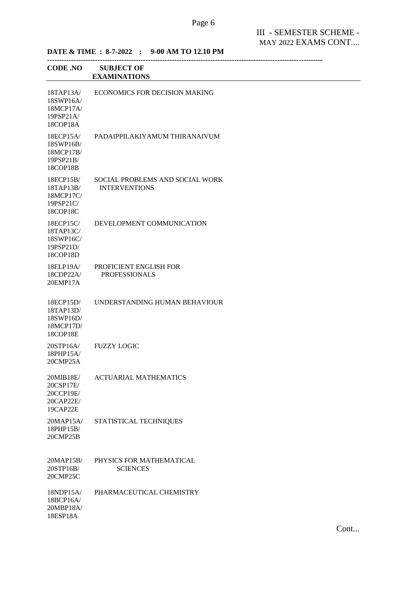| <b>CODE .NO</b>                                              | <b>SUBJECT OF</b><br><b>EXAMINATIONS</b>                |
|--------------------------------------------------------------|---------------------------------------------------------|
| 18TAP13A/<br>18SWP16A/<br>18MCP17A/<br>19PSP21A/<br>18COP18A | <b>ECONOMICS FOR DECISION MAKING</b>                    |
| 18ECP15A/<br>18SWP16B/<br>18MCP17B/<br>19PSP21B/<br>18COP18B | PADAIPPILAKIYAMUM THIRANAIVUM                           |
| 18ECP15B/<br>18TAP13B/<br>18MCP17C/<br>19PSP21C/<br>18COP18C | SOCIAL PROBLEMS AND SOCIAL WORK<br><b>INTERVENTIONS</b> |
| 18ECP15C/<br>18TAP13C/<br>18SWP16C/<br>19PSP21D/<br>18COP18D | DEVELOPMENT COMMUNICATION                               |
| 18ELP19A/<br>18CDP22A/<br>20EMP17A                           | PROFICIENT ENGLISH FOR<br><b>PROFESSIONALS</b>          |
| 18ECP15D/<br>18TAP13D/<br>18SWP16D/<br>18MCP17D/<br>18COP18E | UNDERSTANDING HUMAN BEHAVIOUR                           |
| 20STP16A/<br>18PHP15A/<br>20CMP25A                           | <b>FUZZY LOGIC</b>                                      |
| 20MIB18E/<br>20CSP17E/<br>20CCP19E/<br>20CAP22E/<br>19CAP22E | <b>ACTUARIAL MATHEMATICS</b>                            |
| 20MAP15A/<br>18PHP15B/<br>20CMP25B                           | STATISTICAL TECHNIQUES                                  |
| 20MAP15B/<br>20STP16B/<br>20CMP25C                           | PHYSICS FOR MATHEMATICAL<br><b>SCIENCES</b>             |
| 18NDP15A/<br>18BCP16A/<br>20MBP18A/<br>18ESP18A              | PHARMACEUTICAL CHEMISTRY                                |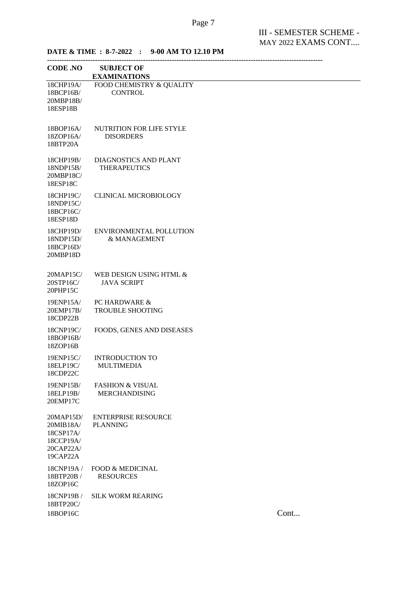# **DATE & TIME : 8-7-2022 : 9-00 AM TO 12.10 PM**

| <b>CODE .NO</b>                                                           | <b>SUBJECT OF</b><br><b>EXAMINATIONS</b>            |      |
|---------------------------------------------------------------------------|-----------------------------------------------------|------|
| 18CHP19A/<br>18BCP16B/<br>20MBP18B/<br>18ESP18B                           | FOOD CHEMISTRY & QUALITY<br><b>CONTROL</b>          |      |
| 18BOP16A/<br>18ZOP16A/<br>18BTP20A                                        | NUTRITION FOR LIFE STYLE<br><b>DISORDERS</b>        |      |
| 18CHP19B/<br>18NDP15B/<br>20MBP18C/<br>18ESP18C                           | <b>DIAGNOSTICS AND PLANT</b><br><b>THERAPEUTICS</b> |      |
| 18CHP19C/<br>18NDP15C/<br>18BCP16C/<br>18ESP18D                           | <b>CLINICAL MICROBIOLOGY</b>                        |      |
| 18CHP19D/<br>18NDP15D/<br>18BCP16D/<br>20MBP18D                           | ENVIRONMENTAL POLLUTION<br>& MANAGEMENT             |      |
| 20MAP15C/<br>20STP16C/<br>20PHP15C                                        | WEB DESIGN USING HTML &<br><b>JAVA SCRIPT</b>       |      |
| 19ENP15A/<br>20EMP17B/<br>18CDP22B                                        | PC HARDWARE &<br><b>TROUBLE SHOOTING</b>            |      |
| 18CNP19C/<br>18BOP16B/<br>18ZOP16B                                        | FOODS, GENES AND DISEASES                           |      |
| 19ENP15C/<br>18ELP19C/<br>18CDP22C                                        | <b>INTRODUCTION TO</b><br><b>MULTIMEDIA</b>         |      |
| 19ENP15B/<br>18ELP19B/<br>20EMP17C                                        | <b>FASHION &amp; VISUAL</b><br><b>MERCHANDISING</b> |      |
| 20MAP15D/<br>20MIB18A/<br>18CSP17A/<br>18CCP19A/<br>20CAP22A/<br>19CAP22A | <b>ENTERPRISE RESOURCE</b><br><b>PLANNING</b>       |      |
| 18CNP19A /<br>18BTP20B /<br>18ZOP16C                                      | <b>FOOD &amp; MEDICINAL</b><br><b>RESOURCES</b>     |      |
| 18CNP19B /<br>18BTP20C/<br>18BOP16C                                       | <b>SILK WORM REARING</b>                            | Cont |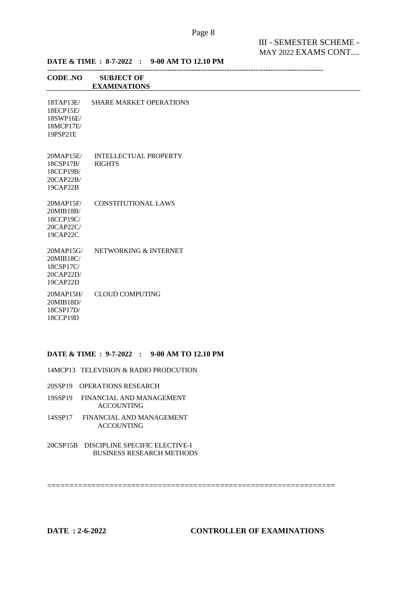| <b>CODE .NO</b>                                              | <b>SUBJECT OF</b><br><b>EXAMINATIONS</b>      |
|--------------------------------------------------------------|-----------------------------------------------|
| 18TAP13E/<br>18ECP15E/<br>18SWP16E/<br>18MCP17E/<br>19PSP21E | <b>SHARE MARKET OPERATIONS</b>                |
| 20MAP15E/<br>18CSP17B/<br>18CCP19B/<br>20CAP22B/<br>19CAP22B | <b>INTELLECTUAL PROPERTY</b><br><b>RIGHTS</b> |
| 20MAP15F/<br>20MIB18B/<br>18CCP19C/<br>20CAP22C/<br>19CAP22C | <b>CONSTITUTIONAL LAWS</b>                    |
| 20MAP15G/<br>20MIB18C/<br>18CSP17C/<br>20CAP22D/<br>19CAP22D | NETWORKING & INTERNET                         |
| 20MAP15H/<br>20MIB18D/<br>18CSP17D/<br>18CCP19D              | <b>CLOUD COMPUTING</b>                        |

=================================================================

# **DATE & TIME : 9-7-2022 : 9-00 AM TO 12.10 PM**

14MCP13 TELEVISION & RADIO PRODCUTION

20SSP19 OPERATIONS RESEARCH

19SSP19 FINANCIAL AND MANAGEMENT ACCOUNTING

14SSP17 FINANCIAL AND MANAGEMENT ACCOUNTING

20CSP15B DISCIPLINE SPECIFIC ELECTIVE-I BUSINESS RESEARCH METHODS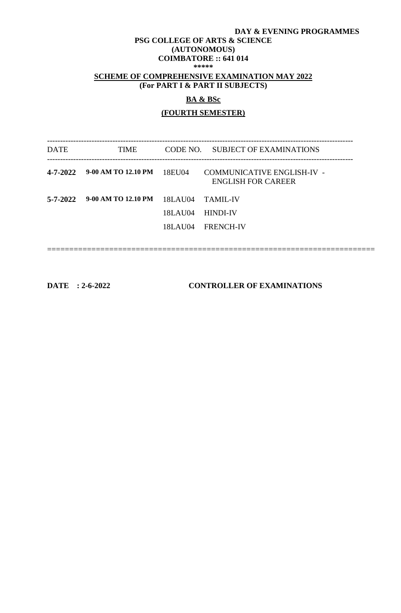#### **DAY & EVENING PROGRAMMES**

#### **PSG COLLEGE OF ARTS & SCIENCE (AUTONOMOUS)**

# **COIMBATORE :: 641 014**

**\*\*\*\*\***

## **SCHEME OF COMPREHENSIVE EXAMINATION MAY 2022 (For PART I & PART II SUBJECTS)**

### **BA & BSc**

#### **(FOURTH SEMESTER)**

--------------------------------------------------------------------------------------------------------------------- DATE TIME CODE NO. SUBJECT OF EXAMINATIONS --------------------------------------------------------------------------------------------------------------------- **4-7-2022 9-00 AM TO 12.10 PM** 18EU04 COMMUNICATIVE ENGLISH-IV - ENGLISH FOR CAREER **5-7-2022 9-00 AM TO 12.10 PM** 18LAU04 TAMIL-IV 18LAU04 HINDI-IV 18LAU04 FRENCH-IV ==========================================================================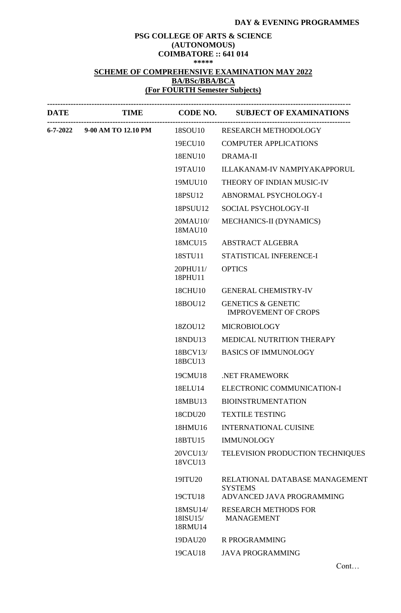## **DAY & EVENING PROGRAMMES**

# **PSG COLLEGE OF ARTS & SCIENCE (AUTONOMOUS) COIMBATORE :: 641 014 \*\*\*\*\* SCHEME OF COMPREHENSIVE EXAMINATION MAY 2022 BA/BSc/BBA/BCA (For FOURTH Semester Subjects)**

| <b>DATE</b> |                              |                                 | TIME CODE NO. SUBJECT OF EXAMINATIONS                        |
|-------------|------------------------------|---------------------------------|--------------------------------------------------------------|
|             | 6-7-2022 9-00 AM TO 12.10 PM | 18SOU10                         | RESEARCH METHODOLOGY                                         |
|             |                              | 19ECU10                         | <b>COMPUTER APPLICATIONS</b>                                 |
|             |                              | 18ENU10                         | <b>DRAMA-II</b>                                              |
|             |                              | 19TAU10                         | <b>ILLAKANAM-IV NAMPIYAKAPPORUL</b>                          |
|             |                              | 19MUU10                         | THEORY OF INDIAN MUSIC-IV                                    |
|             |                              | 18PSU12                         | ABNORMAL PSYCHOLOGY-I                                        |
|             |                              | 18PSUU12                        | SOCIAL PSYCHOLOGY-II                                         |
|             |                              | 20MAU10/<br>18MAU10             | MECHANICS-II (DYNAMICS)                                      |
|             |                              | 18MCU15                         | <b>ABSTRACT ALGEBRA</b>                                      |
|             |                              | 18STU11                         | STATISTICAL INFERENCE-I                                      |
|             |                              | $20$ PHU11/<br>18PHU11          | <b>OPTICS</b>                                                |
|             |                              | 18CHU10                         | <b>GENERAL CHEMISTRY-IV</b>                                  |
|             |                              | 18BOU12                         | <b>GENETICS &amp; GENETIC</b><br><b>IMPROVEMENT OF CROPS</b> |
|             |                              | 18ZOU12                         | <b>MICROBIOLOGY</b>                                          |
|             |                              | 18NDU13                         | MEDICAL NUTRITION THERAPY                                    |
|             |                              | 18BCV13/<br>18BCU13             | <b>BASICS OF IMMUNOLOGY</b>                                  |
|             |                              | 19CMU18                         | .NET FRAMEWORK                                               |
|             |                              | 18ELU14                         | ELECTRONIC COMMUNICATION-I                                   |
|             |                              | 18MBU13                         | <b>BIOINSTRUMENTATION</b>                                    |
|             |                              | 18CDU20                         | <b>TEXTILE TESTING</b>                                       |
|             |                              | 18HMU16                         | <b>INTERNATIONAL CUISINE</b>                                 |
|             |                              | 18BTU15                         | <b>IMMUNOLOGY</b>                                            |
|             |                              | 20VCU13/<br>18VCU13             | TELEVISION PRODUCTION TECHNIQUES                             |
|             |                              | 19ITU20                         | RELATIONAL DATABASE MANAGEMENT<br><b>SYSTEMS</b>             |
|             |                              | 19CTU18                         | ADVANCED JAVA PROGRAMMING                                    |
|             |                              | 18MSU14/<br>18ISU15/<br>18RMU14 | <b>RESEARCH METHODS FOR</b><br><b>MANAGEMENT</b>             |
|             |                              | 19DAU20                         | <b>R PROGRAMMING</b>                                         |
|             |                              | 19CAU18                         | <b>JAVA PROGRAMMING</b>                                      |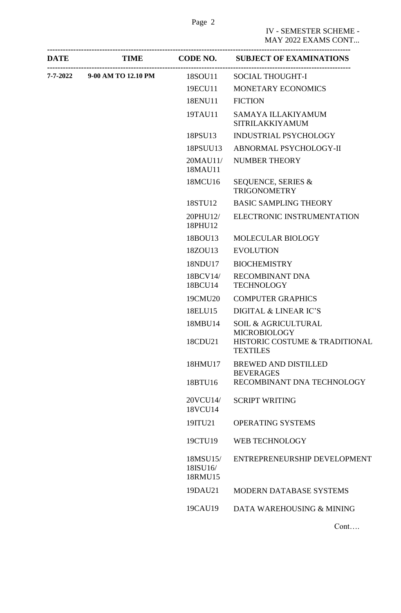|                              |                                 | DATE TIME CODE NO. SUBJECT OF EXAMINATIONS           |
|------------------------------|---------------------------------|------------------------------------------------------|
| 7-7-2022 9-00 AM TO 12.10 PM | 18SOU11                         | <b>SOCIAL THOUGHT-I</b>                              |
|                              | 19ECU11                         | MONETARY ECONOMICS                                   |
|                              | 18ENU11                         | <b>FICTION</b>                                       |
|                              | 19TAU11                         | SAMAYA ILLAKIYAMUM<br><b>SITRILAKKIYAMUM</b>         |
|                              | 18PSU13                         | <b>INDUSTRIAL PSYCHOLOGY</b>                         |
|                              | 18PSUU13                        | ABNORMAL PSYCHOLOGY-II                               |
|                              | 20MAU11/<br>18MAU11             | <b>NUMBER THEORY</b>                                 |
|                              | 18MCU16                         | <b>SEQUENCE, SERIES &amp;</b><br><b>TRIGONOMETRY</b> |
|                              | 18STU12                         | <b>BASIC SAMPLING THEORY</b>                         |
|                              | 20PHU12/<br>18PHU12             | ELECTRONIC INSTRUMENTATION                           |
|                              | 18BOU13                         | MOLECULAR BIOLOGY                                    |
|                              | 18ZOU13                         | <b>EVOLUTION</b>                                     |
|                              | 18NDU17                         | <b>BIOCHEMISTRY</b>                                  |
|                              | 18BCV14/<br>18BCU14             | <b>RECOMBINANT DNA</b><br><b>TECHNOLOGY</b>          |
|                              | 19CMU20                         | <b>COMPUTER GRAPHICS</b>                             |
|                              | 18ELU15                         | DIGITAL & LINEAR IC'S                                |
|                              | 18MBU14                         | SOIL & AGRICULTURAL<br><b>MICROBIOLOGY</b>           |
|                              | 18CDU21                         | HISTORIC COSTUME & TRADITIONAL<br><b>TEXTILES</b>    |
|                              | 18HMU17                         | <b>BREWED AND DISTILLED</b><br><b>BEVERAGES</b>      |
|                              | 18BTU16                         | RECOMBINANT DNA TECHNOLOGY                           |
|                              | 20VCU14/<br>18VCU14             | <b>SCRIPT WRITING</b>                                |
|                              | 19ITU21                         | <b>OPERATING SYSTEMS</b>                             |
|                              | 19CTU19                         | WEB TECHNOLOGY                                       |
|                              | 18MSU15/<br>18ISU16/<br>18RMU15 | ENTREPRENEURSHIP DEVELOPMENT                         |
|                              | 19DAU21                         | MODERN DATABASE SYSTEMS                              |
|                              | 19CAU19                         | DATA WAREHOUSING & MINING                            |
|                              |                                 | Cont                                                 |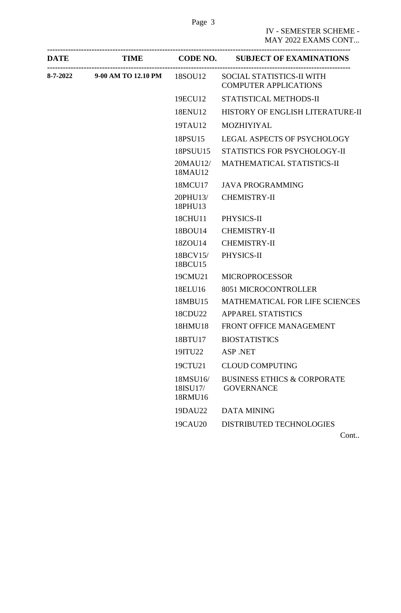| <b>DATE</b> |                                      |                                 | TIME CODE NO. SUBJECT OF EXAMINATIONS                            |
|-------------|--------------------------------------|---------------------------------|------------------------------------------------------------------|
|             | 8-7-2022 9-00 AM TO 12.10 PM 18SOU12 |                                 | <b>SOCIAL STATISTICS-II WITH</b><br><b>COMPUTER APPLICATIONS</b> |
|             |                                      | 19ECU12                         | STATISTICAL METHODS-II                                           |
|             |                                      | 18ENU12                         | HISTORY OF ENGLISH LITERATURE-II                                 |
|             |                                      | 19TAU12                         | <b>MOZHIYIYAL</b>                                                |
|             |                                      | 18PSU15                         | LEGAL ASPECTS OF PSYCHOLOGY                                      |
|             |                                      | 18PSUU15                        | STATISTICS FOR PSYCHOLOGY-II                                     |
|             |                                      | 20MAU12/<br>18MAU12             | MATHEMATICAL STATISTICS-II                                       |
|             |                                      | 18MCU17                         | <b>JAVA PROGRAMMING</b>                                          |
|             |                                      | 20PHU13/<br>18PHU13             | <b>CHEMISTRY-II</b>                                              |
|             |                                      | 18CHU11                         | PHYSICS-II                                                       |
|             |                                      | 18BOU14                         | <b>CHEMISTRY-II</b>                                              |
|             |                                      | 18ZOU14                         | <b>CHEMISTRY-II</b>                                              |
|             |                                      | 18BCV15/<br>18BCU15             | PHYSICS-II                                                       |
|             |                                      | 19CMU21                         | <b>MICROPROCESSOR</b>                                            |
|             |                                      | 18ELU16                         | 8051 MICROCONTROLLER                                             |
|             |                                      | 18MBU15                         | MATHEMATICAL FOR LIFE SCIENCES                                   |
|             |                                      | 18CDU22                         | <b>APPAREL STATISTICS</b>                                        |
|             |                                      | 18HMU18                         | FRONT OFFICE MANAGEMENT                                          |
|             |                                      | 18BTU17                         | <b>BIOSTATISTICS</b>                                             |
|             |                                      | 19ITU22                         | <b>ASP .NET</b>                                                  |
|             |                                      | 19CTU21                         | <b>CLOUD COMPUTING</b>                                           |
|             |                                      | 18MSU16/<br>18ISU17/<br>18RMU16 | <b>BUSINESS ETHICS &amp; CORPORATE</b><br><b>GOVERNANCE</b>      |
|             |                                      | 19DAU22                         | <b>DATA MINING</b>                                               |
|             |                                      | 19CAU20                         | DISTRIBUTED TECHNOLOGIES                                         |
|             |                                      |                                 | Cont                                                             |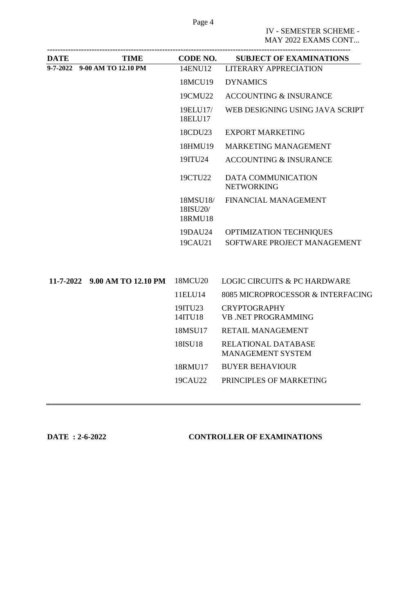Page 4

IV - SEMESTER SCHEME - MAY 2022 EXAMS CONT...

| <b>DATE</b> | TIME                          | <b>CODE NO.</b>                 | <b>SUBJECT OF EXAMINATIONS</b>                    |
|-------------|-------------------------------|---------------------------------|---------------------------------------------------|
|             | 9-7-2022 9-00 AM TO 12.10 PM  | 14ENU12                         | <b>LITERARY APPRECIATION</b>                      |
|             |                               | 18MCU19                         | <b>DYNAMICS</b>                                   |
|             |                               | 19CMU22                         | <b>ACCOUNTING &amp; INSURANCE</b>                 |
|             |                               | 19ELU17/<br>18ELU17             | WEB DESIGNING USING JAVA SCRIPT                   |
|             |                               | 18CDU23                         | <b>EXPORT MARKETING</b>                           |
|             |                               | 18HMU19                         | <b>MARKETING MANAGEMENT</b>                       |
|             |                               | 19ITU24                         | <b>ACCOUNTING &amp; INSURANCE</b>                 |
|             |                               | 19CTU22                         | <b>DATA COMMUNICATION</b><br><b>NETWORKING</b>    |
|             |                               | 18MSU18/<br>18ISU20/<br>18RMU18 | FINANCIAL MANAGEMENT                              |
|             |                               | 19DAU24                         | OPTIMIZATION TECHNIQUES                           |
|             |                               | 19CAU21                         | SOFTWARE PROJECT MANAGEMENT                       |
|             | 11-7-2022 9.00 AM TO 12.10 PM | 18MCU20                         | <b>LOGIC CIRCUITS &amp; PC HARDWARE</b>           |
|             |                               | 11ELU14                         | 8085 MICROPROCESSOR & INTERFACING                 |
|             |                               | 19ITU23<br>14ITU18              | <b>CRYPTOGRAPHY</b><br><b>VB .NET PROGRAMMING</b> |
|             |                               | 18MSU17                         | RETAIL MANAGEMENT                                 |
|             |                               | 18ISU18                         | RELATIONAL DATABASE<br><b>MANAGEMENT SYSTEM</b>   |
|             |                               | 18RMU17                         | <b>BUYER BEHAVIOUR</b>                            |
|             |                               | 19CAU22                         | PRINCIPLES OF MARKETING                           |
|             |                               |                                 |                                                   |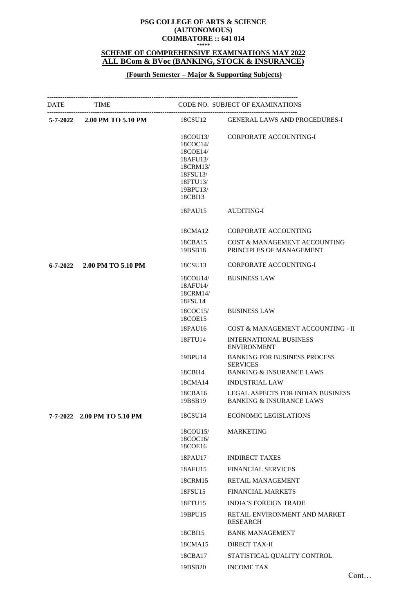#### **PSG COLLEGE OF ARTS & SCIENCE (AUTONOMOUS) COIMBATORE :: 641 014 \*\*\*\*\***

#### **SCHEME OF COMPREHENSIVE EXAMINATIONS MAY 2022 ALL BCom & BVoc (BANKING, STOCK & INSURANCE)**

## **(Fourth Semester – Major & Supporting Subjects)**

|                | DATE TIME CODE NO. SUBJECT OF EXAMINATIONS |                                                                                                         |                                                                                               |
|----------------|--------------------------------------------|---------------------------------------------------------------------------------------------------------|-----------------------------------------------------------------------------------------------|
|                | 5-7-2022 2.00 PM TO 5.10 PM 18CSU12        |                                                                                                         | <b>GENERAL LAWS AND PROCEDURES-I</b>                                                          |
|                |                                            | 18COU13/<br>18COC14/<br>18COE14/<br>18AFU13/<br>18CRM13/<br>18FSU13/<br>18FTU13/<br>19BPU13/<br>18CBI13 | <b>CORPORATE ACCOUNTING-I</b>                                                                 |
|                |                                            | 18PAU15                                                                                                 | <b>AUDITING-I</b>                                                                             |
|                |                                            | 18CMA12                                                                                                 | <b>CORPORATE ACCOUNTING</b>                                                                   |
|                |                                            | 18CBA15<br>19BSB18                                                                                      | COST & MANAGEMENT ACCOUNTING<br>PRINCIPLES OF MANAGEMENT                                      |
| $6 - 7 - 2022$ | 2.00 PM TO 5.10 PM                         | 18CSU13                                                                                                 | <b>CORPORATE ACCOUNTING-I</b>                                                                 |
|                |                                            | 18COU14/<br>18AFU14/<br>18CRM14/<br>18FSU14                                                             | <b>BUSINESS LAW</b>                                                                           |
|                |                                            | 18COC15/<br>18COE15                                                                                     | <b>BUSINESS LAW</b>                                                                           |
|                |                                            | 18PAU16                                                                                                 | COST & MANAGEMENT ACCOUNTING - II                                                             |
|                |                                            | 18FTU14                                                                                                 | <b>INTERNATIONAL BUSINESS</b><br><b>ENVIRONMENT</b>                                           |
|                |                                            | 19BPU14<br>18CBI14                                                                                      | <b>BANKING FOR BUSINESS PROCESS</b><br><b>SERVICES</b><br><b>BANKING &amp; INSURANCE LAWS</b> |
|                |                                            | 18CMA14                                                                                                 | <b>INDUSTRIAL LAW</b>                                                                         |
|                |                                            | 18CBA16<br>19BSB19                                                                                      | <b>LEGAL ASPECTS FOR INDIAN BUSINESS</b><br><b>BANKING &amp; INSURANCE LAWS</b>               |
|                | 7-7-2022 2.00 PM TO 5.10 PM                | 18CSU14                                                                                                 | <b>ECONOMIC LEGISLATIONS</b>                                                                  |
|                |                                            | 18COU15/<br>18COC16/<br>18COE16                                                                         | <b>MARKETING</b>                                                                              |
|                |                                            | 18PAU17                                                                                                 | <b>INDIRECT TAXES</b>                                                                         |
|                |                                            | 18AFU15                                                                                                 | <b>FINANCIAL SERVICES</b>                                                                     |
|                |                                            | 18CRM15                                                                                                 | RETAIL MANAGEMENT                                                                             |
|                |                                            | 18FSU15                                                                                                 | <b>FINANCIAL MARKETS</b>                                                                      |
|                |                                            | 18FTU15                                                                                                 | <b>INDIA'S FOREIGN TRADE</b>                                                                  |
|                |                                            | 19BPU15                                                                                                 | RETAIL ENVIRONMENT AND MARKET<br><b>RESEARCH</b>                                              |
|                |                                            | 18CBI15                                                                                                 | <b>BANK MANAGEMENT</b>                                                                        |
|                |                                            | 18CMA15                                                                                                 | <b>DIRECT TAX-II</b>                                                                          |
|                |                                            | 18CBA17                                                                                                 | STATISTICAL QUALITY CONTROL                                                                   |
|                |                                            | 19BSB20                                                                                                 | <b>INCOME TAX</b>                                                                             |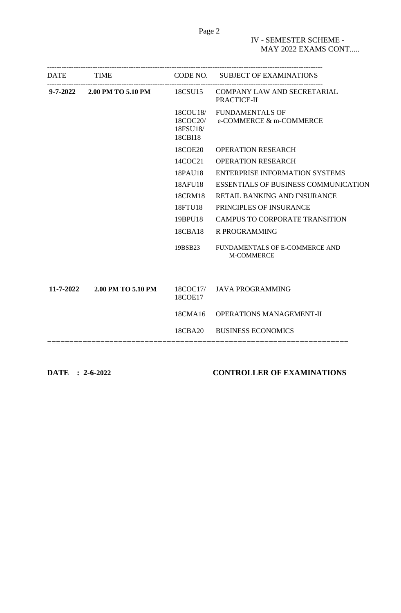| DATE TIME                           |                                             | CODE NO. SUBJECT OF EXAMINATIONS                    |
|-------------------------------------|---------------------------------------------|-----------------------------------------------------|
| 9-7-2022 2.00 PM TO 5.10 PM 18CSU15 |                                             | COMPANY LAW AND SECRETARIAL<br>PRACTICE-II          |
|                                     | 18COU18/<br>18COC20/<br>18FSU18/<br>18CBI18 | <b>FUNDAMENTALS OF</b><br>e-COMMERCE & m-COMMERCE   |
|                                     | 18COE20                                     | <b>OPERATION RESEARCH</b>                           |
|                                     | 14COC21                                     | <b>OPERATION RESEARCH</b>                           |
|                                     | 18PAU18                                     | <b>ENTERPRISE INFORMATION SYSTEMS</b>               |
|                                     | 18AFU18                                     | <b>ESSENTIALS OF BUSINESS COMMUNICATION</b>         |
|                                     | 18CRM18                                     | <b>RETAIL BANKING AND INSURANCE</b>                 |
|                                     | 18FTU18                                     | PRINCIPLES OF INSURANCE                             |
|                                     | 19BPU18                                     | <b>CAMPUS TO CORPORATE TRANSITION</b>               |
|                                     | 18CBA18                                     | <b>R PROGRAMMING</b>                                |
|                                     | 19BSB23                                     | FUNDAMENTALS OF E-COMMERCE AND<br><b>M-COMMERCE</b> |
|                                     |                                             |                                                     |
| 11-7-2022 2.00 PM TO 5.10 PM        | 18COE17                                     | 18COC17/ JAVA PROGRAMMING                           |
|                                     | 18CMA16                                     | <b>OPERATIONS MANAGEMENT-II</b>                     |
|                                     | 18CBA20                                     | <b>BUSINESS ECONOMICS</b>                           |
|                                     |                                             |                                                     |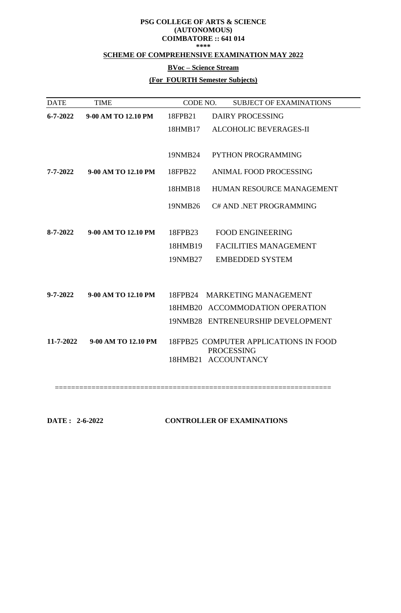#### **PSG COLLEGE OF ARTS & SCIENCE (AUTONOMOUS) COIMBATORE :: 641 014 \*\*\*\***

# **SCHEME OF COMPREHENSIVE EXAMINATION MAY 2022**

#### **BVoc – Science Stream**

# **(For FOURTH Semester Subjects)**

| <b>TIME</b>         | CODE NO. | <b>SUBJECT OF EXAMINATIONS</b>           |
|---------------------|----------|------------------------------------------|
| 9-00 AM TO 12.10 PM | 18FPB21  | DAIRY PROCESSING                         |
|                     | 18HMB17  | <b>ALCOHOLIC BEVERAGES-II</b>            |
|                     |          |                                          |
|                     | 19NMB24  | <b>PYTHON PROGRAMMING</b>                |
| 9-00 AM TO 12.10 PM | 18FPB22  | <b>ANIMAL FOOD PROCESSING</b>            |
|                     | 18HMB18  | HUMAN RESOURCE MANAGEMENT                |
|                     | 19NMB26  | C# AND .NET PROGRAMMING                  |
|                     |          |                                          |
| 9-00 AM TO 12.10 PM | 18FPB23  | <b>FOOD ENGINEERING</b>                  |
|                     | 18HMB19  | <b>FACILITIES MANAGEMENT</b>             |
|                     | 19NMB27  | <b>EMBEDDED SYSTEM</b>                   |
|                     |          |                                          |
| 9-00 AM TO 12.10 PM | 18FPB24  | MARKETING MANAGEMENT                     |
|                     |          | 18HMB20 ACCOMMODATION OPERATION          |
|                     |          | 19NMB28 ENTRENEURSHIP DEVELOPMENT        |
| 9-00 AM TO 12.10 PM |          | 18FPB25 COMPUTER APPLICATIONS IN FOOD    |
|                     |          | <b>PROCESSING</b><br>18HMB21 ACCOUNTANCY |
|                     |          |                                          |

| DATE: 2-6-2022 | <b>CONTROLLER OF EXAMINATIONS</b> |
|----------------|-----------------------------------|
|                |                                   |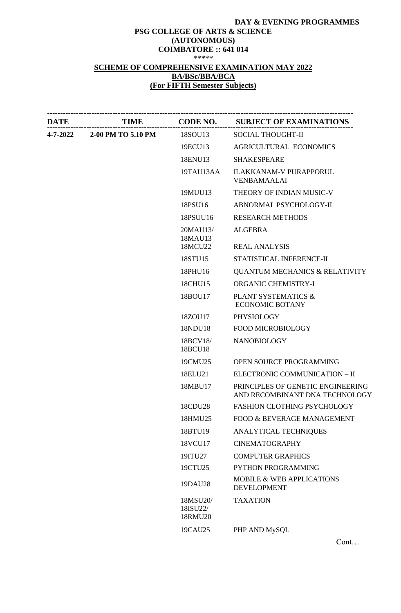#### **DAY & EVENING PROGRAMMES PSG COLLEGE OF ARTS & SCIENCE (AUTONOMOUS) COIMBATORE :: 641 014** \*\*\*\*\*

# **SCHEME OF COMPREHENSIVE EXAMINATION MAY 2022 BA/BSc/BBA/BCA (For FIFTH Semester Subjects)**

| <b>DATE</b> |                    |                                 | TIME CODE NO. SUBJECT OF EXAMINATIONS                               |
|-------------|--------------------|---------------------------------|---------------------------------------------------------------------|
| 4-7-2022    | 2-00 PM TO 5.10 PM | 18SOU13                         | <b>SOCIAL THOUGHT-II</b>                                            |
|             |                    | 19ECU13                         | <b>AGRICULTURAL ECONOMICS</b>                                       |
|             |                    | 18ENU13                         | <b>SHAKESPEARE</b>                                                  |
|             |                    | 19TAU13AA                       | <b>ILAKKANAM-V PURAPPORUL</b><br><b>VENBAMAALAI</b>                 |
|             |                    | 19MUU13                         | THEORY OF INDIAN MUSIC-V                                            |
|             |                    | 18PSU16                         | ABNORMAL PSYCHOLOGY-II                                              |
|             |                    | 18PSUU16                        | <b>RESEARCH METHODS</b>                                             |
|             |                    | 20MAU13/<br>18MAU13             | <b>ALGEBRA</b>                                                      |
|             |                    | 18MCU22                         | <b>REAL ANALYSIS</b>                                                |
|             |                    | 18STU15                         | STATISTICAL INFERENCE-II                                            |
|             |                    | 18PHU16                         | <b>QUANTUM MECHANICS &amp; RELATIVITY</b>                           |
|             |                    | 18CHU15                         | <b>ORGANIC CHEMISTRY-I</b>                                          |
|             |                    | 18BOU17                         | <b>PLANT SYSTEMATICS &amp;</b><br><b>ECONOMIC BOTANY</b>            |
|             |                    | 18ZOU17                         | PHYSIOLOGY                                                          |
|             |                    | 18NDU18                         | <b>FOOD MICROBIOLOGY</b>                                            |
|             |                    | 18BCV18/<br>18BCU18             | <b>NANOBIOLOGY</b>                                                  |
|             |                    | 19CMU25                         | OPEN SOURCE PROGRAMMING                                             |
|             |                    | 18ELU21                         | ELECTRONIC COMMUNICATION - II                                       |
|             |                    | 18MBU17                         | PRINCIPLES OF GENETIC ENGINEERING<br>AND RECOMBINANT DNA TECHNOLOGY |
|             |                    | 18CDU28                         | FASHION CLOTHING PSYCHOLOGY                                         |
|             |                    | 18HMU25                         | FOOD & BEVERAGE MANAGEMENT                                          |
|             |                    | 18BTU19                         | ANALYTICAL TECHNIQUES                                               |
|             |                    | 18VCU17                         | <b>CINEMATOGRAPHY</b>                                               |
|             |                    | 19ITU27                         | <b>COMPUTER GRAPHICS</b>                                            |
|             |                    | 19CTU25                         | PYTHON PROGRAMMING                                                  |
|             |                    | 19DAU28                         | <b>MOBILE &amp; WEB APPLICATIONS</b><br><b>DEVELOPMENT</b>          |
|             |                    | 18MSU20/<br>18ISU22/<br>18RMU20 | <b>TAXATION</b>                                                     |
|             |                    | 19CAU25                         | PHP AND MySQL                                                       |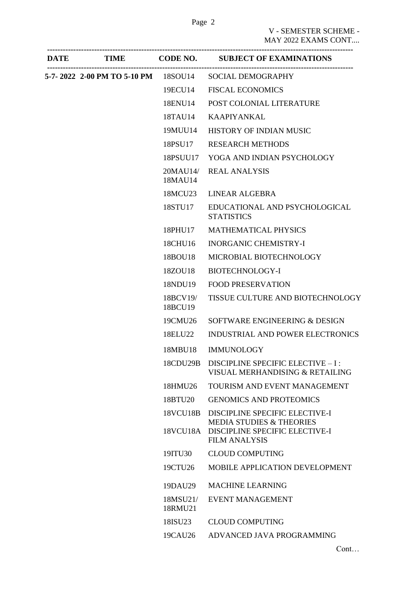$EME NT...$ 

| ATE | TIME | CODE NO. | <b>SUBJECT OF EXAMINATIONS</b>                     |
|-----|------|----------|----------------------------------------------------|
|     |      |          | <b>V - SEMESTER SCHEME</b><br>MAY 2022 EXAMS CONT. |

| <b>DATE</b> | <b>TIME</b>                         | CODE NO.            | <b>SUBJECT OF EXAMINATIONS</b>                                        |
|-------------|-------------------------------------|---------------------|-----------------------------------------------------------------------|
|             | 5-7-2022 2-00 PM TO 5-10 PM 18SOU14 |                     | <b>SOCIAL DEMOGRAPHY</b>                                              |
|             |                                     | 19ECU14             | <b>FISCAL ECONOMICS</b>                                               |
|             |                                     | 18ENU14             | POST COLONIAL LITERATURE                                              |
|             |                                     | 18TAU14             | <b>KAAPIYANKAL</b>                                                    |
|             |                                     | 19MUU14             | HISTORY OF INDIAN MUSIC                                               |
|             |                                     | 18PSU17             | <b>RESEARCH METHODS</b>                                               |
|             |                                     | 18PSUU17            | YOGA AND INDIAN PSYCHOLOGY                                            |
|             |                                     | 20MAU14/<br>18MAU14 | <b>REAL ANALYSIS</b>                                                  |
|             |                                     | 18MCU23             | <b>LINEAR ALGEBRA</b>                                                 |
|             |                                     | 18STU17             | EDUCATIONAL AND PSYCHOLOGICAL<br><b>STATISTICS</b>                    |
|             |                                     | 18PHU17             | <b>MATHEMATICAL PHYSICS</b>                                           |
|             |                                     | 18CHU16             | <b>INORGANIC CHEMISTRY-I</b>                                          |
|             |                                     | 18BOU18             | MICROBIAL BIOTECHNOLOGY                                               |
|             |                                     | 18ZOU18             | <b>BIOTECHNOLOGY-I</b>                                                |
|             |                                     | 18NDU19             | <b>FOOD PRESERVATION</b>                                              |
|             |                                     | 18BCV19/<br>18BCU19 | TISSUE CULTURE AND BIOTECHNOLOGY                                      |
|             |                                     | 19CMU26             | SOFTWARE ENGINEERING & DESIGN                                         |
|             |                                     | 18ELU22             | <b>INDUSTRIAL AND POWER ELECTRONICS</b>                               |
|             |                                     |                     | 18MBU18 IMMUNOLOGY                                                    |
|             |                                     | 18CDU29B            | DISCIPLINE SPECIFIC ELECTIVE - I :<br>VISUAL MERHANDISING & RETAILING |
|             |                                     | 18HMU26             | TOURISM AND EVENT MANAGEMENT                                          |
|             |                                     | 18BTU20             | <b>GENOMICS AND PROTEOMICS</b>                                        |
|             |                                     | <b>18VCU18B</b>     | DISCIPLINE SPECIFIC ELECTIVE-I<br><b>MEDIA STUDIES &amp; THEORIES</b> |
|             |                                     |                     | 18VCU18A DISCIPLINE SPECIFIC ELECTIVE-I<br><b>FILM ANALYSIS</b>       |
|             |                                     | 19ITU30             | <b>CLOUD COMPUTING</b>                                                |
|             |                                     | 19CTU26             | <b>MOBILE APPLICATION DEVELOPMENT</b>                                 |
|             |                                     | 19DAU29             | <b>MACHINE LEARNING</b>                                               |
|             |                                     | 18MSU21/<br>18RMU21 | EVENT MANAGEMENT                                                      |
|             |                                     | 18ISU23             | <b>CLOUD COMPUTING</b>                                                |
|             |                                     | 19CAU26             | ADVANCED JAVA PROGRAMMING                                             |
|             |                                     |                     |                                                                       |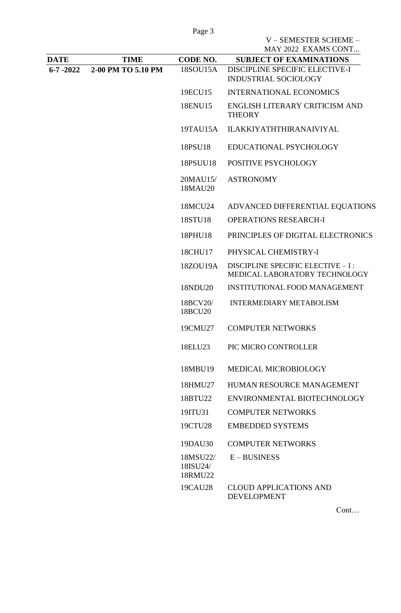V – SEMESTER SCHEME –

|                |                    |                                 | MAY 2022 EXAMS CONT                                                 |
|----------------|--------------------|---------------------------------|---------------------------------------------------------------------|
| DATE           | <b>TIME</b>        | CODE NO.                        | <b>SUBJECT OF EXAMINATIONS</b>                                      |
| $6 - 7 - 2022$ | 2-00 PM TO 5.10 PM | 18SOU15A                        | DISCIPLINE SPECIFIC ELECTIVE-I<br><b>INDUSTRIAL SOCIOLOGY</b>       |
|                |                    | 19ECU15                         | <b>INTERNATIONAL ECONOMICS</b>                                      |
|                |                    | 18ENU15                         | ENGLISH LITERARY CRITICISM AND<br><b>THEORY</b>                     |
|                |                    | 19TAU15A                        | <b>ILAKKIYATHTHIRANAIVIYAL</b>                                      |
|                |                    | 18PSU18                         | EDUCATIONAL PSYCHOLOGY                                              |
|                |                    | 18PSUU18                        | POSITIVE PSYCHOLOGY                                                 |
|                |                    | 20MAU15/<br>18MAU20             | <b>ASTRONOMY</b>                                                    |
|                |                    | 18MCU24                         | ADVANCED DIFFERENTIAL EQUATIONS                                     |
|                |                    | 18STU18                         | <b>OPERATIONS RESEARCH-I</b>                                        |
|                |                    | 18PHU18                         | PRINCIPLES OF DIGITAL ELECTRONICS                                   |
|                |                    | 18CHU17                         | PHYSICAL CHEMISTRY-I                                                |
|                |                    | 18ZOU19A                        | DISCIPLINE SPECIFIC ELECTIVE - I :<br>MEDICAL LABORATORY TECHNOLOGY |
|                |                    | 18NDU20                         | <b>INSTITUTIONAL FOOD MANAGEMENT</b>                                |
|                |                    | 18BCV20/<br>18BCU20             | <b>INTERMEDIARY METABOLISM</b>                                      |
|                |                    | 19CMU27                         | <b>COMPUTER NETWORKS</b>                                            |
|                |                    | 18ELU23                         | PIC MICRO CONTROLLER                                                |
|                |                    | 18MBU19                         | MEDICAL MICROBIOLOGY                                                |
|                |                    | 18HMU27                         | HUMAN RESOURCE MANAGEMENT                                           |
|                |                    | 18BTU22                         | ENVIRONMENTAL BIOTECHNOLOGY                                         |
|                |                    | 19ITU31                         | <b>COMPUTER NETWORKS</b>                                            |
|                |                    | 19CTU28                         | <b>EMBEDDED SYSTEMS</b>                                             |
|                |                    | 19DAU30                         | <b>COMPUTER NETWORKS</b>                                            |
|                |                    | 18MSU22/<br>18ISU24/<br>18RMU22 | $E - BUSINESS$                                                      |
|                |                    | 19CAU28                         | <b>CLOUD APPLICATIONS AND</b><br><b>DEVELOPMENT</b>                 |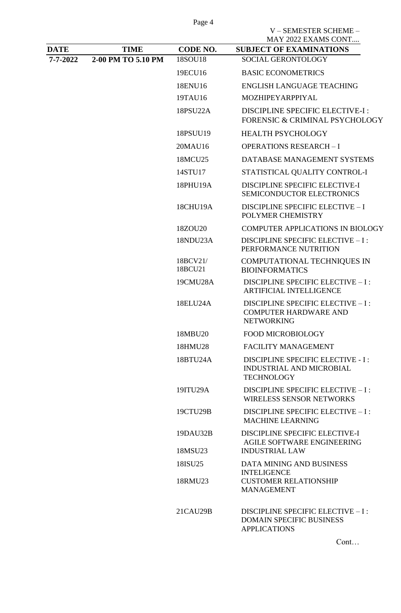|                |                    |                     | V-SEMESTER SCHEME-<br>MAY 2022 EXAMS CONT                                                        |
|----------------|--------------------|---------------------|--------------------------------------------------------------------------------------------------|
| <b>DATE</b>    | <b>TIME</b>        | CODE NO.            | <b>SUBJECT OF EXAMINATIONS</b>                                                                   |
| $7 - 7 - 2022$ | 2-00 PM TO 5.10 PM | 18SOU18             | <b>SOCIAL GERONTOLOGY</b>                                                                        |
|                |                    | 19ECU16             | <b>BASIC ECONOMETRICS</b>                                                                        |
|                |                    | 18ENU16             | <b>ENGLISH LANGUAGE TEACHING</b>                                                                 |
|                |                    | 19TAU16             | MOZHIPEYARPPIYAL                                                                                 |
|                |                    | 18PSU22A            | <b>DISCIPLINE SPECIFIC ELECTIVE-I:</b><br>FORENSIC & CRIMINAL PSYCHOLOGY                         |
|                |                    | 18PSUU19            | <b>HEALTH PSYCHOLOGY</b>                                                                         |
|                |                    | 20MAU16             | <b>OPERATIONS RESEARCH-I</b>                                                                     |
|                |                    | 18MCU25             | DATABASE MANAGEMENT SYSTEMS                                                                      |
|                |                    | 14STU17             | STATISTICAL QUALITY CONTROL-I                                                                    |
|                |                    | 18PHU19A            | <b>DISCIPLINE SPECIFIC ELECTIVE-I</b><br>SEMICONDUCTOR ELECTRONICS                               |
|                |                    | 18CHU19A            | <b>DISCIPLINE SPECIFIC ELECTIVE - I</b><br>POLYMER CHEMISTRY                                     |
|                |                    | 18ZOU20             | <b>COMPUTER APPLICATIONS IN BIOLOGY</b>                                                          |
|                |                    | 18NDU23A            | DISCIPLINE SPECIFIC ELECTIVE - I :<br>PERFORMANCE NUTRITION                                      |
|                |                    | 18BCV21/<br>18BCU21 | COMPUTATIONAL TECHNIQUES IN<br><b>BIOINFORMATICS</b>                                             |
|                |                    | 19CMU28A            | DISCIPLINE SPECIFIC ELECTIVE - I :<br><b>ARTIFICIAL INTELLIGENCE</b>                             |
|                |                    | 18ELU24A            | DISCIPLINE SPECIFIC ELECTIVE - I :<br><b>COMPUTER HARDWARE AND</b><br><b>NETWORKING</b>          |
|                |                    | 18MBU20             | <b>FOOD MICROBIOLOGY</b>                                                                         |
|                |                    | 18HMU28             | <b>FACILITY MANAGEMENT</b>                                                                       |
|                |                    | 18BTU24A            | <b>DISCIPLINE SPECIFIC ELECTIVE - I:</b><br><b>INDUSTRIAL AND MICROBIAL</b><br><b>TECHNOLOGY</b> |
|                |                    | 19ITU29A            | DISCIPLINE SPECIFIC ELECTIVE - I :<br><b>WIRELESS SENSOR NETWORKS</b>                            |
|                |                    | 19CTU29B            | DISCIPLINE SPECIFIC ELECTIVE - I :<br><b>MACHINE LEARNING</b>                                    |
|                |                    | 19DAU32B            | DISCIPLINE SPECIFIC ELECTIVE-I<br>AGILE SOFTWARE ENGINEERING                                     |
|                |                    | 18MSU23             | <b>INDUSTRIAL LAW</b>                                                                            |
|                |                    | 18ISU25             | <b>DATA MINING AND BUSINESS</b><br><b>INTELIGENCE</b>                                            |
|                |                    | 18RMU23             | <b>CUSTOMER RELATIONSHIP</b><br><b>MANAGEMENT</b>                                                |
|                |                    | 21CAU29B            | DISCIPLINE SPECIFIC ELECTIVE - I :<br><b>DOMAIN SPECIFIC BUSINESS</b><br><b>APPLICATIONS</b>     |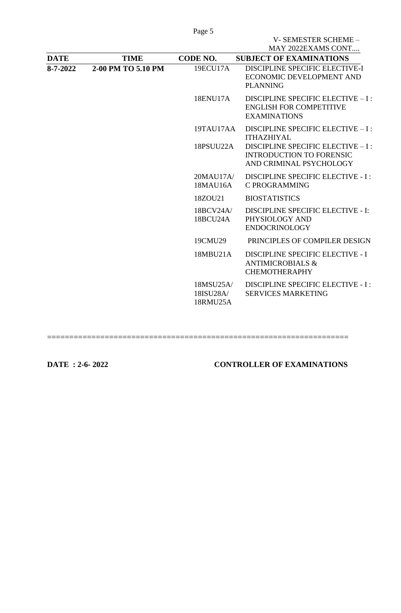|          |                    |                                    | V-SEMESTER SCHEME-<br>MAY 2022EXAMS CONT                                                         |
|----------|--------------------|------------------------------------|--------------------------------------------------------------------------------------------------|
| DATE     | <b>TIME</b>        | CODE NO.                           | <b>SUBJECT OF EXAMINATIONS</b>                                                                   |
| 8-7-2022 | 2-00 PM TO 5.10 PM | 19ECU17A                           | DISCIPLINE SPECIFIC ELECTIVE-I<br>ECONOMIC DEVELOPMENT AND<br><b>PLANNING</b>                    |
|          |                    | 18ENU17A                           | DISCIPLINE SPECIFIC ELECTIVE - I :<br><b>ENGLISH FOR COMPETITIVE</b><br><b>EXAMINATIONS</b>      |
|          |                    | 19TAU17AA                          | DISCIPLINE SPECIFIC ELECTIVE - I :<br><b>ITHAZHIYAL</b>                                          |
|          |                    | 18PSUU22A                          | DISCIPLINE SPECIFIC ELECTIVE - I :<br><b>INTRODUCTION TO FORENSIC</b><br>AND CRIMINAL PSYCHOLOGY |
|          |                    | 20MAU17A/<br>18MAU16A              | <b>DISCIPLINE SPECIFIC ELECTIVE - I:</b><br><b>C PROGRAMMING</b>                                 |
|          |                    | 18ZOU21                            | <b>BIOSTATISTICS</b>                                                                             |
|          |                    | 18BCV24A/<br>18BCU24A              | <b>DISCIPLINE SPECIFIC ELECTIVE - I:</b><br>PHYSIOLOGY AND<br><b>ENDOCRINOLOGY</b>               |
|          |                    | 19CMU29                            | PRINCIPLES OF COMPILER DESIGN                                                                    |
|          |                    | 18MBU21A                           | <b>DISCIPLINE SPECIFIC ELECTIVE - I</b><br><b>ANTIMICROBIALS &amp;</b><br><b>CHEMOTHERAPHY</b>   |
|          |                    | 18MSU25A/<br>18ISU28A/<br>18RMU25A | <b>DISCIPLINE SPECIFIC ELECTIVE - I:</b><br><b>SERVICES MARKETING</b>                            |
|          |                    |                                    |                                                                                                  |

====================================================================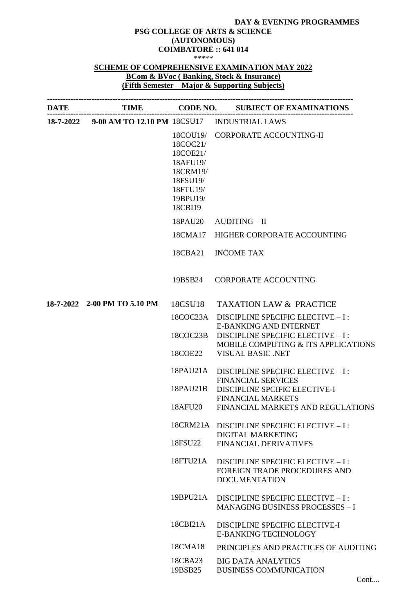#### **DAY & EVENING PROGRAMMES**

#### **PSG COLLEGE OF ARTS & SCIENCE (AUTONOMOUS) COIMBATORE :: 641 014** \*\*\*\*\*

# **SCHEME OF COMPREHENSIVE EXAMINATION MAY 2022 BCom & BVoc ( Banking, Stock & Insurance) (Fifth Semester – Major & Supporting Subjects)**

| <b>DATE</b> |                                                       |                                                                                                         | TIME CODE NO. SUBJECT OF EXAMINATIONS                                                      |
|-------------|-------------------------------------------------------|---------------------------------------------------------------------------------------------------------|--------------------------------------------------------------------------------------------|
|             | 18-7-2022 9-00 AM TO 12.10 PM 18CSU17 INDUSTRIAL LAWS |                                                                                                         |                                                                                            |
|             |                                                       | 18COU19/<br>18COC21/<br>18COE21/<br>18AFU19/<br>18CRM19/<br>18FSU19/<br>18FTU19/<br>19BPU19/<br>18CBI19 | <b>CORPORATE ACCOUNTING-II</b>                                                             |
|             |                                                       | 18PAU20                                                                                                 | <b>AUDITING – II</b>                                                                       |
|             |                                                       | 18CMA17                                                                                                 | HIGHER CORPORATE ACCOUNTING                                                                |
|             |                                                       | 18CBA21                                                                                                 | <b>INCOME TAX</b>                                                                          |
|             |                                                       | 19BSB24                                                                                                 | <b>CORPORATE ACCOUNTING</b>                                                                |
|             | 18-7-2022 2-00 PM TO 5.10 PM                          | 18CSU18                                                                                                 | <b>TAXATION LAW &amp; PRACTICE</b>                                                         |
|             |                                                       | 18COC23A                                                                                                | DISCIPLINE SPECIFIC ELECTIVE - I :<br><b>E-BANKING AND INTERNET</b>                        |
|             |                                                       | 18COC23B                                                                                                | DISCIPLINE SPECIFIC ELECTIVE - I:<br>MOBILE COMPUTING & ITS APPLICATIONS                   |
|             |                                                       | 18COE22                                                                                                 | <b>VISUAL BASIC .NET</b>                                                                   |
|             |                                                       | 18PAU21A                                                                                                | DISCIPLINE SPECIFIC ELECTIVE - I :<br><b>FINANCIAL SERVICES</b>                            |
|             |                                                       |                                                                                                         | 18PAU21B DISCIPLINE SPCIFIC ELECTIVE-I                                                     |
|             |                                                       | 18AFU20                                                                                                 | <b>FINANCIAL MARKETS</b><br>FINANCIAL MARKETS AND REGULATIONS                              |
|             |                                                       | 18CRM21A                                                                                                | DISCIPLINE SPECIFIC ELECTIVE - I :                                                         |
|             |                                                       | 18FSU22                                                                                                 | <b>DIGITAL MARKETING</b><br><b>FINANCIAL DERIVATIVES</b>                                   |
|             |                                                       | 18FTU21A                                                                                                | DISCIPLINE SPECIFIC ELECTIVE - I :<br>FOREIGN TRADE PROCEDURES AND<br><b>DOCUMENTATION</b> |
|             |                                                       | 19BPU21A                                                                                                | DISCIPLINE SPECIFIC ELECTIVE - I :<br><b>MANAGING BUSINESS PROCESSES - I</b>               |
|             |                                                       | 18CBI21A                                                                                                | DISCIPLINE SPECIFIC ELECTIVE-I<br><b>E-BANKING TECHNOLOGY</b>                              |
|             |                                                       | 18CMA18                                                                                                 | PRINCIPLES AND PRACTICES OF AUDITING                                                       |
|             |                                                       | 18CBA23<br>19BSB25                                                                                      | <b>BIG DATA ANALYTICS</b><br><b>BUSINESS COMMUNICATION</b>                                 |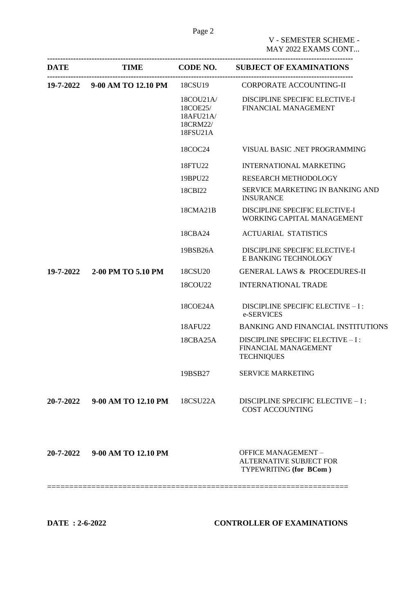| <b>DATE</b> |                               |                                                                      | TIME CODE NO. SUBJECT OF EXAMINATIONS                                                  |
|-------------|-------------------------------|----------------------------------------------------------------------|----------------------------------------------------------------------------------------|
|             | 19-7-2022 9-00 AM TO 12.10 PM | 18CSU19                                                              | CORPORATE ACCOUNTING-II                                                                |
|             |                               | $18$ COU $21$ A $/$<br>18COE25/<br>18AFU21A/<br>18CRM22/<br>18FSU21A | DISCIPLINE SPECIFIC ELECTIVE-I<br>FINANCIAL MANAGEMENT                                 |
|             |                               | 18COC24                                                              | VISUAL BASIC .NET PROGRAMMING                                                          |
|             |                               | 18FTU22                                                              | <b>INTERNATIONAL MARKETING</b>                                                         |
|             |                               | 19BPU22                                                              | RESEARCH METHODOLOGY                                                                   |
|             |                               | 18CBI22                                                              | SERVICE MARKETING IN BANKING AND<br><b>INSURANCE</b>                                   |
|             |                               | 18CMA21B                                                             | <b>DISCIPLINE SPECIFIC ELECTIVE-I</b><br>WORKING CAPITAL MANAGEMENT                    |
|             |                               | 18CBA24                                                              | <b>ACTUARIAL STATISTICS</b>                                                            |
|             |                               | 19BSB26A                                                             | DISCIPLINE SPECIFIC ELECTIVE-I<br>E BANKING TECHNOLOGY                                 |
| 19-7-2022   | 2-00 PM TO 5.10 PM            | 18CSU <sub>20</sub>                                                  | <b>GENERAL LAWS &amp; PROCEDURES-II</b>                                                |
|             |                               | 18COU22                                                              | <b>INTERNATIONAL TRADE</b>                                                             |
|             |                               | 18COE24A                                                             | DISCIPLINE SPECIFIC ELECTIVE - I :<br>e-SERVICES                                       |
|             |                               | 18AFU22                                                              | <b>BANKING AND FINANCIAL INSTITUTIONS</b>                                              |
|             |                               | 18CBA25A                                                             | DISCIPLINE SPECIFIC ELECTIVE - I :<br>FINANCIAL MANAGEMENT<br><b>TECHNIQUES</b>        |
|             |                               | 19BSB27                                                              | <b>SERVICE MARKETING</b>                                                               |
| 20-7-2022   | 9-00 AM TO 12.10 PM           | 18CSU22A                                                             | DISCIPLINE SPECIFIC ELECTIVE - I :<br><b>COST ACCOUNTING</b>                           |
| 20-7-2022   | 9-00 AM TO 12.10 PM           |                                                                      | <b>OFFICE MANAGEMENT -</b><br><b>ALTERNATIVE SUBJECT FOR</b><br>TYPEWRITING (for BCom) |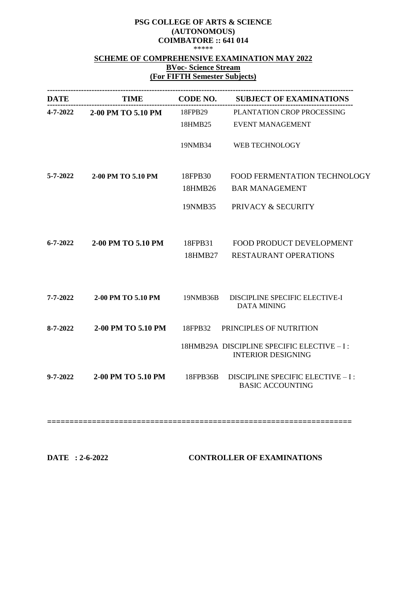#### **PSG COLLEGE OF ARTS & SCIENCE (AUTONOMOUS) COIMBATORE :: 641 014** \*\*\*\*\*

# **SCHEME OF COMPREHENSIVE EXAMINATION MAY 2022**

# **BVoc- Science Stream (For FIFTH Semester Subjects)**

|                | <b>DATE</b>                         |          | TIME CODE NO. SUBJECT OF EXAMINATIONS                                   |
|----------------|-------------------------------------|----------|-------------------------------------------------------------------------|
|                | 4-7-2022 2-00 PM TO 5.10 PM 18FPB29 |          | PLANTATION CROP PROCESSING                                              |
|                |                                     | 18HMB25  | EVENT MANAGEMENT                                                        |
|                |                                     | 19NMB34  | WEB TECHNOLOGY                                                          |
| 5-7-2022       | 2-00 PM TO 5.10 PM                  | 18FPB30  | FOOD FERMENTATION TECHNOLOGY                                            |
|                |                                     | 18HMB26  | <b>BAR MANAGEMENT</b>                                                   |
|                |                                     | 19NMB35  | PRIVACY & SECURITY                                                      |
| $6 - 7 - 2022$ | 2-00 PM TO 5.10 PM                  | 18FPB31  | FOOD PRODUCT DEVELOPMENT                                                |
|                |                                     |          | 18HMB27 RESTAURANT OPERATIONS                                           |
| $7 - 7 - 2022$ | 2-00 PM TO 5.10 PM                  | 19NMB36B | DISCIPLINE SPECIFIC ELECTIVE-I<br><b>DATA MINING</b>                    |
| $8 - 7 - 2022$ | 2-00 PM TO 5.10 PM                  | 18FPB32  | PRINCIPLES OF NUTRITION                                                 |
|                |                                     |          | 18HMB29A DISCIPLINE SPECIFIC ELECTIVE - I:<br><b>INTERIOR DESIGNING</b> |
| $9 - 7 - 2022$ | 2-00 PM TO 5.10 PM                  | 18FPB36B | DISCIPLINE SPECIFIC ELECTIVE - I :<br><b>BASIC ACCOUNTING</b>           |

**====================================================================**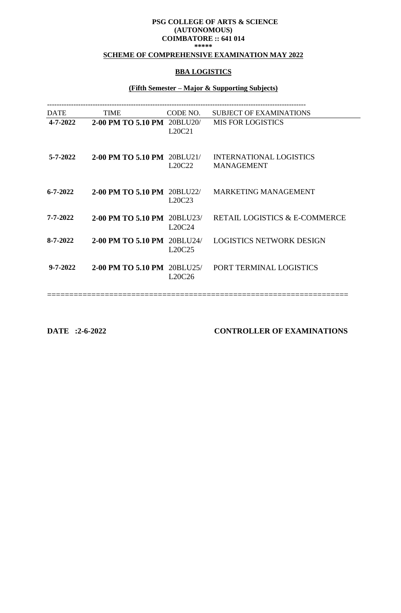#### **PSG COLLEGE OF ARTS & SCIENCE (AUTONOMOUS) COIMBATORE :: 641 014 \*\*\*\*\***

#### **SCHEME OF COMPREHENSIVE EXAMINATION MAY 2022**

## **BBA LOGISTICS**

# **(Fifth Semester – Major & Supporting Subjects)**

| <b>TIME</b> | CODE NO. | <b>SUBJECT OF EXAMINATIONS</b>                                                                                                                                                                       |
|-------------|----------|------------------------------------------------------------------------------------------------------------------------------------------------------------------------------------------------------|
|             | L20C21   | <b>MIS FOR LOGISTICS</b>                                                                                                                                                                             |
|             | L20C22   | <b>INTERNATIONAL LOGISTICS</b><br><b>MANAGEMENT</b>                                                                                                                                                  |
|             | L20C23   | <b>MARKETING MANAGEMENT</b>                                                                                                                                                                          |
|             | L20C24   | <b>RETAIL LOGISTICS &amp; E-COMMERCE</b>                                                                                                                                                             |
|             | L20C25   | <b>LOGISTICS NETWORK DESIGN</b>                                                                                                                                                                      |
|             | L20C26   | PORT TERMINAL LOGISTICS                                                                                                                                                                              |
|             |          | 2-00 PM TO 5.10 PM 20BLU20/<br>2-00 PM TO 5.10 PM 20BLU21/<br>2-00 PM TO 5.10 PM 20BLU22/<br><b>2-00 PM TO 5.10 PM 20BLU23/</b><br>2-00 PM TO 5.10 PM 20BLU24/<br><b>2-00 PM TO 5.10 PM 20BLU25/</b> |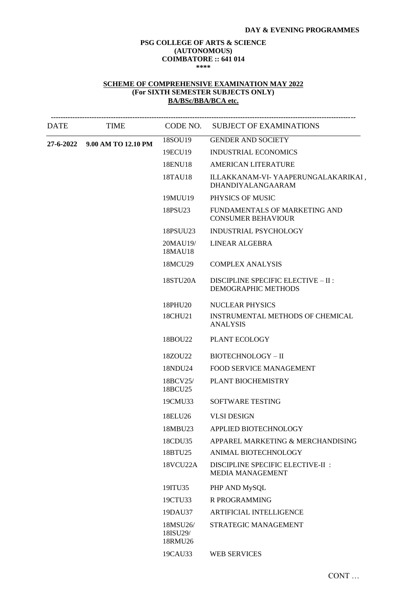#### **PSG COLLEGE OF ARTS & SCIENCE (AUTONOMOUS) COIMBATORE :: 641 014 \*\*\*\***

#### **SCHEME OF COMPREHENSIVE EXAMINATION MAY 2022 (For SIXTH SEMESTER SUBJECTS ONLY) BA/BSc/BBA/BCA etc.**

| <b>DATE</b> | <b>TIME</b>                   |                                 | CODE NO. SUBJECT OF EXAMINATIONS                                  |
|-------------|-------------------------------|---------------------------------|-------------------------------------------------------------------|
|             | 27-6-2022 9.00 AM TO 12.10 PM | 18SOU19                         | <b>GENDER AND SOCIETY</b>                                         |
|             |                               | 19ECU19                         | <b>INDUSTRIAL ECONOMICS</b>                                       |
|             |                               | 18ENU18                         | <b>AMERICAN LITERATURE</b>                                        |
|             |                               | 18TAU18                         | ILLAKKANAM-VI- YAAPERUNGALAKARIKAI,<br>DHANDIYALANGAARAM          |
|             |                               | 19MUU19                         | PHYSICS OF MUSIC                                                  |
|             |                               | 18PSU23                         | FUNDAMENTALS OF MARKETING AND<br><b>CONSUMER BEHAVIOUR</b>        |
|             |                               | 18PSUU23                        | <b>INDUSTRIAL PSYCHOLOGY</b>                                      |
|             |                               | 20MAU19/<br>18MAU18             | <b>LINEAR ALGEBRA</b>                                             |
|             |                               | 18MCU29                         | <b>COMPLEX ANALYSIS</b>                                           |
|             |                               | 18STU <sub>20</sub> A           | DISCIPLINE SPECIFIC ELECTIVE - II :<br><b>DEMOGRAPHIC METHODS</b> |
|             |                               | 18PHU20                         | <b>NUCLEAR PHYSICS</b>                                            |
|             |                               | 18CHU21                         | INSTRUMENTAL METHODS OF CHEMICAL<br><b>ANALYSIS</b>               |
|             |                               | 18BOU22                         | PLANT ECOLOGY                                                     |
|             |                               | 18ZOU22                         | <b>BIOTECHNOLOGY - II</b>                                         |
|             |                               | 18NDU24                         | <b>FOOD SERVICE MANAGEMENT</b>                                    |
|             |                               | 18BCV25/<br>18BCU25             | PLANT BIOCHEMISTRY                                                |
|             |                               | 19CMU33                         | SOFTWARE TESTING                                                  |
|             |                               | 18ELU26                         | <b>VLSI DESIGN</b>                                                |
|             |                               | 18MBU23                         | APPLIED BIOTECHNOLOGY                                             |
|             |                               | 18CDU35                         | APPAREL MARKETING & MERCHANDISING                                 |
|             |                               | 18BTU25                         | <b>ANIMAL BIOTECHNOLOGY</b>                                       |
|             |                               | 18VCU22A                        | DISCIPLINE SPECIFIC ELECTIVE-II :<br><b>MEDIA MANAGEMENT</b>      |
|             |                               | 19ITU35                         | PHP AND MySQL                                                     |
|             |                               | 19CTU33                         | R PROGRAMMING                                                     |
|             |                               | 19DAU37                         | <b>ARTIFICIAL INTELLIGENCE</b>                                    |
|             |                               | 18MSU26/<br>18ISU29/<br>18RMU26 | STRATEGIC MANAGEMENT                                              |
|             |                               | 19CAU33                         | <b>WEB SERVICES</b>                                               |
|             |                               |                                 |                                                                   |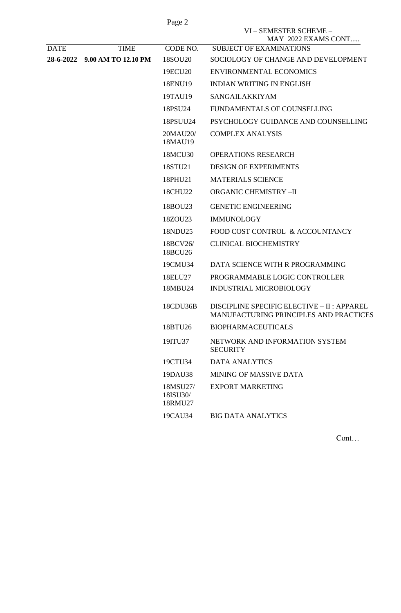|             |                     | Page 2                          |                                                                                       |
|-------------|---------------------|---------------------------------|---------------------------------------------------------------------------------------|
|             |                     |                                 | VI - SEMESTER SCHEME -<br>MAY 2022 EXAMS CONT                                         |
| <b>DATE</b> | <b>TIME</b>         | CODE NO.                        | <b>SUBJECT OF EXAMINATIONS</b>                                                        |
| 28-6-2022   | 9.00 AM TO 12.10 PM | 18SOU20                         | SOCIOLOGY OF CHANGE AND DEVELOPMENT                                                   |
|             |                     | 19ECU20                         | <b>ENVIRONMENTAL ECONOMICS</b>                                                        |
|             |                     | 18ENU19                         | <b>INDIAN WRITING IN ENGLISH</b>                                                      |
|             |                     | 19TAU19                         | <b>SANGAILAKKIYAM</b>                                                                 |
|             |                     | 18PSU <sub>24</sub>             | FUNDAMENTALS OF COUNSELLING                                                           |
|             |                     | 18PSUU24                        | PSYCHOLOGY GUIDANCE AND COUNSELLING                                                   |
|             |                     | 20MAU20/<br>18MAU19             | <b>COMPLEX ANALYSIS</b>                                                               |
|             |                     | 18MCU30                         | <b>OPERATIONS RESEARCH</b>                                                            |
|             |                     | 18STU21                         | <b>DESIGN OF EXPERIMENTS</b>                                                          |
|             |                     | 18PHU21                         | <b>MATERIALS SCIENCE</b>                                                              |
|             |                     | 18CHU22                         | <b>ORGANIC CHEMISTRY -II</b>                                                          |
|             |                     | 18BOU23                         | <b>GENETIC ENGINEERING</b>                                                            |
|             |                     | 18ZOU23                         | <b>IMMUNOLOGY</b>                                                                     |
|             |                     | 18NDU25                         | FOOD COST CONTROL & ACCOUNTANCY                                                       |
|             |                     | 18BCV26/<br>18BCU26             | <b>CLINICAL BIOCHEMISTRY</b>                                                          |
|             |                     | 19CMU34                         | DATA SCIENCE WITH R PROGRAMMING                                                       |
|             |                     | 18ELU27                         | PROGRAMMABLE LOGIC CONTROLLER                                                         |
|             |                     | 18MBU24                         | INDUSTRIAL MICROBIOLOGY                                                               |
|             |                     | 18CDU36B                        | DISCIPLINE SPECIFIC ELECTIVE - II : APPAREL<br>MANUFACTURING PRINCIPLES AND PRACTICES |
|             |                     | 18BTU26                         | <b>BIOPHARMACEUTICALS</b>                                                             |
|             |                     | 19ITU37                         | NETWORK AND INFORMATION SYSTEM<br><b>SECURITY</b>                                     |
|             |                     | 19CTU34                         | <b>DATA ANALYTICS</b>                                                                 |
|             |                     | 19DAU38                         | MINING OF MASSIVE DATA                                                                |
|             |                     | 18MSU27/<br>18ISU30/<br>18RMU27 | <b>EXPORT MARKETING</b>                                                               |
|             |                     | 19CAU34                         | <b>BIG DATA ANALYTICS</b>                                                             |
|             |                     |                                 |                                                                                       |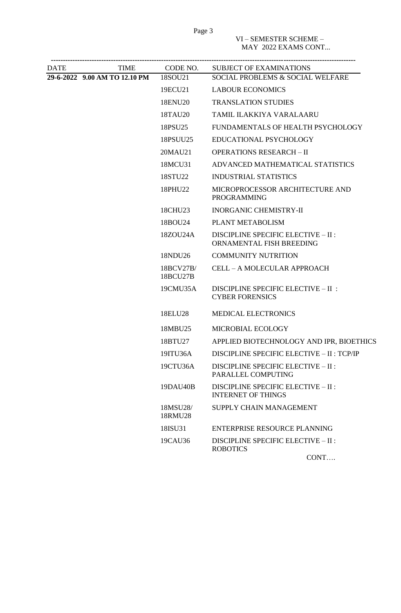| DATE | TIME                          | CODE NO.              | <b>SUBJECT OF EXAMINATIONS</b>                                   |
|------|-------------------------------|-----------------------|------------------------------------------------------------------|
|      | 29-6-2022 9.00 AM TO 12.10 PM | 18SOU21               | SOCIAL PROBLEMS & SOCIAL WELFARE                                 |
|      |                               | 19ECU21               | <b>LABOUR ECONOMICS</b>                                          |
|      |                               | 18ENU20               | <b>TRANSLATION STUDIES</b>                                       |
|      |                               | 18TAU20               | TAMIL ILAKKIYA VARALAARU                                         |
|      |                               | 18PSU <sub>25</sub>   | FUNDAMENTALS OF HEALTH PSYCHOLOGY                                |
|      |                               | 18PSUU25              | EDUCATIONAL PSYCHOLOGY                                           |
|      |                               | 20MAU21               | <b>OPERATIONS RESEARCH - II</b>                                  |
|      |                               | 18MCU31               | ADVANCED MATHEMATICAL STATISTICS                                 |
|      |                               | 18STU22               | <b>INDUSTRIAL STATISTICS</b>                                     |
|      |                               | 18PHU22               | MICROPROCESSOR ARCHITECTURE AND<br><b>PROGRAMMING</b>            |
|      |                               | 18CHU23               | <b>INORGANIC CHEMISTRY-II</b>                                    |
|      |                               | 18BOU24               | PLANT METABOLISM                                                 |
|      |                               | 18ZOU24A              | DISCIPLINE SPECIFIC ELECTIVE - II :<br>ORNAMENTAL FISH BREEDING  |
|      |                               | 18NDU26               | <b>COMMUNITY NUTRITION</b>                                       |
|      |                               | 18BCV27B/<br>18BCU27B | CELL - A MOLECULAR APPROACH                                      |
|      |                               | 19CMU35A              | DISCIPLINE SPECIFIC ELECTIVE - II :<br><b>CYBER FORENSICS</b>    |
|      |                               | 18ELU28               | <b>MEDICAL ELECTRONICS</b>                                       |
|      |                               | 18MBU25               | MICROBIAL ECOLOGY                                                |
|      |                               | 18BTU27               | APPLIED BIOTECHNOLOGY AND IPR, BIOETHICS                         |
|      |                               | 19ITU36A              | DISCIPLINE SPECIFIC ELECTIVE - II : TCP/IP                       |
|      |                               | 19CTU36A              | DISCIPLINE SPECIFIC ELECTIVE - II :<br>PARALLEL COMPUTING        |
|      |                               | 19DAU40B              | DISCIPLINE SPECIFIC ELECTIVE - II :<br><b>INTERNET OF THINGS</b> |
|      |                               | 18MSU28/<br>18RMU28   | SUPPLY CHAIN MANAGEMENT                                          |
|      |                               | 18ISU31               | <b>ENTERPRISE RESOURCE PLANNING</b>                              |
|      |                               | 19CAU36               | DISCIPLINE SPECIFIC ELECTIVE - II :<br><b>ROBOTICS</b>           |
|      |                               |                       | CONT                                                             |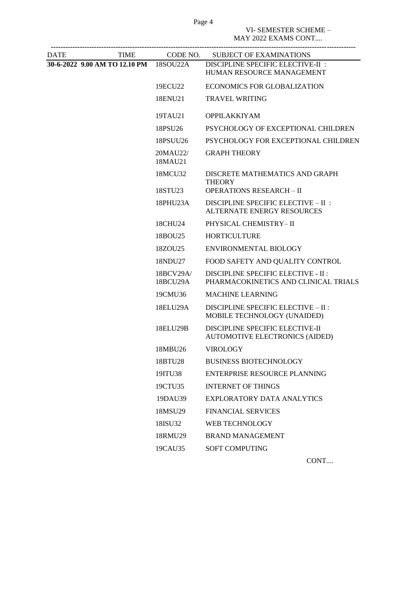Page 4

VI- SEMESTER SCHEME –

MAY 2022 EXAMS CONT....

| <b>DATE</b> | TIME                                   |                       | CODE NO. SUBJECT OF EXAMINATIONS                                                  |
|-------------|----------------------------------------|-----------------------|-----------------------------------------------------------------------------------|
|             | 30-6-2022 9.00 AM TO 12.10 PM 18SOU22A |                       | DISCIPLINE SPECIFIC ELECTIVE-II :<br>HUMAN RESOURCE MANAGEMENT                    |
|             |                                        | 19ECU22               | ECONOMICS FOR GLOBALIZATION                                                       |
|             |                                        | 18ENU21               | <b>TRAVEL WRITING</b>                                                             |
|             |                                        | 19TAU21               | <b>OPPILAKKIYAM</b>                                                               |
|             |                                        | 18PSU26               | PSYCHOLOGY OF EXCEPTIONAL CHILDREN                                                |
|             |                                        | 18PSUU26              | PSYCHOLOGY FOR EXCEPTIONAL CHILDREN                                               |
|             |                                        | 20MAU22/<br>18MAU21   | <b>GRAPH THEORY</b>                                                               |
|             |                                        | 18MCU32<br>18STU23    | DISCRETE MATHEMATICS AND GRAPH<br><b>THEORY</b><br><b>OPERATIONS RESEARCH-II</b>  |
|             |                                        | 18PHU23A              | DISCIPLINE SPECIFIC ELECTIVE - II :                                               |
|             |                                        |                       | <b>ALTERNATE ENERGY RESOURCES</b>                                                 |
|             |                                        | 18CHU24               | PHYSICAL CHEMISTRY-II                                                             |
|             |                                        | 18BOU25               | <b>HORTICULTURE</b>                                                               |
|             |                                        | 18ZOU25               | ENVIRONMENTAL BIOLOGY                                                             |
|             |                                        | 18NDU27               | FOOD SAFETY AND QUALITY CONTROL                                                   |
|             |                                        | 18BCV29A/<br>18BCU29A | <b>DISCIPLINE SPECIFIC ELECTIVE - II:</b><br>PHARMACOKINETICS AND CLINICAL TRIALS |
|             |                                        | 19CMU36               | <b>MACHINE LEARNING</b>                                                           |
|             |                                        | 18ELU29A              | DISCIPLINE SPECIFIC ELECTIVE - II :<br>MOBILE TECHNOLOGY (UNAIDED)                |
|             |                                        | 18ELU29B              | DISCIPLINE SPECIFIC ELECTIVE-II<br>AUTOMOTIVE ELECTRONICS (AIDED)                 |
|             |                                        | 18MBU26               | <b>VIROLOGY</b>                                                                   |
|             |                                        | 18BTU28               | <b>BUSINESS BIOTECHNOLOGY</b>                                                     |
|             |                                        | 19ITU38               | ENTERPRISE RESOURCE PLANNING                                                      |
|             |                                        | 19CTU35               | <b>INTERNET OF THINGS</b>                                                         |
|             |                                        | 19DAU39               | <b>EXPLORATORY DATA ANALYTICS</b>                                                 |
|             |                                        | 18MSU29               | <b>FINANCIAL SERVICES</b>                                                         |
|             |                                        | 18ISU32               | WEB TECHNOLOGY                                                                    |
|             |                                        | 18RMU29               | <b>BRAND MANAGEMENT</b>                                                           |
|             |                                        | 19CAU35               | <b>SOFT COMPUTING</b>                                                             |
|             |                                        |                       |                                                                                   |

CONT....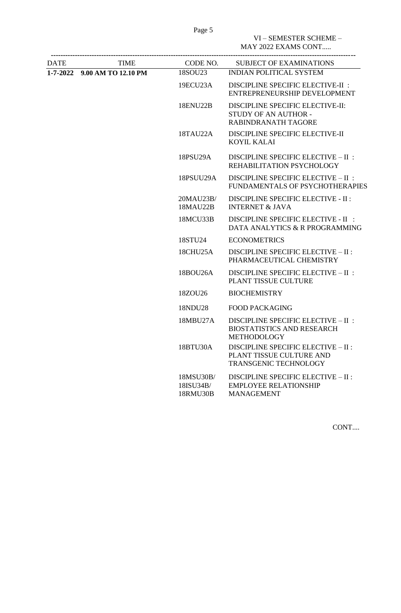Page 5

VI – SEMESTER SCHEME – MAY 2022 EXAMS CONT.....

| DATE | <b>TIME</b>                  | CODE NO.                           | <b>SUBJECT OF EXAMINATIONS</b>                                                                  |
|------|------------------------------|------------------------------------|-------------------------------------------------------------------------------------------------|
|      | 1-7-2022 9.00 AM TO 12.10 PM | 18SOU23                            | <b>INDIAN POLITICAL SYSTEM</b>                                                                  |
|      |                              | 19ECU23A                           | DISCIPLINE SPECIFIC ELECTIVE-II :<br>ENTREPRENEURSHIP DEVELOPMENT                               |
|      |                              | 18ENU22B                           | DISCIPLINE SPECIFIC ELECTIVE-II:<br>STUDY OF AN AUTHOR -<br><b>RABINDRANATH TAGORE</b>          |
|      |                              | 18TAU22A                           | DISCIPLINE SPECIFIC ELECTIVE-II<br><b>KOYIL KALAI</b>                                           |
|      |                              | 18PSU29A                           | DISCIPLINE SPECIFIC ELECTIVE - II :<br>REHABILITATION PSYCHOLOGY                                |
|      |                              | 18PSUU29A                          | DISCIPLINE SPECIFIC ELECTIVE - II :<br>FUNDAMENTALS OF PSYCHOTHERAPIES                          |
|      |                              | 20MAU23B/<br>18MAU22B              | <b>DISCIPLINE SPECIFIC ELECTIVE - II:</b><br><b>INTERNET &amp; JAVA</b>                         |
|      |                              | 18MCU33B                           | DISCIPLINE SPECIFIC ELECTIVE - II :<br>DATA ANALYTICS & R PROGRAMMING                           |
|      |                              | 18STU <sub>24</sub>                | <b>ECONOMETRICS</b>                                                                             |
|      |                              | 18CHU25A                           | DISCIPLINE SPECIFIC ELECTIVE - II :<br>PHARMACEUTICAL CHEMISTRY                                 |
|      |                              | 18BOU26A                           | DISCIPLINE SPECIFIC ELECTIVE - II :<br>PLANT TISSUE CULTURE                                     |
|      |                              | 18ZOU26                            | <b>BIOCHEMISTRY</b>                                                                             |
|      |                              | 18NDU28                            | <b>FOOD PACKAGING</b>                                                                           |
|      |                              | 18MBU27A                           | DISCIPLINE SPECIFIC ELECTIVE - II :<br><b>BIOSTATISTICS AND RESEARCH</b><br><b>METHODOLOGY</b>  |
|      |                              | 18BTU30A                           | DISCIPLINE SPECIFIC ELECTIVE - II :<br>PLANT TISSUE CULTURE AND<br><b>TRANSGENIC TECHNOLOGY</b> |
|      |                              | 18MSU30B/<br>18ISU34B/<br>18RMU30B | DISCIPLINE SPECIFIC ELECTIVE - II :<br><b>EMPLOYEE RELATIONSHIP</b><br><b>MANAGEMENT</b>        |
|      |                              |                                    |                                                                                                 |

CONT....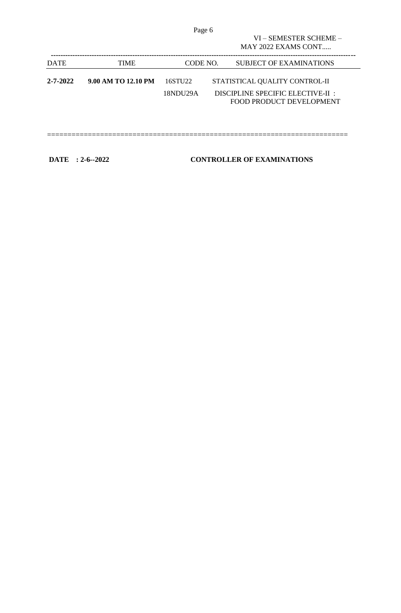|                |                     | Page 6              |                                                                      |
|----------------|---------------------|---------------------|----------------------------------------------------------------------|
|                |                     |                     | VI - SEMESTER SCHEME -                                               |
|                |                     |                     | $MAY$ 2022 EXAMS CONT                                                |
| <b>DATE</b>    | <b>TIME</b>         | CODE NO.            | <b>SUBJECT OF EXAMINATIONS</b>                                       |
| $2 - 7 - 2022$ | 9.00 AM TO 12.10 PM | 16STU <sub>22</sub> | STATISTICAL QUALITY CONTROL-II                                       |
|                |                     | 18NDU29A            | DISCIPLINE SPECIFIC ELECTIVE-II :<br><b>FOOD PRODUCT DEVELOPMENT</b> |
|                |                     |                     |                                                                      |
|                |                     |                     |                                                                      |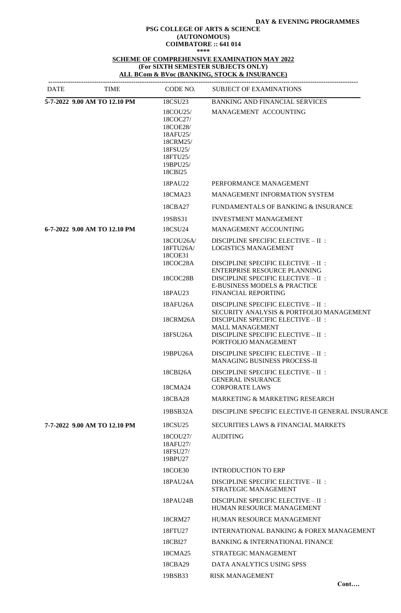#### **DAY & EVENING PROGRAMMES**

#### **PSG COLLEGE OF ARTS & SCIENCE (AUTONOMOUS) COIMBATORE :: 641 014 \*\*\*\***

**SCHEME OF COMPREHENSIVE EXAMINATION MAY 2022 (For SIXTH SEMESTER SUBJECTS ONLY) ALL BCom & BVoc (BANKING, STOCK & INSURANCE)**

| <b>DATE</b> | <b>TIME</b>                  | CODE NO.                                                                                                | <b>SUBJECT OF EXAMINATIONS</b>                                                                                                             |  |
|-------------|------------------------------|---------------------------------------------------------------------------------------------------------|--------------------------------------------------------------------------------------------------------------------------------------------|--|
|             | 5-7-2022 9.00 AM TO 12.10 PM | 18CSU23                                                                                                 | <b>BANKING AND FINANCIAL SERVICES</b>                                                                                                      |  |
|             |                              | 18COU25/<br>18COC27/<br>18COE28/<br>18AFU25/<br>18CRM25/<br>18FSU25/<br>18FTU25/<br>19BPU25/<br>18CBI25 | MANAGEMENT ACCOUNTING                                                                                                                      |  |
|             |                              | 18PAU22                                                                                                 | PERFORMANCE MANAGEMENT                                                                                                                     |  |
|             |                              | 18CMA23                                                                                                 | <b>MANAGEMENT INFORMATION SYSTEM</b>                                                                                                       |  |
|             |                              | 18CBA27                                                                                                 | FUNDAMENTALS OF BANKING & INSURANCE                                                                                                        |  |
|             |                              | 19SBS31                                                                                                 | <b>INVESTMENT MANAGEMENT</b>                                                                                                               |  |
|             | 6-7-2022 9.00 AM TO 12.10 PM | 18CSU24                                                                                                 | <b>MANAGEMENT ACCOUNTING</b>                                                                                                               |  |
|             |                              | 18COU26A/<br>18FTU26A/<br>18COE31                                                                       | DISCIPLINE SPECIFIC ELECTIVE - II :<br><b>LOGISTICS MANAGEMENT</b>                                                                         |  |
|             |                              | 18COC28A<br>18COC28B                                                                                    | DISCIPLINE SPECIFIC ELECTIVE - II :<br>ENTERPRISE RESOURCE PLANNING<br>DISCIPLINE SPECIFIC ELECTIVE - II :<br>E-BUSINESS MODELS & PRACTICE |  |
|             |                              | 18PAU23                                                                                                 | <b>FINANCIAL REPORTING</b>                                                                                                                 |  |
|             |                              | 18AFU26A<br>18CRM26A                                                                                    | DISCIPLINE SPECIFIC ELECTIVE - II :<br><b>SECURITY ANALYSIS &amp; PORTFOLIO MANAGEMENT</b><br>DISCIPLINE SPECIFIC ELECTIVE - II :          |  |
|             |                              | 18FSU26A                                                                                                | <b>MALL MANAGEMENT</b><br>DISCIPLINE SPECIFIC ELECTIVE - II :<br>PORTFOLIO MANAGEMENT                                                      |  |
|             |                              | 19BPU26A                                                                                                | DISCIPLINE SPECIFIC ELECTIVE - II :<br><b>MANAGING BUSINESS PROCESS-II</b>                                                                 |  |
|             |                              | 18CBI26A<br>18CMA24                                                                                     | DISCIPLINE SPECIFIC ELECTIVE - II :<br><b>GENERAL INSURANCE</b><br><b>CORPORATE LAWS</b>                                                   |  |
|             |                              | 18CBA28                                                                                                 | MARKETING & MARKETING RESEARCH                                                                                                             |  |
|             |                              | 19BSB32A                                                                                                | DISCIPLINE SPECIFIC ELECTIVE-II GENERAL INSURANCE                                                                                          |  |
|             | 7-7-2022 9.00 AM TO 12.10 PM | 18CSU <sub>25</sub>                                                                                     | <b>SECURITIES LAWS &amp; FINANCIAL MARKETS</b>                                                                                             |  |
|             |                              | 18COU27/<br>18AFU27/<br>18FSU27/<br>19BPU27                                                             | <b>AUDITING</b>                                                                                                                            |  |
|             |                              | 18COE30                                                                                                 | <b>INTRODUCTION TO ERP</b>                                                                                                                 |  |
|             |                              | 18PAU24A                                                                                                | DISCIPLINE SPECIFIC ELECTIVE - II :<br>STRATEGIC MANAGEMENT                                                                                |  |
|             |                              | 18PAU24B                                                                                                | DISCIPLINE SPECIFIC ELECTIVE - II :<br>HUMAN RESOURCE MANAGEMENT                                                                           |  |
|             |                              | 18CRM27                                                                                                 | HUMAN RESOURCE MANAGEMENT                                                                                                                  |  |
|             |                              | 18FTU27                                                                                                 | INTERNATIONAL BANKING & FOREX MANAGEMENT                                                                                                   |  |
|             |                              | 18CBI27                                                                                                 | <b>BANKING &amp; INTERNATIONAL FINANCE</b>                                                                                                 |  |
|             |                              | 18CMA25                                                                                                 | STRATEGIC MANAGEMENT                                                                                                                       |  |
|             |                              | 18CBA29                                                                                                 | DATA ANALYTICS USING SPSS                                                                                                                  |  |
|             |                              | 19BSB33                                                                                                 | <b>RISK MANAGEMENT</b>                                                                                                                     |  |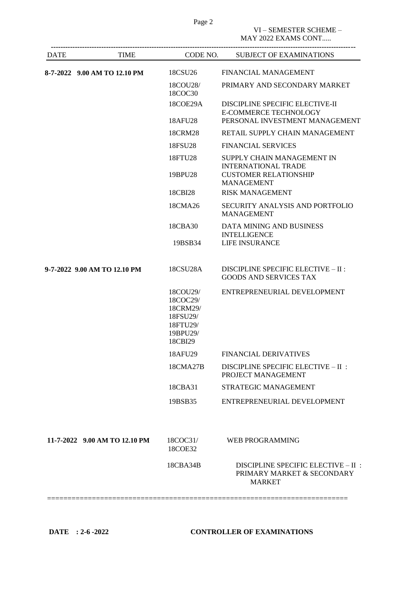# VI – SEMESTER SCHEME –

MAY 2022 EXAMS CONT.....

| <b>DATE</b> | TIME                          |                                                                                 | CODE NO. SUBJECT OF EXAMINATIONS                                                                  |
|-------------|-------------------------------|---------------------------------------------------------------------------------|---------------------------------------------------------------------------------------------------|
|             | 8-7-2022 9.00 AM TO 12.10 PM  | 18CSU <sub>26</sub>                                                             | <b>FINANCIAL MANAGEMENT</b>                                                                       |
|             |                               | 18COU28/<br>18COC30                                                             | PRIMARY AND SECONDARY MARKET                                                                      |
|             |                               | 18COE29A<br>18AFU28                                                             | DISCIPLINE SPECIFIC ELECTIVE-II<br><b>E-COMMERCE TECHNOLOGY</b><br>PERSONAL INVESTMENT MANAGEMENT |
|             |                               | 18CRM28                                                                         | RETAIL SUPPLY CHAIN MANAGEMENT                                                                    |
|             |                               | 18FSU28                                                                         | <b>FINANCIAL SERVICES</b>                                                                         |
|             |                               | 18FTU28                                                                         | SUPPLY CHAIN MANAGEMENT IN<br><b>INTERNATIONAL TRADE</b>                                          |
|             |                               | 19BPU28                                                                         | <b>CUSTOMER RELATIONSHIP</b><br><b>MANAGEMENT</b>                                                 |
|             |                               | 18CBI28                                                                         | <b>RISK MANAGEMENT</b>                                                                            |
|             |                               | 18CMA26                                                                         | SECURITY ANALYSIS AND PORTFOLIO<br><b>MANAGEMENT</b>                                              |
|             |                               | 18CBA30                                                                         | DATA MINING AND BUSINESS<br><b>INTELLIGENCE</b>                                                   |
|             |                               | 19BSB34                                                                         | <b>LIFE INSURANCE</b>                                                                             |
|             | 9-7-2022 9.00 AM TO 12.10 PM  | 18CSU28A                                                                        | DISCIPLINE SPECIFIC ELECTIVE - II :<br><b>GOODS AND SERVICES TAX</b>                              |
|             |                               | 18COU29/<br>18COC29/<br>18CRM29/<br>18FSU29/<br>18FTU29/<br>19BPU29/<br>18CBI29 | ENTREPRENEURIAL DEVELOPMENT                                                                       |
|             |                               | 18AFU29                                                                         | <b>FINANCIAL DERIVATIVES</b>                                                                      |
|             |                               | 18CMA27B                                                                        | DISCIPLINE SPECIFIC ELECTIVE - II :<br>PROJECT MANAGEMENT                                         |
|             |                               | 18CBA31                                                                         | STRATEGIC MANAGEMENT                                                                              |
|             |                               | 19BSB35                                                                         | ENTREPRENEURIAL DEVELOPMENT                                                                       |
|             | 11-7-2022 9.00 AM TO 12.10 PM | 18COC31/<br>18COE32                                                             | <b>WEB PROGRAMMING</b>                                                                            |
|             |                               | 18CBA34B                                                                        | DISCIPLINE SPECIFIC ELECTIVE - II :<br>PRIMARY MARKET & SECONDARY<br><b>MARKET</b>                |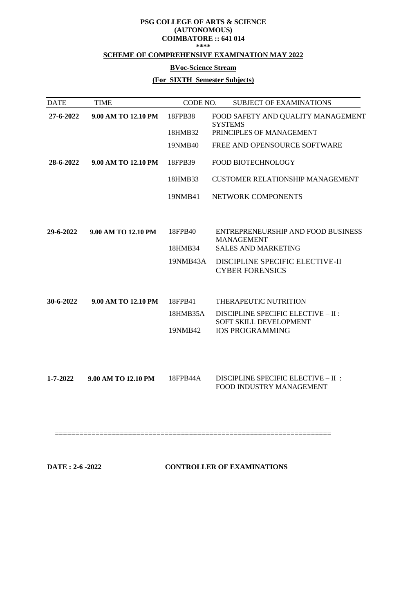#### **PSG COLLEGE OF ARTS & SCIENCE (AUTONOMOUS) COIMBATORE :: 641 014 \*\*\*\***

### **SCHEME OF COMPREHENSIVE EXAMINATION MAY 2022**

### **BVoc-Science Stream**

# **(For SIXTH Semester Subjects)**

| <b>DATE</b>    | <b>TIME</b>         | CODE NO. | <b>SUBJECT OF EXAMINATIONS</b>                                  |
|----------------|---------------------|----------|-----------------------------------------------------------------|
| 27-6-2022      | 9.00 AM TO 12.10 PM | 18FPB38  | FOOD SAFETY AND QUALITY MANAGEMENT<br><b>SYSTEMS</b>            |
|                |                     | 18HMB32  | PRINCIPLES OF MANAGEMENT                                        |
|                |                     | 19NMB40  | FREE AND OPENSOURCE SOFTWARE                                    |
| 28-6-2022      | 9.00 AM TO 12.10 PM | 18FPB39  | FOOD BIOTECHNOLOGY                                              |
|                |                     | 18HMB33  | <b>CUSTOMER RELATIONSHIP MANAGEMENT</b>                         |
|                |                     | 19NMB41  | NETWORK COMPONENTS                                              |
|                |                     |          |                                                                 |
| 29-6-2022      | 9.00 AM TO 12.10 PM | 18FPB40  | ENTREPRENEURSHIP AND FOOD BUSINESS<br><b>MANAGEMENT</b>         |
|                |                     | 18HMB34  | <b>SALES AND MARKETING</b>                                      |
|                |                     | 19NMB43A | DISCIPLINE SPECIFIC ELECTIVE-II<br><b>CYBER FORENSICS</b>       |
|                |                     |          |                                                                 |
| 30-6-2022      | 9.00 AM TO 12.10 PM | 18FPB41  | THERAPEUTIC NUTRITION                                           |
|                |                     | 18HMB35A | DISCIPLINE SPECIFIC ELECTIVE - II :<br>SOFT SKILL DEVELOPMENT   |
|                |                     | 19NMB42  | <b>IOS PROGRAMMING</b>                                          |
|                |                     |          |                                                                 |
|                |                     |          |                                                                 |
| $1 - 7 - 2022$ | 9.00 AM TO 12.10 PM | 18FPB44A | DISCIPLINE SPECIFIC ELECTIVE - II :<br>FOOD INDUSTRY MANAGEMENT |
|                |                     |          |                                                                 |

====================================================================

**DATE : 2-6 -2022 CONTROLLER OF EXAMINATIONS**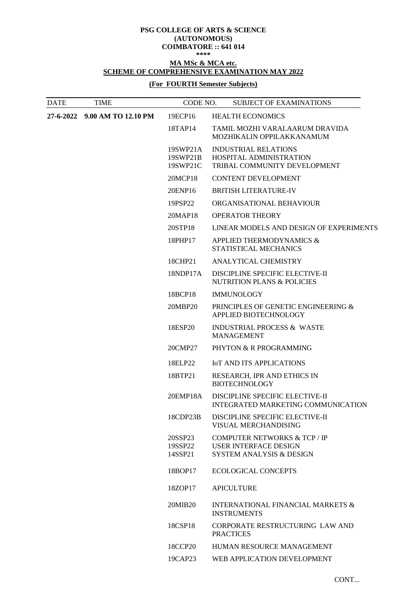### **PSG COLLEGE OF ARTS & SCIENCE (AUTONOMOUS) COIMBATORE :: 641 014**

# **\*\*\*\***

## **MA MSc & MCA etc. SCHEME OF COMPREHENSIVE EXAMINATION MAY 2022**

## **(For FOURTH Semester Subjects)**

| <b>DATE</b> | <b>TIME</b>                   | CODE NO.                         | <b>SUBJECT OF EXAMINATIONS</b>                                                                      |
|-------------|-------------------------------|----------------------------------|-----------------------------------------------------------------------------------------------------|
|             | 27-6-2022 9.00 AM TO 12.10 PM | 19ECP16                          | <b>HEALTH ECONOMICS</b>                                                                             |
|             |                               | 18TAP14                          | TAMIL MOZHI VARALAARUM DRAVIDA<br>MOZHIKALIN OPPILAKKANAMUM                                         |
|             |                               | 19SWP21A<br>19SWP21B<br>19SWP21C | <b>INDUSTRIAL RELATIONS</b><br>HOSPITAL ADMINISTRATION<br>TRIBAL COMMUNITY DEVELOPMENT              |
|             |                               | 20MCP18                          | <b>CONTENT DEVELOPMENT</b>                                                                          |
|             |                               | 20ENP16                          | <b>BRITISH LITERATURE-IV</b>                                                                        |
|             |                               | 19PSP22                          | ORGANISATIONAL BEHAVIOUR                                                                            |
|             |                               | 20MAP18                          | <b>OPERATOR THEORY</b>                                                                              |
|             |                               | 20STP18                          | LINEAR MODELS AND DESIGN OF EXPERIMENTS                                                             |
|             |                               | 18PHP17                          | APPLIED THERMODYNAMICS &<br>STATISTICAL MECHANICS                                                   |
|             |                               | 18CHP21                          | ANALYTICAL CHEMISTRY                                                                                |
|             |                               | 18NDP17A                         | DISCIPLINE SPECIFIC ELECTIVE-II<br><b>NUTRITION PLANS &amp; POLICIES</b>                            |
|             |                               | 18BCP18                          | <b>IMMUNOLOGY</b>                                                                                   |
|             |                               | 20MBP20                          | PRINCIPLES OF GENETIC ENGINEERING &<br>APPLIED BIOTECHNOLOGY                                        |
|             |                               | 18ESP20                          | <b>INDUSTRIAL PROCESS &amp; WASTE</b><br><b>MANAGEMENT</b>                                          |
|             |                               | 20CMP27                          | PHYTON & R PROGRAMMING                                                                              |
|             |                               | 18ELP22                          | <b>IOT AND ITS APPLICATIONS</b>                                                                     |
|             |                               | 18BTP21                          | RESEARCH, IPR AND ETHICS IN<br><b>BIOTECHNOLOGY</b>                                                 |
|             |                               | 20EMP18A                         | DISCIPLINE SPECIFIC ELECTIVE-II<br>INTEGRATED MARKETING COMMUNICATION                               |
|             |                               | 18CDP23B                         | DISCIPLINE SPECIFIC ELECTIVE-II<br>VISUAL MERCHANDISING                                             |
|             |                               | 20SSP23<br>19SSP22<br>14SSP21    | COMPUTER NETWORKS & TCP / IP<br><b>USER INTERFACE DESIGN</b><br><b>SYSTEM ANALYSIS &amp; DESIGN</b> |
|             |                               | 18BOP17                          | <b>ECOLOGICAL CONCEPTS</b>                                                                          |
|             |                               | 18ZOP17                          | <b>APICULTURE</b>                                                                                   |
|             |                               | 20MIB <sub>20</sub>              | <b>INTERNATIONAL FINANCIAL MARKETS &amp;</b><br><b>INSTRUMENTS</b>                                  |
|             |                               | 18CSP18                          | CORPORATE RESTRUCTURING LAW AND<br><b>PRACTICES</b>                                                 |
|             |                               | 18CCP20                          | <b>HUMAN RESOURCE MANAGEMENT</b>                                                                    |
|             |                               | 19CAP23                          | WEB APPLICATION DEVELOPMENT                                                                         |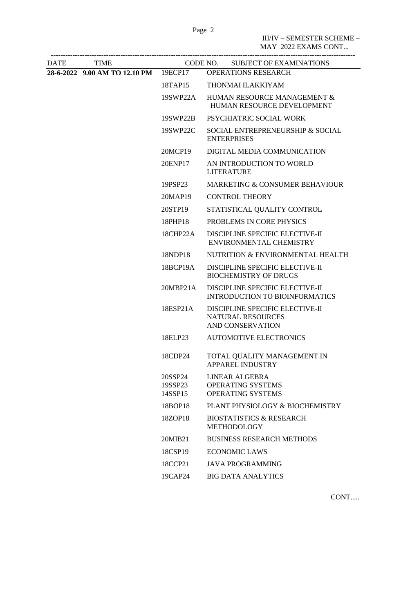III/IV – SEMESTER SCHEME –

|      |                                       |                               | MAY 2022 EXAMS CONT                                                                    |
|------|---------------------------------------|-------------------------------|----------------------------------------------------------------------------------------|
| DATE | <b>TIME</b>                           |                               | CODE NO. SUBJECT OF EXAMINATIONS                                                       |
|      | 28-6-2022 9.00 AM TO 12.10 PM 19ECP17 |                               | <b>OPERATIONS RESEARCH</b>                                                             |
|      |                                       | 18TAP15                       | THONMAI ILAKKIYAM                                                                      |
|      |                                       | 19SWP22A                      | HUMAN RESOURCE MANAGEMENT &<br>HUMAN RESOURCE DEVELOPMENT                              |
|      |                                       | 19SWP22B                      | PSYCHIATRIC SOCIAL WORK                                                                |
|      |                                       | 19SWP22C                      | SOCIAL ENTREPRENEURSHIP & SOCIAL<br><b>ENTERPRISES</b>                                 |
|      |                                       | 20MCP19                       | DIGITAL MEDIA COMMUNICATION                                                            |
|      |                                       | 20ENP17                       | AN INTRODUCTION TO WORLD<br><b>LITERATURE</b>                                          |
|      |                                       | 19PSP23                       | MARKETING & CONSUMER BEHAVIOUR                                                         |
|      |                                       | 20MAP19                       | <b>CONTROL THEORY</b>                                                                  |
|      |                                       | 20STP19                       | STATISTICAL QUALITY CONTROL                                                            |
|      |                                       | 18PHP18                       | PROBLEMS IN CORE PHYSICS                                                               |
|      |                                       | 18CHP22A                      | DISCIPLINE SPECIFIC ELECTIVE-II<br>ENVIRONMENTAL CHEMISTRY                             |
|      |                                       | 18NDP18                       | NUTRITION & ENVIRONMENTAL HEALTH                                                       |
|      |                                       | 18BCP19A                      | DISCIPLINE SPECIFIC ELECTIVE-II<br><b>BIOCHEMISTRY OF DRUGS</b>                        |
|      |                                       | 20MBP21A                      | DISCIPLINE SPECIFIC ELECTIVE-II<br><b>INTRODUCTION TO BIOINFORMATICS</b>               |
|      |                                       | 18ESP21A                      | DISCIPLINE SPECIFIC ELECTIVE-II<br><b>NATURAL RESOURCES</b><br><b>AND CONSERVATION</b> |
|      |                                       | 18ELP23                       | <b>AUTOMOTIVE ELECTRONICS</b>                                                          |
|      |                                       | 18CDP24                       | TOTAL QUALITY MANAGEMENT IN<br><b>APPAREL INDUSTRY</b>                                 |
|      |                                       | 20SSP24<br>19SSP23<br>14SSP15 | <b>LINEAR ALGEBRA</b><br><b>OPERATING SYSTEMS</b><br><b>OPERATING SYSTEMS</b>          |
|      |                                       | 18BOP18                       | PLANT PHYSIOLOGY & BIOCHEMISTRY                                                        |
|      |                                       | 18ZOP18                       | <b>BIOSTATISTICS &amp; RESEARCH</b><br><b>METHODOLOGY</b>                              |
|      |                                       | 20MIB21                       | <b>BUSINESS RESEARCH METHODS</b>                                                       |
|      |                                       | 18CSP19                       | <b>ECONOMIC LAWS</b>                                                                   |
|      |                                       | 18CCP21                       | <b>JAVA PROGRAMMING</b>                                                                |
|      |                                       | 19CAP24                       | <b>BIG DATA ANALYTICS</b>                                                              |
|      |                                       |                               |                                                                                        |

CONT.....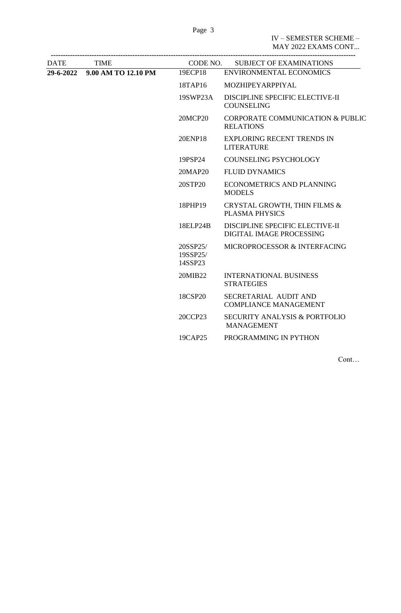IV – SEMESTER SCHEME – MAY 2022 EXAMS CONT...

| <b>DATE</b> | <b>TIME</b>                   |                                 | CODE NO. SUBJECT OF EXAMINATIONS                              |
|-------------|-------------------------------|---------------------------------|---------------------------------------------------------------|
|             | 29-6-2022 9.00 AM TO 12.10 PM | 19ECP18                         | <b>ENVIRONMENTAL ECONOMICS</b>                                |
|             |                               | 18TAP16                         | MOZHIPEYARPPIYAL                                              |
|             |                               | 19SWP23A                        | DISCIPLINE SPECIFIC ELECTIVE-II<br><b>COUNSELING</b>          |
|             |                               | <b>20MCP20</b>                  | CORPORATE COMMUNICATION & PUBLIC<br><b>RELATIONS</b>          |
|             |                               | 20ENP18                         | <b>EXPLORING RECENT TRENDS IN</b><br><b>LITERATURE</b>        |
|             |                               | 19PSP24                         | <b>COUNSELING PSYCHOLOGY</b>                                  |
|             |                               | 20MAP20                         | <b>FLUID DYNAMICS</b>                                         |
|             |                               | 20STP20                         | ECONOMETRICS AND PLANNING<br><b>MODELS</b>                    |
|             |                               | 18PHP19                         | CRYSTAL GROWTH, THIN FILMS &<br><b>PLASMA PHYSICS</b>         |
|             |                               | 18ELP24B                        | DISCIPLINE SPECIFIC ELECTIVE-II<br>DIGITAL IMAGE PROCESSING   |
|             |                               | 20SSP25/<br>19SSP25/<br>14SSP23 | MICROPROCESSOR & INTERFACING                                  |
|             |                               | 20MIB22                         | <b>INTERNATIONAL BUSINESS</b><br><b>STRATEGIES</b>            |
|             |                               | 18CSP20                         | SECRETARIAL AUDIT AND<br><b>COMPLIANCE MANAGEMENT</b>         |
|             |                               | 20CCP23                         | <b>SECURITY ANALYSIS &amp; PORTFOLIO</b><br><b>MANAGEMENT</b> |
|             |                               | 19CAP25                         | PROGRAMMING IN PYTHON                                         |
|             |                               |                                 |                                                               |

Cont…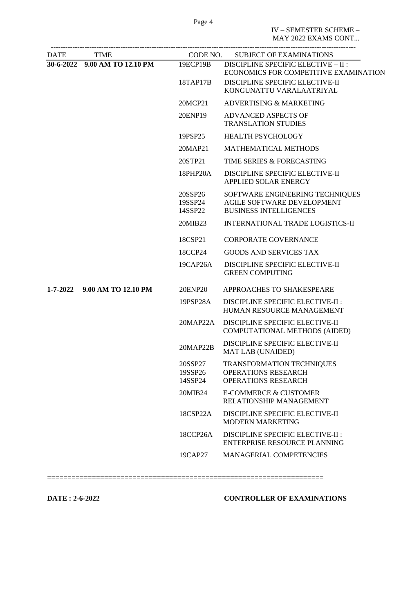Page 4

IV – SEMESTER SCHEME – MAY 2022 EXAMS CONT...

| <b>DATE</b> | <b>TIME</b>                   | CODE NO.                      | <b>SUBJECT OF EXAMINATIONS</b>                                                                                                              |
|-------------|-------------------------------|-------------------------------|---------------------------------------------------------------------------------------------------------------------------------------------|
|             | 30-6-2022 9.00 AM TO 12.10 PM | 19ECP19B<br>18TAP17B          | DISCIPLINE SPECIFIC ELECTIVE - II :<br>ECONOMICS FOR COMPETITIVE EXAMINATION<br>DISCIPLINE SPECIFIC ELECTIVE-II<br>KONGUNATTU VARALAATRIYAL |
|             |                               | 20MCP21                       | ADVERTISING & MARKETING                                                                                                                     |
|             |                               | 20ENP19                       | <b>ADVANCED ASPECTS OF</b><br><b>TRANSLATION STUDIES</b>                                                                                    |
|             |                               | 19PSP25                       | <b>HEALTH PSYCHOLOGY</b>                                                                                                                    |
|             |                               | 20MAP21                       | <b>MATHEMATICAL METHODS</b>                                                                                                                 |
|             |                               | 20STP21                       | TIME SERIES & FORECASTING                                                                                                                   |
|             |                               | 18PHP20A                      | DISCIPLINE SPECIFIC ELECTIVE-II<br><b>APPLIED SOLAR ENERGY</b>                                                                              |
|             |                               | 20SSP26<br>19SSP24<br>14SSP22 | SOFTWARE ENGINEERING TECHNIQUES<br><b>AGILE SOFTWARE DEVELOPMENT</b><br><b>BUSINESS INTELLIGENCES</b>                                       |
|             |                               | 20MIB23                       | <b>INTERNATIONAL TRADE LOGISTICS-II</b>                                                                                                     |
|             |                               | 18CSP21                       | <b>CORPORATE GOVERNANCE</b>                                                                                                                 |
|             |                               | 18CCP24                       | <b>GOODS AND SERVICES TAX</b>                                                                                                               |
|             |                               | 19CAP26A                      | DISCIPLINE SPECIFIC ELECTIVE-II<br><b>GREEN COMPUTING</b>                                                                                   |
|             | 1-7-2022 9.00 AM TO 12.10 PM  | 20ENP20                       | APPROACHES TO SHAKESPEARE                                                                                                                   |
|             |                               | 19PSP28A                      | DISCIPLINE SPECIFIC ELECTIVE-II :<br>HUMAN RESOURCE MANAGEMENT                                                                              |
|             |                               | 20MAP22A                      | DISCIPLINE SPECIFIC ELECTIVE-II<br><b>COMPUTATIONAL METHODS (AIDED)</b>                                                                     |
|             |                               | 20MAP22B                      | DISCIPLINE SPECIFIC ELECTIVE-II<br><b>MAT LAB (UNAIDED)</b>                                                                                 |
|             |                               | 20SSP27<br>19SSP26<br>14SSP24 | TRANSFORMATION TECHNIQUES<br><b>OPERATIONS RESEARCH</b><br><b>OPERATIONS RESEARCH</b>                                                       |
|             |                               | 20MIB24                       | <b>E-COMMERCE &amp; CUSTOMER</b><br>RELATIONSHIP MANAGEMENT                                                                                 |
|             |                               | 18CSP22A                      | DISCIPLINE SPECIFIC ELECTIVE-II<br><b>MODERN MARKETING</b>                                                                                  |
|             |                               | 18CCP26A                      | DISCIPLINE SPECIFIC ELECTIVE-II :<br><b>ENTERPRISE RESOURCE PLANNING</b>                                                                    |
|             |                               | 19CAP27                       | <b>MANAGERIAL COMPETENCIES</b>                                                                                                              |

====================================================================

**DATE : 2-6-2022 CONTROLLER OF EXAMINATIONS**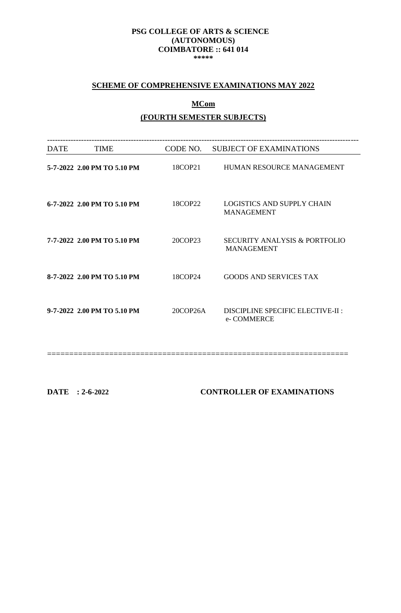### **PSG COLLEGE OF ARTS & SCIENCE (AUTONOMOUS) COIMBATORE :: 641 014 \*\*\*\*\***

# **SCHEME OF COMPREHENSIVE EXAMINATIONS MAY 2022**

# **MCom**

## **(FOURTH SEMESTER SUBJECTS)**

| <b>DATE</b> | <b>TIME</b>                 | CODE NO. | <b>SUBJECT OF EXAMINATIONS</b>                                |
|-------------|-----------------------------|----------|---------------------------------------------------------------|
|             | 5-7-2022 2.00 PM TO 5.10 PM | 18COP21  | HUMAN RESOURCE MANAGEMENT                                     |
|             | 6-7-2022 2.00 PM TO 5.10 PM | 18COP22  | <b>LOGISTICS AND SUPPLY CHAIN</b><br><b>MANAGEMENT</b>        |
|             | 7-7-2022 2.00 PM TO 5.10 PM | 20COP23  | <b>SECURITY ANALYSIS &amp; PORTFOLIO</b><br><b>MANAGEMENT</b> |
|             | 8-7-2022 2.00 PM TO 5.10 PM | 18COP24  | GOODS AND SERVICES TAX                                        |
|             | 9-7-2022 2.00 PM TO 5.10 PM | 20COP26A | DISCIPLINE SPECIFIC ELECTIVE-II :<br>e- COMMERCE              |
|             |                             |          |                                                               |

**DATE : 2-6-2022 CONTROLLER OF EXAMINATIONS**